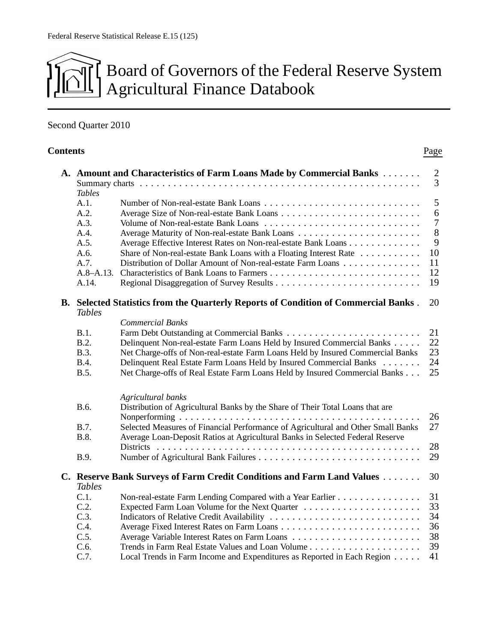# Board of Governors of the Federal Reserve System Agricultural Finance Databook

## Second Quarter 2010

| <b>Contents</b> |               |                                                                                                                                                                   | Page                             |
|-----------------|---------------|-------------------------------------------------------------------------------------------------------------------------------------------------------------------|----------------------------------|
|                 | <b>Tables</b> | A. Amount and Characteristics of Farm Loans Made by Commercial Banks                                                                                              | $\overline{2}$<br>$\overline{3}$ |
|                 | A.1.<br>A.2.  |                                                                                                                                                                   | 5<br>6                           |
|                 | A.3.<br>A.4.  |                                                                                                                                                                   | $\boldsymbol{7}$<br>8            |
|                 | A.5.<br>A.6.  | Average Effective Interest Rates on Non-real-estate Bank Loans<br>Share of Non-real-estate Bank Loans with a Floating Interest Rate                               | 9<br>10                          |
|                 | A.7.<br>A.14. | Distribution of Dollar Amount of Non-real-estate Farm Loans                                                                                                       | 11<br>12<br>19                   |
|                 | <b>Tables</b> | B. Selected Statistics from the Quarterly Reports of Condition of Commercial Banks.                                                                               | 20                               |
|                 |               | <b>Commercial Banks</b>                                                                                                                                           |                                  |
|                 | B.1.<br>B.2.  |                                                                                                                                                                   | 21<br>22                         |
|                 | B.3.          | Delinquent Non-real-estate Farm Loans Held by Insured Commercial Banks<br>Net Charge-offs of Non-real-estate Farm Loans Held by Insured Commercial Banks          | 23                               |
|                 | <b>B.4.</b>   | Delinquent Real Estate Farm Loans Held by Insured Commercial Banks                                                                                                | 24                               |
|                 | B.5.          | Net Charge-offs of Real Estate Farm Loans Held by Insured Commercial Banks                                                                                        | 25                               |
|                 |               | Agricultural banks                                                                                                                                                |                                  |
|                 | B.6.          | Distribution of Agricultural Banks by the Share of Their Total Loans that are                                                                                     | 26                               |
|                 | B.7.<br>B.8.  | Selected Measures of Financial Performance of Agricultural and Other Small Banks<br>Average Loan-Deposit Ratios at Agricultural Banks in Selected Federal Reserve | 27                               |
|                 |               |                                                                                                                                                                   | 28                               |
|                 | B.9.          |                                                                                                                                                                   | 29                               |
|                 | <b>Tables</b> | C. Reserve Bank Surveys of Farm Credit Conditions and Farm Land Values                                                                                            | 30                               |
|                 | C.1.          | Non-real-estate Farm Lending Compared with a Year Earlier                                                                                                         | 31                               |
|                 | C.2.          |                                                                                                                                                                   | 33                               |
|                 | C.3.          | Indicators of Relative Credit Availability                                                                                                                        | 34                               |
|                 | C.4.<br>C.5.  |                                                                                                                                                                   | 36<br>38                         |
|                 | C.6.          |                                                                                                                                                                   | 39                               |
|                 | C.7.          | Local Trends in Farm Income and Expenditures as Reported in Each Region                                                                                           | 41                               |
|                 |               |                                                                                                                                                                   |                                  |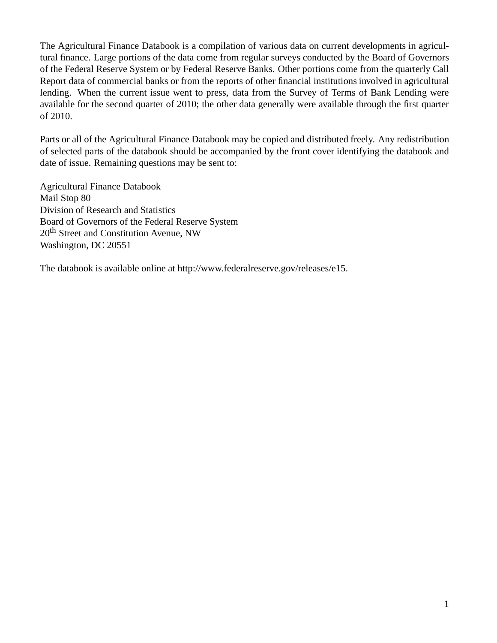The Agricultural Finance Databook is a compilation of various data on current developments in agricultural finance. Large portions of the data come from regular surveys conducted by the Board of Governors of the Federal Reserve System or by Federal Reserve Banks. Other portions come from the quarterly Call Report data of commercial banks or from the reports of other financial institutions involved in agricultural lending. When the current issue went to press, data from the Survey of Terms of Bank Lending were available for the second quarter of 2010; the other data generally were available through the first quarter of 2010.

Parts or all of the Agricultural Finance Databook may be copied and distributed freely. Any redistribution of selected parts of the databook should be accompanied by the front cover identifying the databook and date of issue. Remaining questions may be sent to:

Agricultural Finance Databook Mail Stop 80 Division of Research and Statistics Board of Governors of the Federal Reserve System 20<sup>th</sup> Street and Constitution Avenue, NW Washington, DC 20551

The databook is available online at http://www.federalreserve.gov/releases/e15.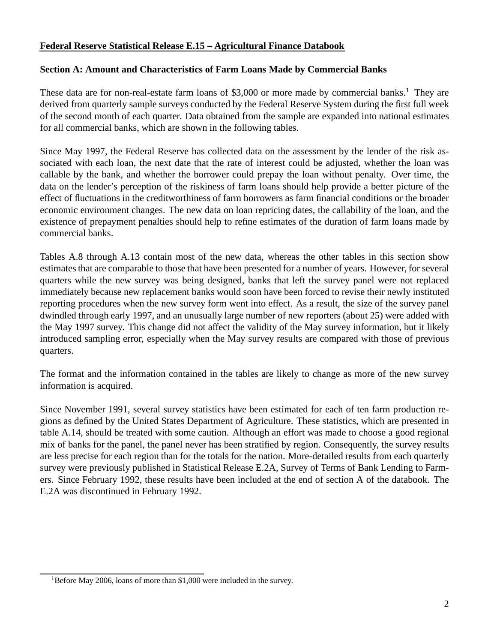## **Federal Reserve Statistical Release E.15 – Agricultural Finance Databook**

## **Section A: Amount and Characteristics of Farm Loans Made by Commercial Banks**

These data are for non-real-estate farm loans of \$3,000 or more made by commercial banks.<sup>1</sup> They are derived from quarterly sample surveys conducted by the Federal Reserve System during the first full week of the second month of each quarter. Data obtained from the sample are expanded into national estimates for all commercial banks, which are shown in the following tables.

Since May 1997, the Federal Reserve has collected data on the assessment by the lender of the risk associated with each loan, the next date that the rate of interest could be adjusted, whether the loan was callable by the bank, and whether the borrower could prepay the loan without penalty. Over time, the data on the lender's perception of the riskiness of farm loans should help provide a better picture of the effect of fluctuations in the creditworthiness of farm borrowers as farm financial conditions or the broader economic environment changes. The new data on loan repricing dates, the callability of the loan, and the existence of prepayment penalties should help to refine estimates of the duration of farm loans made by commercial banks.

Tables A.8 through A.13 contain most of the new data, whereas the other tables in this section show estimates that are comparable to those that have been presented for a number of years. However, for several quarters while the new survey was being designed, banks that left the survey panel were not replaced immediately because new replacement banks would soon have been forced to revise their newly instituted reporting procedures when the new survey form went into effect. As a result, the size of the survey panel dwindled through early 1997, and an unusually large number of new reporters (about 25) were added with the May 1997 survey. This change did not affect the validity of the May survey information, but it likely introduced sampling error, especially when the May survey results are compared with those of previous quarters.

The format and the information contained in the tables are likely to change as more of the new survey information is acquired.

Since November 1991, several survey statistics have been estimated for each of ten farm production regions as defined by the United States Department of Agriculture. These statistics, which are presented in table A.14, should be treated with some caution. Although an effort was made to choose a good regional mix of banks for the panel, the panel never has been stratified by region. Consequently, the survey results are less precise for each region than for the totals for the nation. More-detailed results from each quarterly survey were previously published in Statistical Release E.2A, Survey of Terms of Bank Lending to Farmers. Since February 1992, these results have been included at the end of section A of the databook. The E.2A was discontinued in February 1992.

<sup>&</sup>lt;sup>1</sup>Before May 2006, loans of more than \$1,000 were included in the survey.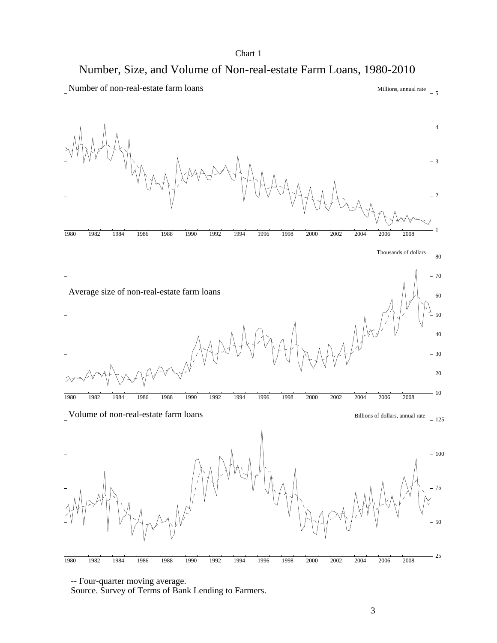





 <sup>--</sup> Four-quarter moving average.

Source. Survey of Terms of Bank Lending to Farmers.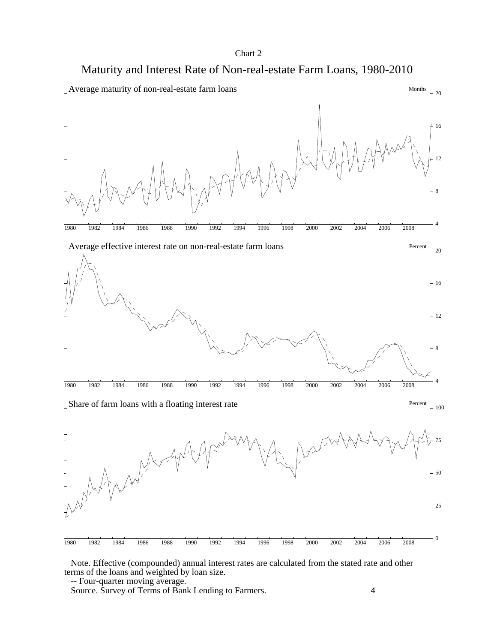

 Note. Effective (compounded) annual interest rates are calculated from the stated rate and other terms of the loans and weighted by loan size.

-- Four-quarter moving average.

Source. Survey of Terms of Bank Lending to Farmers.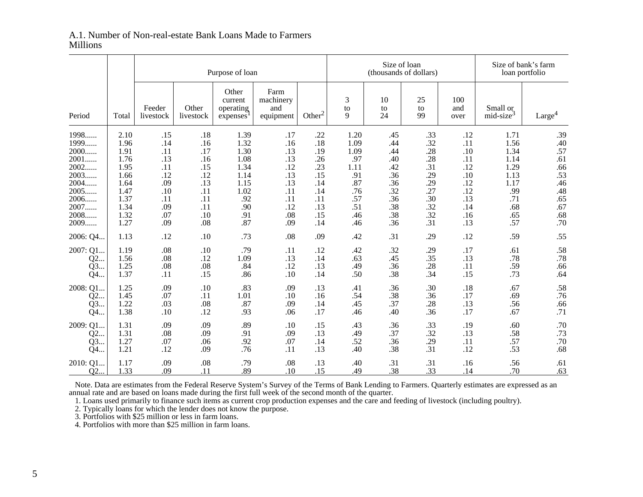#### Size of loan Size of bank's farm Purpose of loan and the control of thousands of dollars) and loan portfolio loan portfolio Other Farm current | machinery |  $\begin{array}{|c|c|c|c|c|c|c|c|c|} \hline \end{array}$  and  $\begin{array}{|c|c|c|c|c|c|c|c|c|} \hline \end{array}$  and  $\begin{array}{|c|c|c|c|c|c|c|c|c|} \hline \end{array}$  and  $\begin{array}{|c|c|c|c|c|c|c|c|c|} \hline \end{array}$  and  $\begin{array}{|c|c|c|c|c|c|c|c|c|} \hline \end{array}$  and and Feeder Other operating and  $\begin{vmatrix} 1 & 1 & 1 \\ 0 & -1 & 1 \end{vmatrix}$  to to and Small or  $mid-size<sup>3</sup>$ Period | Total | livestock | livestock | expenses<sup>1</sup> | equipment | Other<sup>2</sup> | 9 | 24 | 99 | over | mid-size<sup>3</sup> | Large<sup>4</sup> 1998...... | 2.10 .15 .18 1.39 .17 .17 .22 1.20 .15 .13 .13 .12 .11 .1.39 .40 1999...... 1.96 .14 .16 1.32 .16 .18 1.09 .44 .32 .11 1.56 .40.57 2000...... 1.91 .11 .17 1.30 .13 .19 1.09 .44 .28 .10 1.34 .57 $.61$ 1.14 .14 .13 .26 .97 .40 .28 .13 .16 .13 .16 .13 .16 .13 .16 .1.14 .1.14 .66 2002...... 1.95 .11 .15 1.34 .12 .23 1.11 .42 .31 .12 1.29 .66.53 2003...... 1.66 .12 .12 1.14 .13 .15 .91 .36 .29 .10 1.13 .53.46 46. 1.17 .13 .13 .36 .36 .29 .13 .14 .87 .13 .14 .1.17 .13 .14 .1.17 .48 2005...... 1.47 .10 .11 1.02 .11 .14 .76 .32 .27 .12 .99 .48.65 2006...... 1.37 .11 .11 .92 .11 .11 .57 .36 .30 .13 .71 .65.67 2007...... 1.34 .09 .11 .90 .12 .13 .51 .38 .32 .14 .68 .67.68 2008...... 1.32 .07 .10 .91 .08 .15 .46 .38 .32 .16 .65 .68.70 2009...... 1.27 .09 .08 .87 .09 .14 .46 .36 .31 .13 .57 .702006: Q4... 1.13 .12 .10 .73 .08 .09 .42 .31 .29 .12 .59 .552007: Q1... 1.19 .08 .10 .79 .11 .12 .42 .32 .29 .17 .61 .58.78 78. 78. 13. 13. 156. 1.09 .13 .14 .63 .45 .35 .13 .14 .56 .12 .13 .14 .66 Q3... 1.25 .08 .08 .84 .12 .13 .49 .36 .28 .11 .59 .66.64 Q4... 1.37 .11 .15 .86 .10 .14 .50 .38 .34 .15 .73 .642008: Q1... 1.25 .09 .10 .83 .09 .13 .41 .36 .30 .18 .67 .58.76 Q2... 1.45 .07 .11 1.01 .10 .16 .54 .38 .36 .17 .69 .76.66 Q3... 1.22 .03 .08 .87 .09 .14 .45 .37 .28 .13 .56 .66.71 71. 1.38 .10 .12 .06 .17 .46 .40 .36 .17 .12 .12 .12 .12 .1*1* 2009: Q1... 1.31 .09 .09 .89 .10 .15 .43 .36 .33 .19 .60 .70 $.73$  Q2... 1.31 .08 .09 .91 .09 .13 .49 .37 .32 .13 .58 .73.70 70. 57. 11. 29. 36. 52. 14. 07. 92. 07. 06. 92. 14. Q3... 1.27 .14 .68 Q4... 1.21 .12 .09 .76 .11 .13 .40 .38 .31 .12 .53 .682010: Q1... 1.17 .09 .08 .79 .08 .13 .40 .31 .31 .16 .56 .61.63  $Q2...$  1.33 .09 .11 .89 .10 .15 .49 .38 .33 .14 .70 .63

#### A.1. Number of Non-real-estate Bank Loans Made to FarmersMillions

 Note. Data are estimates from the Federal Reserve System's Survey of the Terms of Bank Lending to Farmers. Quarterly estimates are expressed as anannual rate and are based on loans made during the first full week of the second month of the quarter.

1. Loans used primarily to finance such items as current crop production expenses and the care and feeding of livestock (including poultry).

2. Typically loans for which the lender does not know the purpose.

3. Portfolios with \$25 million or less in farm loans.

4. Portfolios with more than \$25 million in farm loans.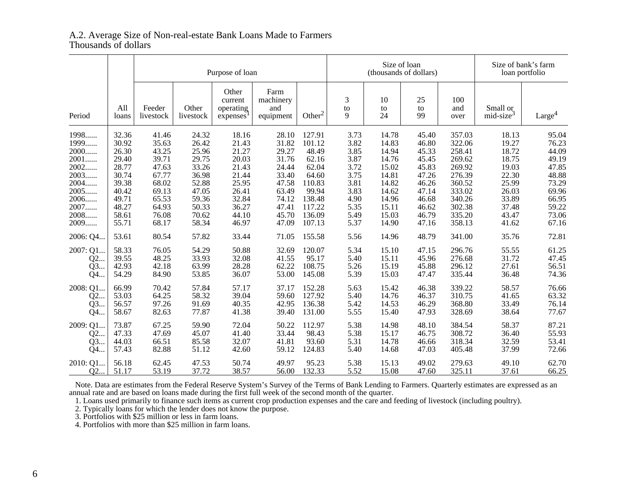## A.2. Average Size of Non-real-estate Bank Loans Made to Farmers Thousands of dollars

|          |              | Purpose of loan     |                    |                                                       |                                       |                    |              |                | Size of loan<br>(thousands of dollars) |                    | Size of bank's farm<br>loan portfolio |                    |  |
|----------|--------------|---------------------|--------------------|-------------------------------------------------------|---------------------------------------|--------------------|--------------|----------------|----------------------------------------|--------------------|---------------------------------------|--------------------|--|
| Period   | All<br>loans | Feeder<br>livestock | Other<br>livestock | Other<br>current<br>operating<br>express <sup>1</sup> | Farm<br>machinery<br>and<br>equipment | Other <sup>2</sup> | 3<br>to<br>9 | 10<br>to<br>24 | 25<br>to<br>99                         | 100<br>and<br>over | Small or<br>mid-size <sup>3</sup>     | Large <sup>4</sup> |  |
| 1998     | 32.36        | 41.46               | 24.32              | 18.16                                                 | 28.10                                 | 127.91             | 3.73         | 14.78          | 45.40                                  | 357.03             | 18.13                                 | 95.04              |  |
| 1999     | 30.92        | 35.63               | 26.42              | 21.43                                                 | 31.82                                 | 101.12             | 3.82         | 14.83          | 46.80                                  | 322.06             | 19.27                                 | 76.23              |  |
| 2000     | 26.30        | 43.25               | 25.96              | 21.27                                                 | 29.27                                 | 48.49              | 3.85         | 14.94          | 45.33                                  | 258.41             | 18.72                                 | 44.09              |  |
| 2001     | 29.40        | 39.71               | 29.75              | 20.03                                                 | 31.76                                 | 62.16              | 3.87         | 14.76          | 45.45                                  | 269.62             | 18.75                                 | 49.19              |  |
| 2002     | 28.77        | 47.63               | 33.26              | 21.43                                                 | 24.44                                 | 62.04              | 3.72         | 15.02          | 45.83                                  | 269.92             | 19.03                                 | 47.85              |  |
| 2003     | 30.74        | 67.77               | 36.98              | 21.44                                                 | 33.40                                 | 64.60              | 3.75         | 14.81          | 47.26                                  | 276.39             | 22.30                                 | 48.88              |  |
| 2004     | 39.38        | 68.02               | 52.88              | 25.95                                                 | 47.58                                 | 110.83             | 3.81         | 14.82          | 46.26                                  | 360.52             | 25.99                                 | 73.29              |  |
| 2005     | 40.42        | 69.13               | 47.05              | 26.41                                                 | 63.49                                 | 99.94              | 3.83         | 14.62          | 47.14                                  | 333.02             | 26.03                                 | 69.96              |  |
| 2006     | 49.71        | 65.53               | 59.36              | 32.84                                                 | 74.12                                 | 138.48             | 4.90         | 14.96          | 46.68                                  | 340.26             | 33.89                                 | 66.95              |  |
| 2007     | 48.27        | 64.93               | 50.33              | 36.27                                                 | 47.41                                 | 117.22             | 5.35         | 15.11          | 46.62                                  | 302.38             | 37.48                                 | 59.22              |  |
| 2008     | 58.61        | 76.08               | 70.62              | 44.10                                                 | 45.70                                 | 136.09             | 5.49         | 15.03          | 46.79                                  | 335.20             | 43.47                                 | 73.06              |  |
| 2009     | 55.71        | 68.17               | 58.34              | 46.97                                                 | 47.09                                 | 107.13             | 5.37         | 14.90          | 47.16                                  | 358.13             | 41.62                                 | 67.16              |  |
| 2006: Q4 | 53.61        | 80.54               | 57.82              | 33.44                                                 | 71.05                                 | 155.58             | 5.56         | 14.96          | 48.79                                  | 341.00             | 35.76                                 | 72.81              |  |
| 2007: Q1 | 58.33        | 76.05               | 54.29              | 50.88                                                 | 32.69                                 | 120.07             | 5.34         | 15.10          | 47.15                                  | 296.76             | 55.55                                 | 61.25              |  |
| Q2       | 39.55        | 48.25               | 33.93              | 32.08                                                 | 41.55                                 | 95.17              | 5.40         | 15.11          | 45.96                                  | 276.68             | 31.72                                 | 47.45              |  |
| Q3       | 42.93        | 42.18               | 63.99              | 28.28                                                 | 62.22                                 | 108.75             | 5.26         | 15.19          | 45.88                                  | 296.12             | 27.61                                 | 56.51              |  |
| Q4       | 54.29        | 84.90               | 53.85              | 36.07                                                 | 53.00                                 | 145.08             | 5.39         | 15.03          | 47.47                                  | 335.44             | 36.48                                 | 74.36              |  |
| 2008: Q1 | 66.99        | 70.42               | 57.84              | 57.17                                                 | 37.17                                 | 152.28             | 5.63         | 15.42          | 46.38                                  | 339.22             | 58.57                                 | 76.66              |  |
| Q2       | 53.03        | 64.25               | 58.32              | 39.04                                                 | 59.60                                 | 127.92             | 5.40         | 14.76          | 46.37                                  | 310.75             | 41.65                                 | 63.32              |  |
| Q3       | 56.57        | 97.26               | 91.69              | 40.35                                                 | 42.95                                 | 136.38             | 5.42         | 14.53          | 46.29                                  | 368.80             | 33.49                                 | 76.14              |  |
| Q4       | 58.67        | 82.63               | 77.87              | 41.38                                                 | 39.40                                 | 131.00             | 5.55         | 15.40          | 47.93                                  | 328.69             | 38.64                                 | 77.67              |  |
| 2009: Q1 | 73.87        | 67.25               | 59.90              | 72.04                                                 | 50.22                                 | 112.97             | 5.38         | 14.98          | 48.10                                  | 384.54             | 58.37                                 | 87.21              |  |
| Q2       | 47.33        | 47.69               | 45.07              | 41.40                                                 | 33.44                                 | 98.43              | 5.38         | 15.17          | 46.75                                  | 308.72             | 36.40                                 | 55.93              |  |
| Q3       | 44.03        | 66.51               | 85.58              | 32.07                                                 | 41.81                                 | 93.60              | 5.31         | 14.78          | 46.66                                  | 318.34             | 32.59                                 | 53.41              |  |
| Q4       | 57.43        | 82.88               | 51.12              | 42.60                                                 | 59.12                                 | 124.83             | 5.40         | 14.68          | 47.03                                  | 405.48             | 37.99                                 | 72.66              |  |
| 2010: Q1 | 56.18        | 62.45               | 47.53              | 50.74                                                 | 49.97                                 | 95.23              | 5.38         | 15.13          | 49.02                                  | 279.63             | 49.10                                 | 62.70              |  |
| Q2       | 51.17        | 53.19               | 37.72              | 38.57                                                 | 56.00                                 | 132.33             | 5.52         | 15.08          | 47.60                                  | 325.11             | 37.61                                 | 66.25              |  |

Note. Data are estimates from the Federal Reserve System's Survey of the Terms of Bank Lending to Farmers. Quarterly estimates are expressed as an

annual rate and are based on loans made during the first full week of the second month of the quarter.<br>1. Loans used primarily to finance such items as current crop production expenses and the care and feeding of livestock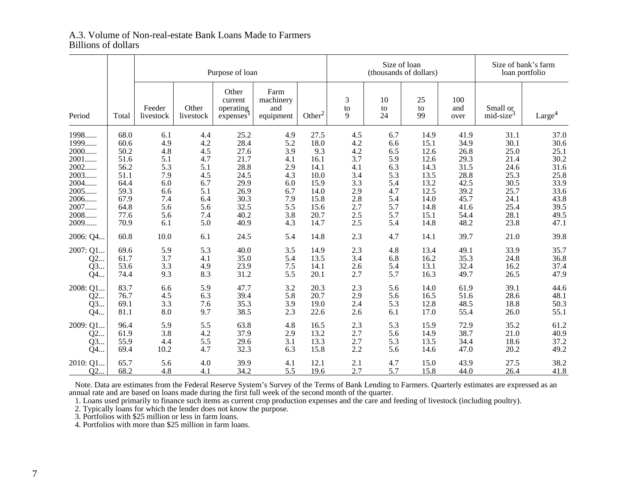#### A.3. Volume of Non-real-estate Bank Loans Made to FarmersBillions of dollars

|           |       |                     | Purpose of loan    |                                           |                                       |                    |              |                | Size of loan<br>(thousands of dollars) |                    | Size of bank's farm<br>loan portfolio |                    |  |
|-----------|-------|---------------------|--------------------|-------------------------------------------|---------------------------------------|--------------------|--------------|----------------|----------------------------------------|--------------------|---------------------------------------|--------------------|--|
| Period    | Total | Feeder<br>livestock | Other<br>livestock | Other<br>current<br>operating<br>expenses | Farm<br>machinery<br>and<br>equipment | Other <sup>2</sup> | 3<br>to<br>9 | 10<br>to<br>24 | 25<br>to<br>99                         | 100<br>and<br>over | Small or<br>mid-size <sup>3</sup>     | Large <sup>4</sup> |  |
| 1998      | 68.0  | 6.1                 | 4.4                | 25.2                                      | 4.9                                   | 27.5               | 4.5          | 6.7            | 14.9                                   | 41.9               | 31.1                                  | 37.0               |  |
| 1999      | 60.6  | 4.9                 | 4.2                | 28.4                                      | 5.2                                   | 18.0               | 4.2          | 6.6            | 15.1                                   | 34.9               | 30.1                                  | 30.6               |  |
| 2000      | 50.2  | 4.8                 | 4.5                | 27.6                                      | 3.9                                   | 9.3                | 4.2          | 6.5            | 12.6                                   | 26.8               | 25.0                                  | 25.1               |  |
| 2001      | 51.6  | 5.1                 | 4.7                | 21.7                                      | 4.1                                   | 16.1               | 3.7          | 5.9            | 12.6                                   | 29.3               | 21.4                                  | 30.2               |  |
| 2002      | 56.2  | 5.3                 | 5.1                | 28.8                                      | 2.9                                   | 14.1               | 4.1          | 6.3            | 14.3                                   | 31.5               | 24.6                                  | 31.6               |  |
| 2003      | 51.1  | 7.9                 | 4.5                | 24.5                                      | 4.3                                   | 10.0               | 3.4          | 5.3            | 13.5                                   | 28.8               | 25.3                                  | 25.8               |  |
| 2004      | 64.4  | 6.0                 | 6.7                | 29.9                                      | 6.0                                   | 15.9               | 3.3          | 5.4            | 13.2                                   | 42.5               | 30.5                                  | 33.9               |  |
| 2005      | 59.3  | 6.6                 | 5.1                | 26.9                                      | 6.7                                   | 14.0               | 2.9          | 4.7            | 12.5                                   | 39.2               | 25.7                                  | 33.6               |  |
| 2006      | 67.9  | 7.4                 | 6.4                | 30.3                                      | 7.9                                   | 15.8               | 2.8          | 5.4            | 14.0                                   | 45.7               | 24.1                                  | 43.8               |  |
| 2007      | 64.8  | 5.6                 | 5.6                | 32.5                                      | 5.5                                   | 15.6               | 2.7          | 5.7            | 14.8                                   | 41.6               | 25.4                                  | 39.5               |  |
| 2008      | 77.6  | 5.6                 | 7.4                | 40.2                                      | 3.8                                   | 20.7               | 2.5          | 5.7            | 15.1                                   | 54.4               | 28.1                                  | 49.5               |  |
| 2009      | 70.9  | 6.1                 | 5.0                | 40.9                                      | 4.3                                   | 14.7               | 2.5          | 5.4            | 14.8                                   | 48.2               | 23.8                                  | 47.1               |  |
| 2006: Q4  | 60.8  | 10.0                | 6.1                | 24.5                                      | 5.4                                   | 14.8               | 2.3          | 4.7            | 14.1                                   | 39.7               | 21.0                                  | 39.8               |  |
| 2007: Q1  | 69.6  | 5.9                 | 5.3                | 40.0                                      | 3.5                                   | 14.9               | 2.3          | 4.8            | 13.4                                   | 49.1               | 33.9                                  | 35.7               |  |
| Q2        | 61.7  | 3.7                 | 4.1                | 35.0                                      | 5.4                                   | 13.5               | 3.4          | 6.8            | 16.2                                   | 35.3               | 24.8                                  | 36.8               |  |
| Q3        | 53.6  | 3.3                 | 4.9                | 23.9                                      | 7.5                                   | 14.1               | 2.6          | 5.4            | 13.1                                   | 32.4               | 16.2                                  | 37.4               |  |
| Q4        | 74.4  | 9.3                 | 8.3                | 31.2                                      | 5.5                                   | 20.1               | 2.7          | 5.7            | 16.3                                   | 49.7               | 26.5                                  | 47.9               |  |
| 2008: Q1. | 83.7  | 6.6                 | 5.9                | 47.7                                      | 3.2                                   | 20.3               | 2.3          | 5.6            | 14.0                                   | 61.9               | 39.1                                  | 44.6               |  |
| Q2        | 76.7  | 4.5                 | 6.3                | 39.4                                      | 5.8                                   | 20.7               | 2.9          | 5.6            | 16.5                                   | 51.6               | 28.6                                  | 48.1               |  |
| Q3        | 69.1  | 3.3                 | 7.6                | 35.3                                      | 3.9                                   | 19.0               | 2.4          | 5.3            | 12.8                                   | 48.5               | 18.8                                  | 50.3               |  |
| Q4        | 81.1  | 8.0                 | 9.7                | 38.5                                      | 2.3                                   | 22.6               | 2.6          | 6.1            | 17.0                                   | 55.4               | 26.0                                  | 55.1               |  |
| 2009: Q1  | 96.4  | 5.9                 | 5.5                | 63.8                                      | 4.8                                   | 16.5               | 2.3          | 5.3            | 15.9                                   | 72.9               | 35.2                                  | 61.2               |  |
| Q2        | 61.9  | 3.8                 | 4.2                | 37.9                                      | 2.9                                   | 13.2               | 2.7          | 5.6            | 14.9                                   | 38.7               | 21.0                                  | 40.9               |  |
| Q3        | 55.9  | 4.4                 | 5.5                | 29.6                                      | 3.1                                   | 13.3               | 2.7          | 5.3            | 13.5                                   | 34.4               | 18.6                                  | 37.2               |  |
| Q4        | 69.4  | 10.2                | 4.7                | 32.3                                      | 6.3                                   | 15.8               | 2.2          | 5.6            | 14.6                                   | 47.0               | 20.2                                  | 49.2               |  |
| 2010: Q1  | 65.7  | 5.6                 | 4.0                | 39.9                                      | 4.1                                   | 12.1               | 2.1          | 4.7            | 15.0                                   | 43.9               | 27.5                                  | 38.2               |  |
| Q2        | 68.2  | 4.8                 | 4.1                | 34.2                                      | 5.5                                   | 19.6               | 2.7          | 5.7            | 15.8                                   | 44.0               | 26.4                                  | 41.8               |  |

Note. Data are estimates from the Federal Reserve System's Survey of the Terms of Bank Lending to Farmers. Quarterly estimates are expressed as an annual rate and are based on loans made during the first full week of the s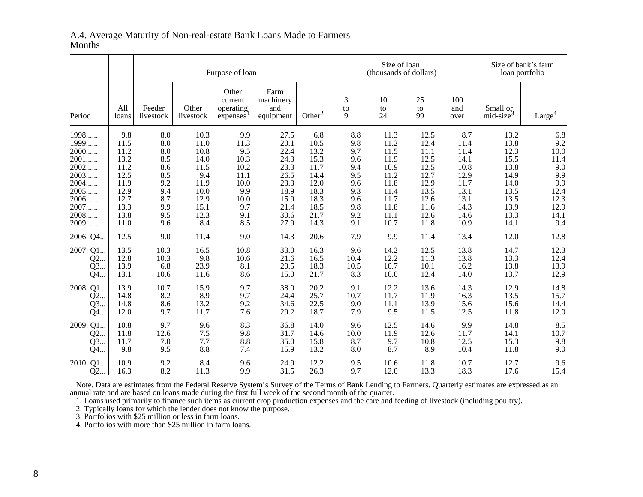|                  |              |                     | Purpose of loan    |                                           |                                       |                    |              |                | Size of loan<br>(thousands of dollars) |                    | Size of bank's farm<br>loan portfolio |                    |
|------------------|--------------|---------------------|--------------------|-------------------------------------------|---------------------------------------|--------------------|--------------|----------------|----------------------------------------|--------------------|---------------------------------------|--------------------|
| Period           | All<br>loans | Feeder<br>livestock | Other<br>livestock | Other<br>current<br>operating<br>expenses | Farm<br>machinery<br>and<br>equipment | Other <sup>2</sup> | 3<br>to<br>9 | 10<br>to<br>24 | 25<br>to<br>99                         | 100<br>and<br>over | Small or<br>mid-size <sup>3</sup>     | Large <sup>4</sup> |
| 1998             | 9.8          | 8.0                 | 10.3               | 9.9                                       | 27.5                                  | 6.8                | 8.8          | 11.3           | 12.5                                   | 8.7                | 13.2                                  | 6.8                |
| 1999             | 11.5         | 8.0                 | 11.0               | 11.3                                      | 20.1                                  | 10.5               | 9.8          | 11.2           | 12.4                                   | 11.4               | 13.8                                  | 9.2                |
| 2000             | 11.2         | 8.0                 | 10.8               | 9.5                                       | 22.4                                  | 13.2               | 9.7          | 11.5           | 11.1                                   | 11.4               | 12.3                                  | 10.0               |
| 2001             | 13.2         | 8.5                 | 14.0               | 10.3                                      | 24.3                                  | 15.3               | 9.6          | 11.9           | 12.5                                   | 14.1               | 15.5                                  | 11.4               |
| 2002             | 11.2         | 8.6                 | 11.5               | 10.2                                      | 23.3                                  | 11.7               | 9.4          | 10.9           | 12.5                                   | 10.8               | 13.8                                  | 9.0                |
| 2003             | 12.5         | 8.5                 | 9.4                | 11.1                                      | 26.5                                  | 14.4               | 9.5          | 11.2           | 12.7                                   | 12.9               | 14.9                                  | 9.9                |
| 2004             | 11.9         | 9.2                 | 11.9               | 10.0                                      | 23.3                                  | 12.0               | 9.6          | 11.8           | 12.9                                   | 11.7               | 14.0                                  | 9.9                |
| 2005             | 12.9         | 9.4                 | 10.0               | 9.9                                       | 18.9                                  | 18.3               | 9.3          | 11.4           | 13.5                                   | 13.1               | 13.5                                  | 12.4               |
| 2006             | 12.7         | 8.7                 | 12.9               | 10.0                                      | 15.9                                  | 18.3               | 9.6          | 11.7           | 12.6                                   | 13.1               | 13.5                                  | 12.3               |
| 2007             | 13.3         | 9.9                 | 15.1               | 9.7                                       | 21.4                                  | 18.5               | 9.8          | 11.8           | 11.6                                   | 14.3               | 13.9                                  | 12.9               |
| 2008             | 13.8         | 9.5                 | 12.3               | 9.1                                       | 30.6                                  | 21.7               | 9.2          | 11.1           | 12.6                                   | 14.6               | 13.3                                  | 14.1               |
| 2009             | 11.0         | 9.6                 | 8.4                | 8.5                                       | 27.9                                  | 14.3               | 9.1          | 10.7           | 11.8                                   | 10.9               | 14.1                                  | 9.4                |
| 2006: Q4         | 12.5         | 9.0                 | 11.4               | 9.0                                       | 14.3                                  | 20.6               | 7.9          | 9.9            | 11.4                                   | 13.4               | 12.0                                  | 12.8               |
| 2007: Q1         | 13.5         | 10.3                | 16.5               | 10.8                                      | 33.0                                  | 16.3               | 9.6          | 14.2           | 12.5                                   | 13.8               | 14.7                                  | 12.3               |
| Q2               | 12.8         | 10.3                | 9.8                | 10.6                                      | 21.6                                  | 16.5               | 10.4         | 12.2           | 11.3                                   | 13.8               | 13.3                                  | 12.4               |
| Q3               | 13.9         | 6.8                 | 23.9               | 8.1                                       | 20.5                                  | 18.3               | 10.5         | 10.7           | 10.1                                   | 16.2               | 13.8                                  | 13.9               |
| Q4               | 13.1         | 10.6                | 11.6               | 8.6                                       | 15.0                                  | 21.7               | 8.3          | 10.0           | 12.4                                   | 14.0               | 13.7                                  | 12.9               |
| 2008: Q1         | 13.9         | 10.7                | 15.9               | 9.7                                       | 38.0                                  | 20.2               | 9.1          | 12.2           | 13.6                                   | 14.3               | 12.9                                  | 14.8               |
| Q2               | 14.8         | 8.2                 | 8.9                | 9.7                                       | 24.4                                  | 25.7               | 10.7         | 11.7           | 11.9                                   | 16.3               | 13.5                                  | 15.7               |
| Q3               | 14.8         | 8.6                 | 13.2               | 9.2                                       | 34.6                                  | 22.5               | 9.0          | 11.1           | 13.9                                   | 15.6               | 15.6                                  | 14.4               |
| Q4               | 12.0         | 9.7                 | 11.7               | 7.6                                       | 29.2                                  | 18.7               | 7.9          | 9.5            | 11.5                                   | 12.5               | 11.8                                  | 12.0               |
| 2009: Q1         | 10.8         | 9.7                 | 9.6                | 8.3                                       | 36.8                                  | 14.0               | 9.6          | 12.5           | 14.6                                   | 9.9                | 14.8                                  | 8.5                |
| Q2               | 11.8         | 12.6                | 7.5                | 9.8                                       | 31.7                                  | 14.6               | 10.0         | 11.9           | 12.6                                   | 11.7               | 14.1                                  | 10.7               |
| Q3               | 11.7         | 7.0                 | 7.7                | 8.8                                       | 35.0                                  | 15.8               | 8.7          | 9.7            | 10.8                                   | 12.5               | 15.3                                  | 9.8                |
| Q4               | 9.8          | 9.5                 | 8.8                | 7.4                                       | 15.9                                  | 13.2               | 8.0          | 8.7            | 8.9                                    | 10.4               | 11.8                                  | 9.0                |
| 2010: Q1         | 10.9         | 9.2                 | 8.4                | 9.6                                       | 24.9                                  | 12.2               | 9.5          | 10.6           | 11.8                                   | 10.7               | 12.7                                  | 9.6                |
| O <sub>2</sub> . | 16.3         | 8.2                 | 11.3               | 9.9                                       | 31.5                                  | 26.3               | 9.7          | 12.0           | 13.3                                   | 18.3               | 17.6                                  | 15.4               |

## A.4. Average Maturity of Non-real-estate Bank Loans Made to FarmersMonths

Note. Data are estimates from the Federal Reserve System's Survey of the Terms of Bank Lending to Farmers. Quarterly estimates are expressed as an

annual rate and are based on loans made during the first full week of the second month of the quarter.<br>1. Loans used primarily to finance such items as current crop production expenses and the care and feeding of livestock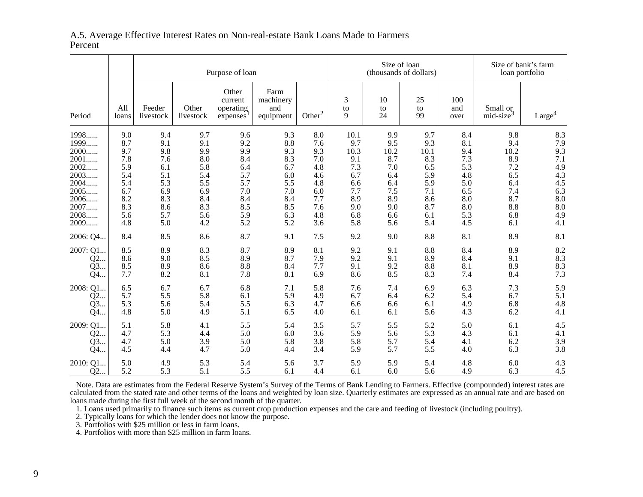### A.5. Average Effective Interest Rates on Non-real-estate Bank Loans Made to FarmersPercent

|          |              |                     | Purpose of loan    |                                           |                                       |                    |              |                | Size of loan<br>(thousands of dollars) |                    | Size of bank's farm<br>loan portfolio |                    |  |
|----------|--------------|---------------------|--------------------|-------------------------------------------|---------------------------------------|--------------------|--------------|----------------|----------------------------------------|--------------------|---------------------------------------|--------------------|--|
| Period   | All<br>loans | Feeder<br>livestock | Other<br>livestock | Other<br>current<br>operating<br>expenses | Farm<br>machinery<br>and<br>equipment | Other <sup>2</sup> | 3<br>to<br>9 | 10<br>to<br>24 | 25<br>to<br>99                         | 100<br>and<br>over | Small or<br>mid-size <sup>3</sup>     | Large <sup>4</sup> |  |
| 1998     | 9.0          | 9.4                 | 9.7                | 9.6                                       | 9.3                                   | 8.0                | 10.1         | 9.9            | 9.7                                    | 8.4                | 9.8                                   | 8.3                |  |
| 1999     | 8.7          | 9.1                 | 9.1                | 9.2                                       | 8.8                                   | 7.6                | 9.7          | 9.5            | 9.3                                    | 8.1                | 9.4                                   | 7.9                |  |
| 2000     | 9.7          | 9.8                 | 9.9                | 9.9                                       | 9.3                                   | 9.3                | 10.3         | 10.2           | 10.1                                   | 9.4                | 10.2                                  | 9.3                |  |
| 2001     | 7.8          | 7.6                 | 8.0                | 8.4                                       | 8.3                                   | 7.0                | 9.1          | 8.7            | 8.3                                    | 7.3                | 8.9                                   | 7.1                |  |
| $2002$   | 5.9          | 6.1                 | 5.8                | 6.4                                       | 6.7                                   | 4.8                | 7.3          | 7.0            | 6.5                                    | 5.3                | 7.2                                   | 4.9                |  |
| 2003     | 5.4          | 5.1                 | 5.4                | 5.7                                       | 6.0                                   | 4.6                | 6.7          | 6.4            | 5.9                                    | 4.8                | 6.5                                   | 4.3                |  |
| 2004     | 5.4          | 5.3                 | 5.5                | 5.7                                       | 5.5                                   | 4.8                | 6.6          | 6.4            | 5.9                                    | 5.0                | 6.4                                   | 4.5                |  |
| 2005     | 6.7          | 6.9                 | 6.9                | 7.0                                       | 7.0                                   | 6.0                | 7.7          | 7.5            | 7.1                                    | 6.5                | 7.4                                   | 6.3                |  |
| 2006     | 8.2          | 8.3                 | 8.4                | 8.4                                       | 8.4                                   | 7.7                | 8.9          | 8.9            | 8.6                                    | 8.0                | 8.7                                   | 8.0                |  |
| 2007     | 8.3          | 8.6                 | 8.3                | 8.5                                       | 8.5                                   | 7.6                | 9.0          | 9.0            | 8.7                                    | 8.0                | 8.8                                   | 8.0                |  |
| 2008     | 5.6          | 5.7                 | 5.6                | 5.9                                       | 6.3                                   | 4.8                | 6.8          | 6.6            | 6.1                                    | 5.3                | 6.8                                   | 4.9                |  |
| 2009     | 4.8          | 5.0                 | 4.2                | 5.2                                       | 5.2                                   | 3.6                | 5.8          | 5.6            | 5.4                                    | 4.5                | 6.1                                   | 4.1                |  |
| 2006: Q4 | 8.4          | 8.5                 | 8.6                | 8.7                                       | 9.1                                   | 7.5                | 9.2          | 9.0            | 8.8                                    | 8.1                | 8.9                                   | 8.1                |  |
| 2007: Q1 | 8.5          | 8.9                 | 8.3                | 8.7                                       | 8.9                                   | 8.1                | 9.2          | 9.1            | 8.8                                    | 8.4                | 8.9                                   | 8.2                |  |
| Q2       | 8.6          | 9.0                 | 8.5                | 8.9                                       | 8.7                                   | 7.9                | 9.2          | 9.1            | 8.9                                    | 8.4                | 9.1                                   | 8.3                |  |
| Q3       | 8.5          | 8.9                 | 8.6                | 8.8                                       | 8.4                                   | 7.7                | 9.1          | 9.2            | 8.8                                    | 8.1                | 8.9                                   | 8.3                |  |
| Q4       | 7.7          | 8.2                 | 8.1                | 7.8                                       | 8.1                                   | 6.9                | 8.6          | 8.5            | 8.3                                    | 7.4                | 8.4                                   | 7.3                |  |
| 2008: Q1 | 6.5          | 6.7                 | 6.7                | 6.8                                       | 7.1                                   | 5.8                | 7.6          | 7.4            | 6.9                                    | 6.3                | 7.3                                   | 5.9                |  |
| Q2       | 5.7          | 5.5                 | 5.8                | 6.1                                       | 5.9                                   | 4.9                | 6.7          | 6.4            | 6.2                                    | 5.4                | 6.7                                   | 5.1                |  |
| Q3       | 5.3          | 5.6                 | 5.4                | 5.5                                       | 6.3                                   | 4.7                | 6.6          | 6.6            | 6.1                                    | 4.9                | 6.8                                   | 4.8                |  |
| Q4       | 4.8          | 5.0                 | 4.9                | 5.1                                       | 6.5                                   | 4.0                | 6.1          | 6.1            | 5.6                                    | 4.3                | 6.2                                   | 4.1                |  |
| 2009: Q1 | 5.1          | 5.8                 | 4.1                | 5.5                                       | 5.4                                   | 3.5                | 5.7          | 5.5            | 5.2                                    | 5.0                | 6.1                                   | 4.5                |  |
| Q2       | 4.7          | 5.3                 | 4.4                | 5.0                                       | 6.0                                   | 3.6                | 5.9          | 5.6            | 5.3                                    | 4.3                | 6.1                                   | 4.1                |  |
| Q3       | 4.7          | 5.0                 | 3.9                | 5.0                                       | 5.8                                   | 3.8                | 5.8          | 5.7            | 5.4                                    | 4.1                | 6.2                                   | 3.9                |  |
| Q4       | 4.5          | 4.4                 | 4.7                | 5.0                                       | 4.4                                   | 3.4                | 5.9          | 5.7            | 5.5                                    | 4.0                | 6.3                                   | 3.8                |  |
| 2010: Q1 | 5.0          | 4.9                 | 5.3                | 5.4                                       | 5.6                                   | 3.7                | 5.9          | 5.9            | 5.4                                    | 4.8                | 6.0                                   | 4.3                |  |
| Q2       | 5.2          | 5.3                 | 5.1                | 5.5                                       | 6.1                                   | 4.4                | 6.1          | 6.0            | 5.6                                    | 4.9                | 6.3                                   | 4.5                |  |

 Note. Data are estimates from the Federal Reserve System's Survey of the Terms of Bank Lending to Farmers. Effective (compounded) interest rates are calculated from the stated rate and other terms of the loans and weighted by loan size. Quarterly estimates are expressed as an annual rate and are based onloans made during the first full week of the second month of the quarter.

1. Loans used primarily to finance such items as current crop production expenses and the care and feeding of livestock (including poultry).<br>2. Typically loans for which the lender does not know the purpose.<br>3. Portfolios

4. Portfolios with more than \$25 million in farm loans.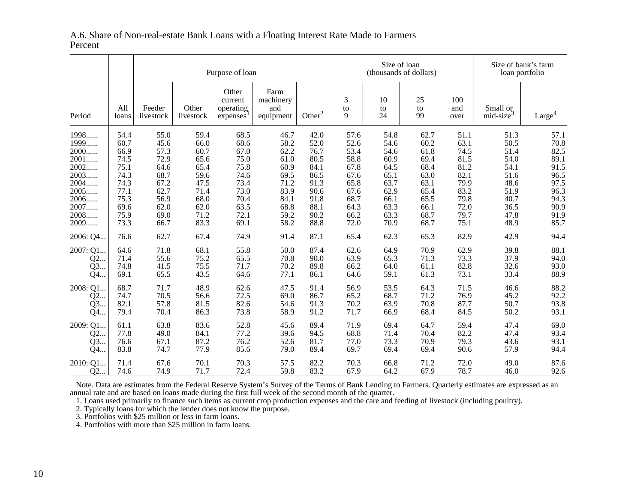### A.6. Share of Non-real-estate Bank Loans with a Floating Interest Rate Made to FarmersPercent

|          |              |                     | Purpose of loan    |                                           |                                       |                    |                           |                | Size of loan<br>(thousands of dollars) |                    | Size of bank's farm<br>loan portfolio |                    |  |
|----------|--------------|---------------------|--------------------|-------------------------------------------|---------------------------------------|--------------------|---------------------------|----------------|----------------------------------------|--------------------|---------------------------------------|--------------------|--|
| Period   | All<br>loans | Feeder<br>livestock | Other<br>livestock | Other<br>current<br>operating<br>expenses | Farm<br>machinery<br>and<br>equipment | Other <sup>2</sup> | $\mathfrak{Z}$<br>to<br>9 | 10<br>to<br>24 | 25<br>to<br>99                         | 100<br>and<br>over | Small or<br>mid-size <sup>3</sup>     | Large <sup>4</sup> |  |
| 1998     | 54.4         | 55.0                | 59.4               | 68.5                                      | 46.7                                  | 42.0               | 57.6                      | 54.8           | 62.7                                   | 51.1               | 51.3                                  | 57.1               |  |
| 1999     | 60.7         | 45.6                | 66.0               | 68.6                                      | 58.2                                  | 52.0               | 52.6                      | 54.6           | 60.2                                   | 63.1               | 50.5                                  | 70.8               |  |
| 2000     | 66.9         | 57.3                | 60.7               | 67.0                                      | 62.2                                  | 76.7               | 53.4                      | 54.6           | 61.8                                   | 74.5               | 51.4                                  | 82.5               |  |
| 2001     | 74.5         | 72.9                | 65.6               | 75.0                                      | 61.0                                  | 80.5               | 58.8                      | 60.9           | 69.4                                   | 81.5               | 54.0                                  | 89.1               |  |
| 2002     | 75.1         | 64.6                | 65.4               | 75.8                                      | 60.9                                  | 84.1               | 67.8                      | 64.5           | 68.4                                   | 81.2               | 54.1                                  | 91.5               |  |
| 2003     | 74.3         | 68.7                | 59.6               | 74.6                                      | 69.5                                  | 86.5               | 67.6                      | 65.1           | 63.0                                   | 82.1               | 51.6                                  | 96.5               |  |
| 2004     | 74.3         | 67.2                | 47.5               | 73.4                                      | 71.2                                  | 91.3               | 65.8                      | 63.7           | 63.1                                   | 79.9               | 48.6                                  | 97.5               |  |
| 2005     | 77.1         | 62.7                | 71.4               | 73.0                                      | 83.9                                  | 90.6               | 67.6                      | 62.9           | 65.4                                   | 83.2               | 51.9                                  | 96.3               |  |
| 2006     | 75.3         | 56.9                | 68.0               | 70.4                                      | 84.1                                  | 91.8               | 68.7                      | 66.1           | 65.5                                   | 79.8               | 40.7                                  | 94.3               |  |
| 2007     | 69.6         | 62.0                | 62.0               | 63.5                                      | 68.8                                  | 88.1               | 64.3                      | 63.3           | 66.1                                   | 72.0               | 36.5                                  | 90.9               |  |
| 2008     | 75.9         | 69.0                | 71.2               | 72.1                                      | 59.2                                  | 90.2               | 66.2                      | 63.3           | 68.7                                   | 79.7               | 47.8                                  | 91.9               |  |
| 2009     | 73.3         | 66.7                | 83.3               | 69.1                                      | 58.2                                  | 88.8               | 72.0                      | 70.9           | 68.7                                   | 75.1               | 48.9                                  | 85.7               |  |
| 2006: Q4 | 76.6         | 62.7                | 67.4               | 74.9                                      | 91.4                                  | 87.1               | 65.4                      | 62.3           | 65.3                                   | 82.9               | 42.9                                  | 94.4               |  |
| 2007: Q1 | 64.6         | 71.8                | 68.1               | 55.8                                      | 50.0                                  | 87.4               | 62.6                      | 64.9           | 70.9                                   | 62.9               | 39.8                                  | 88.1               |  |
| Q2       | 71.4         | 55.6                | 75.2               | 65.5                                      | 70.8                                  | 90.0               | 63.9                      | 65.3           | 71.3                                   | 73.3               | 37.9                                  | 94.0               |  |
| Q3       | 74.8         | 41.5                | 75.5               | 71.7                                      | 70.2                                  | 89.8               | 66.2                      | 64.0           | 61.1                                   | 82.8               | 32.6                                  | 93.0               |  |
| Q4       | 69.1         | 65.5                | 43.5               | 64.6                                      | 77.1                                  | 86.1               | 64.6                      | 59.1           | 61.3                                   | 73.1               | 33.4                                  | 88.9               |  |
| 2008: Q1 | 68.7         | 71.7                | 48.9               | 62.6                                      | 47.5                                  | 91.4               | 56.9                      | 53.5           | 64.3                                   | 71.5               | 46.6                                  | 88.2               |  |
| Q2       | 74.7         | 70.5                | 56.6               | 72.5                                      | 69.0                                  | 86.7               | 65.2                      | 68.7           | 71.2                                   | 76.9               | 45.2                                  | 92.2               |  |
| Q3       | 82.1         | 57.8                | 81.5               | 82.6                                      | 54.6                                  | 91.3               | 70.2                      | 63.9           | 70.8                                   | 87.7               | 50.7                                  | 93.8               |  |
| Q4       | 79.4         | 70.4                | 86.3               | 73.8                                      | 58.9                                  | 91.2               | 71.7                      | 66.9           | 68.4                                   | 84.5               | 50.2                                  | 93.1               |  |
| 2009: Q1 | 61.1         | 63.8                | 83.6               | 52.8                                      | 45.6                                  | 89.4               | 71.9                      | 69.4           | 64.7                                   | 59.4               | 47.4                                  | 69.0               |  |
| Q2       | 77.8         | 49.0                | 84.1               | 77.2                                      | 39.6                                  | 94.5               | 68.8                      | 71.4           | 70.4                                   | 82.2               | 47.4                                  | 93.4               |  |
| Q3       | 76.6         | 67.1                | 87.2               | 76.2                                      | 52.6                                  | 81.7               | 77.0                      | 73.3           | 70.9                                   | 79.3               | 43.6                                  | 93.1               |  |
| Q4       | 83.8         | 74.7                | 77.9               | 85.6                                      | 79.0                                  | 89.4               | 69.7                      | 69.4           | 69.4                                   | 90.6               | 57.9                                  | 94.4               |  |
| 2010:Q1  | 71.4         | 67.6                | 70.1               | 70.3                                      | 57.5                                  | 82.2               | 70.3                      | 66.8           | 71.2                                   | 72.0               | 49.0                                  | 87.6               |  |
| Q2       | 74.6         | 74.9                | 71.7               | 72.4                                      | 59.8                                  | 83.2               | 67.9                      | 64.2           | 67.9                                   | 78.7               | 46.0                                  | 92.6               |  |

Note. Data are estimates from the Federal Reserve System's Survey of the Terms of Bank Lending to Farmers. Quarterly estimates are expressed as an

annual rate and are based on loans made during the first full week of the second month of the quarter.<br>1. Loans used primarily to finance such items as current crop production expenses and the care and feeding of livestock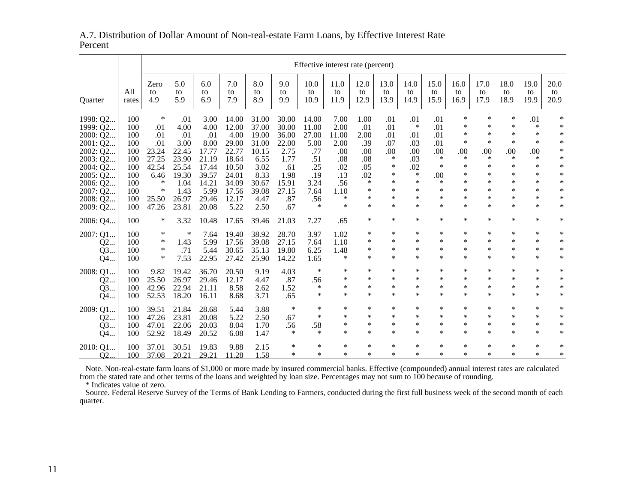## A.7. Distribution of Dollar Amount of Non-real-estate Farm Loans, by Effective Interest RatePercent

|                                  |                   |                         | Effective interest rate (percent) |                         |                         |                         |                         |                      |                      |                            |                            |                            |                            |                            |                            |                            |                            |                            |
|----------------------------------|-------------------|-------------------------|-----------------------------------|-------------------------|-------------------------|-------------------------|-------------------------|----------------------|----------------------|----------------------------|----------------------------|----------------------------|----------------------------|----------------------------|----------------------------|----------------------------|----------------------------|----------------------------|
| <b>Ouarter</b>                   | All<br>rates      | Zero<br>to<br>4.9       | 5.0<br>to<br>5.9                  | 6.0<br>to<br>6.9        | 7.0<br>to<br>7.9        | 8.0<br>to<br>8.9        | 9.0<br>to<br>9.9        | 10.0<br>to<br>10.9   | 11.0<br>to<br>11.9   | 12.0<br>to<br>12.9         | 13.0<br>to<br>13.9         | 14.0<br>to<br>14.9         | 15.0<br>to<br>15.9         | 16.0<br>to<br>16.9         | 17.0<br>to<br>17.9         | 18.0<br>to<br>18.9         | 19.0<br>to<br>19.9         | 20.0<br>to<br>20.9         |
| 1998: Q2<br>1999: Q2             | 100<br>100        | $\ast$<br>.01           | .01<br>4.00                       | 3.00<br>4.00            | 14.00<br>12.00          | 31.00<br>37.00          | 30.00<br>30.00          | 14.00<br>11.00       | 7.00<br>2.00         | 1.00<br>.01                | .01<br>.01                 | .01<br>$\ast$              | .01<br>.01                 | ∗<br>$\ast$                | $\ast$<br>$\ast$           | $\ast$<br>$\ast$           | .01<br>$\ast$              | $\ast$<br>$\ast$           |
| 2000: Q2<br>2001: Q2<br>2002: Q2 | 100<br>100<br>100 | .01<br>.01<br>23.24     | .01<br>3.00<br>22.45              | .01<br>8.00<br>17.77    | 4.00<br>29.00<br>22.77  | 19.00<br>31.00<br>10.15 | 36.00<br>22.00<br>2.75  | 27.00<br>5.00<br>.77 | 11.00<br>2.00<br>.00 | 2.00<br>.39<br>.00         | .01<br>.07<br>.00          | .01<br>.03<br>.00          | .01<br>.01<br>.00          | $\ast$<br>$\ast$<br>.00    | *<br>$\ast$<br>.00         | $\ast$<br>$\ast$<br>.00    | $\ast$<br>$\ast$<br>.00    | $\ast$<br>$\ast$<br>$\ast$ |
| 2003: Q2<br>2004: Q2<br>2005: Q2 | 100<br>100<br>100 | 27.25<br>42.54<br>6.46  | 23.90<br>25.54<br>19.30           | 21.19<br>17.44<br>39.57 | 18.64<br>10.50<br>24.01 | 6.55<br>3.02<br>8.33    | 1.77<br>.61<br>1.98     | .51<br>.25<br>.19    | .08<br>.02<br>.13    | .08<br>.05<br>.02          | ∗<br>∗<br>∗                | .03<br>.02<br>$\ast$       | $\ast$<br>$\ast$<br>.00    | $\ast$<br>$\ast$<br>*      | $\ast$<br>*<br>$\ast$      | $\ast$<br>$\ast$<br>$\ast$ | $\ast$<br>∗<br>$\ast$      | $\ast$<br>$\ast$<br>$\ast$ |
| 2006: Q2<br>2007: Q2             | 100<br>100        | ∗<br>∗                  | 1.04<br>1.43                      | 14.21<br>5.99           | 34.09<br>17.56          | 30.67<br>39.08          | 15.91<br>27.15          | 3.24<br>7.64         | .56<br>1.10          | $\ast$<br>$\ast$<br>$\ast$ | ∗<br>∗<br>$\ast$           | $\ast$<br>$\ast$<br>$\ast$ | $\ast$<br>$\ast$<br>$\ast$ | *<br>*<br>$\ast$           | ∗<br>$\ast$<br>$\ast$      | $\ast$<br>$\ast$<br>$\ast$ | $\ast$<br>$\ast$           | $\ast$<br>$\ast$<br>$\ast$ |
| 2008: Q2<br>2009: Q2             | 100<br>100        | 25.50<br>47.26<br>∗     | 26.97<br>23.81                    | 29.46<br>20.08          | 12.17<br>5.22           | 4.47<br>2.50            | .87<br>.67              | .56<br>$\ast$        | ∗<br>*               | $\ast$<br>$\ast$           | $\ast$<br>$\ast$           | $\ast$<br>$\ast$           | $\ast$<br>$\ast$           | *<br>$\ast$                | $\ast$<br>$\ast$           | $\ast$<br>$\ast$           | $\ast$<br>$\ast$<br>$\ast$ | $\ast$<br>$\ast$           |
| 2006: Q4<br>2007: Q1             | 100<br>100<br>100 | ∗<br>∗                  | 3.32<br>∗<br>1.43                 | 10.48<br>7.64<br>5.99   | 17.65<br>19.40          | 39.46<br>38.92<br>39.08 | 21.03<br>28.70<br>27.15 | 7.27<br>3.97<br>7.64 | .65<br>1.02<br>1.10  | ∗<br>∗                     | ∗<br>∗                     | *<br>*                     | ∗<br>$\ast$                | $\ast$<br>*                | *<br>*                     | $\ast$<br>$\ast$           | $\ast$<br>$\ast$           | $\ast$<br>$\ast$           |
| Q2<br>Q3<br>Q4                   | 100<br>100        | ∗<br>*                  | .71<br>7.53                       | 5.44<br>22.95           | 17.56<br>30.65<br>27.42 | 35.13<br>25.90          | 19.80<br>14.22          | 6.25<br>1.65         | 1.48<br>*            | $\ast$<br>$\ast$           | $\ast$<br>$\ast$           | $\ast$<br>$\ast$           | $\ast$<br>$\ast$           | $\ast$<br>*                | $\ast$<br>$\ast$           | $\ast$<br>$\ast$           | $\ast$<br>$\ast$           | $\ast$<br>$\ast$           |
| 2008: Q1<br>Q2<br>Q3             | 100<br>100<br>100 | 9.82<br>25.50<br>42.96  | 19.42<br>26.97<br>22.94           | 36.70<br>29.46<br>21.11 | 20.50<br>12.17<br>8.58  | 9.19<br>4.47<br>2.62    | 4.03<br>.87<br>1.52     | $\ast$<br>.56<br>*   | ∗<br>*<br>*          | ∗<br>*<br>$\ast$           | $\ast$<br>∗<br>∗           | $\ast$<br>*<br>$\ast$      | $\ast$<br>$\ast$<br>$\ast$ | *<br>*<br>*                | $\ast$<br>*<br>$\ast$      | $\ast$<br>$\ast$<br>$\ast$ | $\ast$<br>$\ast$<br>$\ast$ | $\ast$<br>$\ast$<br>$\ast$ |
| Q4<br>2009: Q1                   | 100<br>100        | 52.53<br>39.51          | 18.20<br>21.84                    | 16.11<br>28.68          | 8.68<br>5.44            | 3.71<br>3.88            | .65<br>$\ast$           | *<br>*               | $\ast$<br>∗          | $\ast$<br>∗                | $\ast$<br>∗                | $\ast$<br>*                | $\ast$<br>∗                | $\ast$<br>*                | $\ast$<br>*                | $\ast$<br>$\ast$           | $\ast$<br>$\ast$           | $\ast$<br>$\ast$           |
| Q2<br>Q3                         | 100<br>100        | 47.26<br>47.01          | 23.81<br>22.06                    | 20.08<br>20.03          | 5.22<br>8.04            | 2.50<br>1.70            | .67<br>.56<br>$\ast$    | $\ast$<br>.58<br>*   | *<br>*<br>$\ast$     | $\ast$<br>$\ast$<br>$\ast$ | $\ast$<br>$\ast$<br>$\ast$ | $\ast$<br>$\ast$<br>$\ast$ | $\ast$<br>$\ast$<br>$\ast$ | $\ast$<br>$\ast$<br>$\ast$ | $\ast$<br>$\ast$<br>$\ast$ | $\ast$<br>$\ast$<br>$\ast$ | $\ast$<br>$\ast$<br>$\ast$ | $\ast$<br>$\ast$<br>$\ast$ |
| Q4<br>2010: Q1<br>Q2             | 100<br>100<br>100 | 52.92<br>37.01<br>37.08 | 18.49<br>30.51<br>20.21           | 20.52<br>19.83<br>29.21 | 6.08<br>9.88<br>11.28   | 1.47<br>2.15<br>1.58    | ∗<br>*                  | *<br>*               | ∗<br>*               | ∗<br>$\ast$                | ∗<br>∗                     | $\ast$<br>*                | $\ast$<br>$\ast$           | ∗<br>*                     | *<br>$\ast$                | $\ast$<br>$\ast$           | ∗<br>$\ast$                | ∗<br>$\ast$                |

Note. Non-real-estate farm loans of \$1,000 or more made by insured commercial banks. Effective (compounded) annual interest rates are calculated from the stated rate and other terms of the loans and weighted by loan size.

\* Indicates value of zero.

 Source. Federal Reserve Survey of the Terms of Bank Lending to Farmers, conducted during the first full business week of the second month of eachquarter.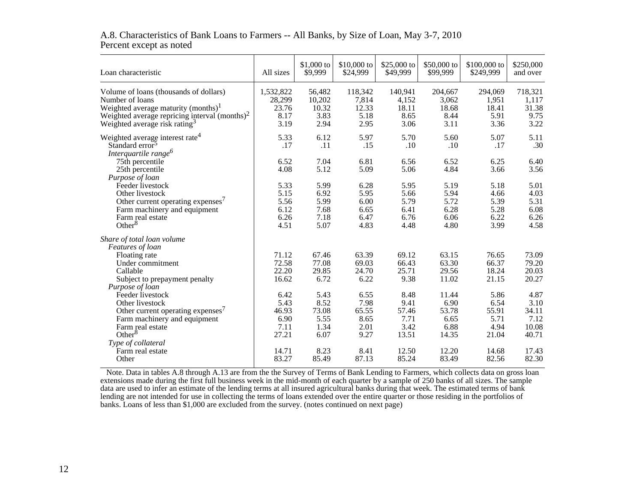| Loan characteristic                              | All sizes | $$1,000$ to<br>\$9,999 | $$10,000$ to<br>\$24,999 | \$25,000 to<br>\$49,999 | \$50,000 to<br>\$99,999 | $$100,000$ to<br>\$249,999 | \$250,000<br>and over |
|--------------------------------------------------|-----------|------------------------|--------------------------|-------------------------|-------------------------|----------------------------|-----------------------|
| Volume of loans (thousands of dollars)           | 1,532,822 | 56,482                 | 118,342                  | 140,941                 | 204,667                 | 294,069                    | 718,321               |
| Number of loans                                  | 28,299    | 10,202                 | 7,814                    | 4,152                   | 3,062                   | 1,951                      | 1,117                 |
| Weighted average maturity (months) <sup>1</sup>  | 23.76     | 10.32                  | 12.33                    | 18.11                   | 18.68                   | 18.41                      | 31.38                 |
| Weighted average repricing interval $(months)^2$ | 8.17      | 3.83                   | 5.18                     | 8.65                    | 8.44                    | 5.91                       | 9.75                  |
| Weighted average risk rating <sup>3</sup>        | 3.19      | 2.94                   | 2.95                     | 3.06                    | 3.11                    | 3.36                       | 3.22                  |
| Weighted average interest rate <sup>4</sup>      | 5.33      | 6.12                   | 5.97                     | 5.70                    | 5.60                    | 5.07                       | 5.11                  |
| Standard error <sup>5</sup>                      | .17       | .11                    | .15                      | .10                     | .10                     | .17                        | .30                   |
| Interquartile range <sup>6</sup>                 |           |                        |                          |                         |                         |                            |                       |
| 75th percentile                                  | 6.52      | 7.04                   | 6.81                     | 6.56                    | 6.52                    | 6.25                       | 6.40                  |
| 25th percentile                                  | 4.08      | 5.12                   | 5.09                     | 5.06                    | 4.84                    | 3.66                       | 3.56                  |
| Purpose of loan                                  |           |                        |                          |                         |                         |                            |                       |
| Feeder livestock                                 | 5.33      | 5.99                   | 6.28                     | 5.95                    | 5.19                    | 5.18                       | 5.01                  |
| Other livestock                                  | 5.15      | 6.92                   | 5.95                     | 5.66                    | 5.94                    | 4.66                       | 4.03                  |
| Other current operating expenses <sup>7</sup>    | 5.56      | 5.99                   | 6.00                     | 5.79                    | 5.72                    | 5.39                       | 5.31                  |
| Farm machinery and equipment                     | 6.12      | 7.68                   | 6.65                     | 6.41                    | 6.28                    | 5.28                       | 6.08                  |
| Farm real estate                                 | 6.26      | 7.18                   | 6.47                     | 6.76                    | 6.06                    | 6.22                       | 6.26                  |
| Other $8$                                        | 4.51      | 5.07                   | 4.83                     | 4.48                    | 4.80                    | 3.99                       | 4.58                  |
| Share of total loan volume                       |           |                        |                          |                         |                         |                            |                       |
| Features of loan                                 |           |                        |                          |                         |                         |                            |                       |
| Floating rate                                    | 71.12     | 67.46                  | 63.39                    | 69.12                   | 63.15                   | 76.65                      | 73.09                 |
| Under commitment                                 | 72.58     | 77.08                  | 69.03                    | 66.43                   | 63.30                   | 66.37                      | 79.20                 |
| Callable                                         | 22.20     | 29.85                  | 24.70                    | 25.71                   | 29.56                   | 18.24                      | 20.03                 |
| Subject to prepayment penalty                    | 16.62     | 6.72                   | 6.22                     | 9.38                    | 11.02                   | 21.15                      | 20.27                 |
| Purpose of loan                                  |           |                        |                          |                         |                         |                            |                       |
| Feeder livestock                                 | 6.42      | 5.43                   | 6.55                     | 8.48                    | 11.44                   | 5.86                       | 4.87                  |
| Other livestock                                  | 5.43      | 8.52                   | 7.98                     | 9.41                    | 6.90                    | 6.54                       | 3.10                  |
| Other current operating expenses <sup>7</sup>    | 46.93     | 73.08                  | 65.55                    | 57.46                   | 53.78                   | 55.91                      | 34.11                 |
| Farm machinery and equipment                     | 6.90      | 5.55                   | 8.65                     | 7.71                    | 6.65                    | 5.71                       | 7.12                  |
| Farm real estate                                 | 7.11      | 1.34                   | 2.01                     | 3.42                    | 6.88                    | 4.94                       | 10.08                 |
| Other $8$                                        | 27.21     | 6.07                   | 9.27                     | 13.51                   | 14.35                   | 21.04                      | 40.71                 |
| Type of collateral                               |           |                        |                          |                         |                         |                            |                       |
| Farm real estate                                 | 14.71     | 8.23                   | 8.41                     | 12.50                   | 12.20                   | 14.68                      | 17.43                 |
| Other                                            | 83.27     | 85.49                  | 87.13                    | 85.24                   | 83.49                   | 82.56                      | 82.30                 |

### A.8. Characteristics of Bank Loans to Farmers -- All Banks, by Size of Loan, May 3-7, 2010Percent except as noted

Note. Data in tables A.8 through A.13 are from the the Survey of Terms of Bank Lending to Farmers, which collects data on gross loan extensions made during the first full business week in the mid-month of each quarter by a sample of 250 banks of all sizes. The sampledata are used to infer an estimate of the lending terms at all insured agricultural banks during that week. The estimated terms of banklending are not intended for use in collecting the terms of loans extended over the entire quarter or those residing in the portfolios of<br>banks. Loans of less than \$1,000 are excluded from the survey. (notes continued on n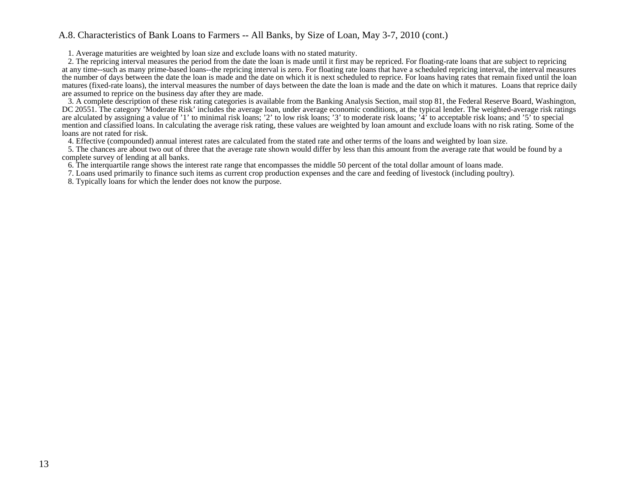#### A.8. Characteristics of Bank Loans to Farmers -- All Banks, by Size of Loan, May 3-7, 2010 (cont.)

1. Average maturities are weighted by loan size and exclude loans with no stated maturity.

 2. The repricing interval measures the period from the date the loan is made until it first may be repriced. For floating-rate loans that are subject to repricing at any time--such as many prime-based loans--the repricing interval is zero. For floating rate loans that have a scheduled repricing interval, the interval measures the number of days between the date the loan is made and the date on which it is next scheduled to reprice. For loans having rates that remain fixed until the loan matures (fixed-rate loans), the interval measures the number of days between the date the loan is made and the date on which it matures. Loans that reprice dailyare assumed to reprice on the business day after they are made.

 3. A complete description of these risk rating categories is available from the Banking Analysis Section, mail stop 81, the Federal Reserve Board, Washington, DC 20551. The category 'Moderate Risk' includes the average loan, under average economic conditions, at the typical lender. The weighted-average risk ratingsare alculated by assigning a value of '1' to minimal risk loans; '2' to low risk loans; '3' to moderate risk loans; '4' to acceptable risk loans; and '5' to special mention and classified loans. In calculating the average risk rating, these values are weighted by loan amount and exclude loans with no risk rating. Some of theloans are not rated for risk.

4. Effective (compounded) annual interest rates are calculated from the stated rate and other terms of the loans and weighted by loan size.

 5. The chances are about two out of three that the average rate shown would differ by less than this amount from the average rate that would be found by acomplete survey of lending at all banks.

6. The interquartile range shows the interest rate range that encompasses the middle 50 percent of the total dollar amount of loans made.

7. Loans used primarily to finance such items as current crop production expenses and the care and feeding of livestock (including poultry).

8. Typically loans for which the lender does not know the purpose.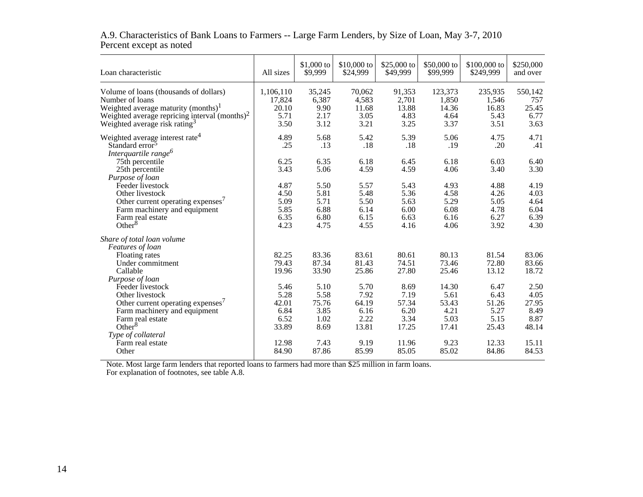| Loan characteristic                              | All sizes | \$1,000 to<br>\$9,999 | \$10,000 to<br>\$24,999 | \$25,000 to<br>\$49,999 | \$50,000 to<br>\$99,999 | \$100,000 to<br>\$249,999 | \$250,000<br>and over |
|--------------------------------------------------|-----------|-----------------------|-------------------------|-------------------------|-------------------------|---------------------------|-----------------------|
| Volume of loans (thousands of dollars)           | 1,106,110 | 35,245                | 70,062                  | 91,353                  | 123,373                 | 235,935                   | 550,142               |
| Number of loans                                  | 17,824    | 6,387                 | 4,583                   | 2,701                   | 1,850                   | 1,546                     | 757                   |
| Weighted average maturity (months) <sup>1</sup>  | 20.10     | 9.90                  | 11.68                   | 13.88                   | 14.36                   | 16.83                     | 25.45                 |
| Weighted average repricing interval $(months)^2$ | 5.71      | 2.17                  | 3.05                    | 4.83                    | 4.64                    | 5.43                      | 6.77                  |
| Weighted average risk rating <sup>3</sup>        | 3.50      | 3.12                  | 3.21                    | 3.25                    | 3.37                    | 3.51                      | 3.63                  |
| Weighted average interest rate <sup>4</sup>      | 4.89      | 5.68                  | 5.42                    | 5.39                    | 5.06                    | 4.75                      | 4.71                  |
| Standard error <sup>3</sup>                      | .25       | .13                   | .18                     | .18                     | .19                     | .20                       | .41                   |
| Interquartile range <sup>6</sup>                 |           |                       |                         |                         |                         |                           |                       |
| 75th percentile                                  | 6.25      | 6.35                  | 6.18                    | 6.45                    | 6.18                    | 6.03                      | 6.40                  |
| 25th percentile                                  | 3.43      | 5.06                  | 4.59                    | 4.59                    | 4.06                    | 3.40                      | 3.30                  |
| Purpose of loan                                  |           |                       |                         |                         |                         |                           |                       |
| Feeder livestock                                 | 4.87      | 5.50                  | 5.57                    | 5.43                    | 4.93                    | 4.88                      | 4.19                  |
| Other livestock                                  | 4.50      | 5.81                  | 5.48                    | 5.36                    | 4.58                    | 4.26                      | 4.03                  |
| Other current operating expenses <sup>7</sup>    | 5.09      | 5.71                  | 5.50                    | 5.63                    | 5.29                    | 5.05                      | 4.64                  |
| Farm machinery and equipment                     | 5.85      | 6.88                  | 6.14                    | 6.00                    | 6.08                    | 4.78                      | 6.04                  |
| Farm real estate                                 | 6.35      | 6.80                  | 6.15                    | 6.63                    | 6.16                    | 6.27                      | 6.39                  |
| Other $8$                                        | 4.23      | 4.75                  | 4.55                    | 4.16                    | 4.06                    | 3.92                      | 4.30                  |
| Share of total loan volume                       |           |                       |                         |                         |                         |                           |                       |
| Features of loan                                 |           |                       |                         |                         |                         |                           |                       |
| Floating rates                                   | 82.25     | 83.36                 | 83.61                   | 80.61                   | 80.13                   | 81.54                     | 83.06                 |
| Under commitment                                 | 79.43     | 87.34                 | 81.43                   | 74.51                   | 73.46                   | 72.80                     | 83.66                 |
| Callable                                         | 19.96     | 33.90                 | 25.86                   | 27.80                   | 25.46                   | 13.12                     | 18.72                 |
| Purpose of loan                                  |           |                       |                         |                         |                         |                           |                       |
| Feeder livestock                                 | 5.46      | 5.10                  | 5.70                    | 8.69                    | 14.30                   | 6.47                      | 2.50                  |
| Other livestock                                  | 5.28      | 5.58                  | 7.92                    | 7.19                    | 5.61                    | 6.43                      | 4.05                  |
| Other current operating expenses <sup>7</sup>    | 42.01     | 75.76                 | 64.19                   | 57.34                   | 53.43                   | 51.26                     | 27.95                 |
| Farm machinery and equipment                     | 6.84      | 3.85                  | 6.16                    | 6.20                    | 4.21                    | 5.27                      | 8.49                  |
| Farm real estate                                 | 6.52      | 1.02                  | 2.22                    | 3.34                    | 5.03                    | 5.15                      | 8.87                  |
| Other $8$                                        | 33.89     | 8.69                  | 13.81                   | 17.25                   | 17.41                   | 25.43                     | 48.14                 |
| Type of collateral                               |           |                       |                         |                         |                         |                           |                       |
| Farm real estate                                 | 12.98     | 7.43                  | 9.19                    | 11.96                   | 9.23                    | 12.33                     | 15.11                 |
| Other                                            | 84.90     | 87.86                 | 85.99                   | 85.05                   | 85.02                   | 84.86                     | 84.53                 |

## A.9. Characteristics of Bank Loans to Farmers -- Large Farm Lenders, by Size of Loan, May 3-7, 2010Percent except as noted

Note. Most large farm lenders that reported loans to farmers had more than \$25 million in farm loans. For explanation of footnotes, see table A.8.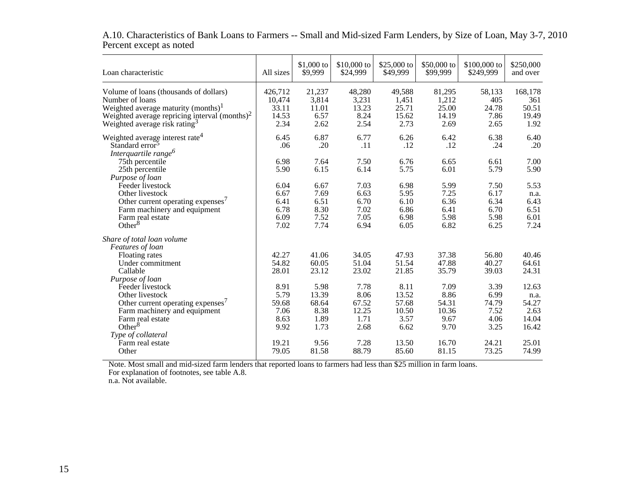| Loan characteristic                                                                                                                                                                                           | All sizes                                     | $$1,000$ to<br>\$9,999                         | \$10,000 to<br>\$24,999                        | \$25,000 to<br>\$49,999                         | \$50,000 to<br>\$99,999                        | \$100,000 to<br>\$249,999                     | \$250,000<br>and over                            |
|---------------------------------------------------------------------------------------------------------------------------------------------------------------------------------------------------------------|-----------------------------------------------|------------------------------------------------|------------------------------------------------|-------------------------------------------------|------------------------------------------------|-----------------------------------------------|--------------------------------------------------|
| Volume of loans (thousands of dollars)<br>Number of loans<br>Weighted average maturity (months) <sup>1</sup><br>Weighted average repricing interval $(months)^2$<br>Weighted average risk rating <sup>3</sup> | 426,712<br>10,474<br>33.11<br>14.53<br>2.34   | 21,237<br>3,814<br>11.01<br>6.57<br>2.62       | 48,280<br>3,231<br>13.23<br>8.24<br>2.54       | 49,588<br>1,451<br>25.71<br>15.62<br>2.73       | 81,295<br>1,212<br>25.00<br>14.19<br>2.69      | 58,133<br>405<br>24.78<br>7.86<br>2.65        | 168,178<br>361<br>50.51<br>19.49<br>1.92         |
| Weighted average interest rate <sup>4</sup><br>Standard error <sup>3</sup><br>Interquartile range <sup>6</sup>                                                                                                | 6.45<br>.06                                   | 6.87<br>.20                                    | 6.77<br>.11                                    | 6.26<br>.12                                     | 6.42<br>.12                                    | 6.38<br>.24                                   | 6.40<br>.20                                      |
| 75th percentile<br>25th percentile<br>Purpose of loan                                                                                                                                                         | 6.98<br>5.90                                  | 7.64<br>6.15                                   | 7.50<br>6.14                                   | 6.76<br>5.75                                    | 6.65<br>6.01                                   | 6.61<br>5.79                                  | 7.00<br>5.90                                     |
| Feeder livestock<br>Other livestock<br>Other current operating expenses <sup>7</sup><br>Farm machinery and equipment<br>Farm real estate                                                                      | 6.04<br>6.67<br>6.41<br>6.78<br>6.09          | 6.67<br>7.69<br>6.51<br>8.30<br>7.52           | 7.03<br>6.63<br>6.70<br>7.02<br>7.05           | 6.98<br>5.95<br>6.10<br>6.86<br>6.98            | 5.99<br>7.25<br>6.36<br>6.41<br>5.98           | 7.50<br>6.17<br>6.34<br>6.70<br>5.98          | 5.53<br>n.a.<br>6.43<br>6.51<br>6.01             |
| Other $8$<br>Share of total loan volume<br>Features of loan                                                                                                                                                   | 7.02                                          | 7.74                                           | 6.94                                           | 6.05                                            | 6.82                                           | 6.25                                          | 7.24                                             |
| Floating rates<br>Under commitment<br>Callable<br>Purpose of loan                                                                                                                                             | 42.27<br>54.82<br>28.01                       | 41.06<br>60.05<br>23.12                        | 34.05<br>51.04<br>23.02                        | 47.93<br>51.54<br>21.85                         | 37.38<br>47.88<br>35.79                        | 56.80<br>40.27<br>39.03                       | 40.46<br>64.61<br>24.31                          |
| Feeder livestock<br>Other livestock<br>Other current operating expenses <sup>7</sup><br>Farm machinery and equipment<br>Farm real estate<br>Other $8$                                                         | 8.91<br>5.79<br>59.68<br>7.06<br>8.63<br>9.92 | 5.98<br>13.39<br>68.64<br>8.38<br>1.89<br>1.73 | 7.78<br>8.06<br>67.52<br>12.25<br>1.71<br>2.68 | 8.11<br>13.52<br>57.68<br>10.50<br>3.57<br>6.62 | 7.09<br>8.86<br>54.31<br>10.36<br>9.67<br>9.70 | 3.39<br>6.99<br>74.79<br>7.52<br>4.06<br>3.25 | 12.63<br>n.a.<br>54.27<br>2.63<br>14.04<br>16.42 |
| Type of collateral<br>Farm real estate<br>Other                                                                                                                                                               | 19.21<br>79.05                                | 9.56<br>81.58                                  | 7.28<br>88.79                                  | 13.50<br>85.60                                  | 16.70<br>81.15                                 | 24.21<br>73.25                                | 25.01<br>74.99                                   |

A.10. Characteristics of Bank Loans to Farmers -- Small and Mid-sized Farm Lenders, by Size of Loan, May 3-7, 2010Percent except as noted

Note. Most small and mid-sized farm lenders that reported loans to farmers had less than \$25 million in farm loans. For explanation of footnotes, see table A.8. n.a. Not available.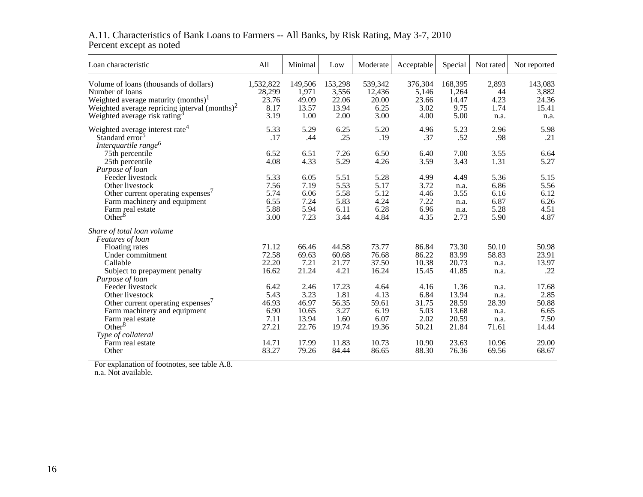## A.11. Characteristics of Bank Loans to Farmers -- All Banks, by Risk Rating, May 3-7, 2010 Percent except as noted

| Loan characteristic                                                                                                                                                                                           | All                                            | Minimal                                          | Low                                             | Moderate                                       | Acceptable                                     | Special                                           | Not rated                                      | Not reported                                    |
|---------------------------------------------------------------------------------------------------------------------------------------------------------------------------------------------------------------|------------------------------------------------|--------------------------------------------------|-------------------------------------------------|------------------------------------------------|------------------------------------------------|---------------------------------------------------|------------------------------------------------|-------------------------------------------------|
| Volume of loans (thousands of dollars)<br>Number of loans<br>Weighted average maturity (months) <sup>1</sup><br>Weighted average repricing interval $(months)^2$<br>Weighted average risk rating <sup>3</sup> | 1,532,822<br>28,299<br>23.76<br>8.17<br>3.19   | 149,506<br>1,971<br>49.09<br>13.57<br>1.00       | 153,298<br>3,556<br>22.06<br>13.94<br>2.00      | 539,342<br>12,436<br>20.00<br>6.25<br>3.00     | 376,304<br>5.146<br>23.66<br>3.02<br>4.00      | 168,395<br>1,264<br>14.47<br>9.75<br>5.00         | 2.893<br>44<br>4.23<br>1.74<br>n.a.            | 143,083<br>3,882<br>24.36<br>15.41<br>n.a.      |
| Weighted average interest rate <sup>4</sup><br>Standard error <sup>5</sup><br>Interquartile range <sup>6</sup>                                                                                                | 5.33<br>.17                                    | 5.29<br>.44                                      | 6.25<br>.25                                     | 5.20<br>.19                                    | 4.96<br>.37                                    | 5.23<br>.52                                       | 2.96<br>.98                                    | 5.98<br>.21                                     |
| 75th percentile<br>25th percentile<br>Purpose of loan                                                                                                                                                         | 6.52<br>4.08                                   | 6.51<br>4.33                                     | 7.26<br>5.29                                    | 6.50<br>4.26                                   | 6.40<br>3.59                                   | 7.00<br>3.43                                      | 3.55<br>1.31                                   | 6.64<br>5.27                                    |
| Feeder livestock<br>Other livestock<br>Other current operating expenses <sup>7</sup><br>Farm machinery and equipment<br>Farm real estate                                                                      | 5.33<br>7.56<br>5.74<br>6.55<br>5.88           | 6.05<br>7.19<br>6.06<br>7.24<br>5.94             | 5.51<br>5.53<br>5.58<br>5.83<br>6.11            | 5.28<br>5.17<br>5.12<br>4.24<br>6.28           | 4.99<br>3.72<br>4.46<br>7.22<br>6.96           | 4.49<br>n.a.<br>3.55<br>n.a.<br>n.a.              | 5.36<br>6.86<br>6.16<br>6.87<br>5.28           | 5.15<br>5.56<br>6.12<br>6.26<br>4.51            |
| Other $8$<br>Share of total loan volume                                                                                                                                                                       | 3.00                                           | 7.23                                             | 3.44                                            | 4.84                                           | 4.35                                           | 2.73                                              | 5.90                                           | 4.87                                            |
| Features of loan<br>Floating rates<br>Under commitment<br>Callable<br>Subject to prepayment penalty                                                                                                           | 71.12<br>72.58<br>22.20<br>16.62               | 66.46<br>69.63<br>7.21<br>21.24                  | 44.58<br>60.68<br>21.77<br>4.21                 | 73.77<br>76.68<br>37.50<br>16.24               | 86.84<br>86.22<br>10.38<br>15.45               | 73.30<br>83.99<br>20.73<br>41.85                  | 50.10<br>58.83<br>n.a.<br>n.a.                 | 50.98<br>23.91<br>13.97<br>.22                  |
| Purpose of loan<br>Feeder livestock<br>Other livestock<br>Other current operating expenses <sup>7</sup><br>Farm machinery and equipment<br>Farm real estate<br>Other $8$                                      | 6.42<br>5.43<br>46.93<br>6.90<br>7.11<br>27.21 | 2.46<br>3.23<br>46.97<br>10.65<br>13.94<br>22.76 | 17.23<br>1.81<br>56.35<br>3.27<br>1.60<br>19.74 | 4.64<br>4.13<br>59.61<br>6.19<br>6.07<br>19.36 | 4.16<br>6.84<br>31.75<br>5.03<br>2.02<br>50.21 | 1.36<br>13.94<br>28.59<br>13.68<br>20.59<br>21.84 | n.a.<br>n.a.<br>28.39<br>n.a.<br>n.a.<br>71.61 | 17.68<br>2.85<br>50.88<br>6.65<br>7.50<br>14.44 |
| Type of collateral<br>Farm real estate<br>Other                                                                                                                                                               | 14.71<br>83.27                                 | 17.99<br>79.26                                   | 11.83<br>84.44                                  | 10.73<br>86.65                                 | 10.90<br>88.30                                 | 23.63<br>76.36                                    | 10.96<br>69.56                                 | 29.00<br>68.67                                  |

For explanation of footnotes, see table A.8. n.a. Not available.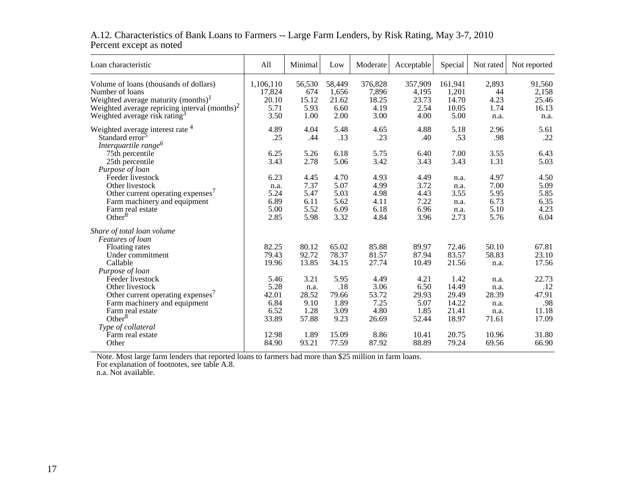## A.12. Characteristics of Bank Loans to Farmers -- Large Farm Lenders, by Risk Rating, May 3-7, 2010Percent except as noted

| Loan characteristic                                                                                                                                                                                           | All                                            | Minimal                                        | Low                                          | Moderate                                       | Acceptable                                     | Special                                           | Not rated                                      | Not reported                                   |
|---------------------------------------------------------------------------------------------------------------------------------------------------------------------------------------------------------------|------------------------------------------------|------------------------------------------------|----------------------------------------------|------------------------------------------------|------------------------------------------------|---------------------------------------------------|------------------------------------------------|------------------------------------------------|
| Volume of loans (thousands of dollars)<br>Number of loans<br>Weighted average maturity (months) <sup>1</sup><br>Weighted average repricing interval $(months)^2$<br>Weighted average risk rating <sup>3</sup> | 1,106,110<br>17,824<br>20.10<br>5.71<br>3.50   | 56,530<br>674<br>15.12<br>5.93<br>1.00         | 58,449<br>1,656<br>21.62<br>6.60<br>2.00     | 376,828<br>7,896<br>18.25<br>4.19<br>3.00      | 357,909<br>4,195<br>23.73<br>2.54<br>4.00      | 161,941<br>1,201<br>14.70<br>10.05<br>5.00        | 2,893<br>44<br>4.23<br>1.74<br>n.a.            | 91,560<br>2,158<br>25.46<br>16.13<br>n.a.      |
| Weighted average interest rate <sup>4</sup><br>Standard error <sup>5</sup><br>Interquartile range <sup>6</sup>                                                                                                | 4.89<br>.25                                    | 4.04<br>.44                                    | 5.48<br>.13                                  | 4.65<br>.23                                    | 4.88<br>.40                                    | 5.18<br>.53                                       | 2.96<br>.98                                    | 5.61<br>.22                                    |
| 75th percentile<br>25th percentile<br>Purpose of loan                                                                                                                                                         | 6.25<br>3.43                                   | 5.26<br>2.78                                   | 6.18<br>5.06                                 | 5.75<br>3.42                                   | 6.40<br>3.43                                   | 7.00<br>3.43                                      | 3.55<br>1.31                                   | 6.43<br>5.03                                   |
| Feeder livestock<br>Other livestock<br>Other current operating expenses <sup>7</sup><br>Farm machinery and equipment<br>Farm real estate                                                                      | 6.23<br>n.a.<br>5.24<br>6.89<br>5.00           | 4.45<br>7.37<br>5.47<br>6.11<br>5.52           | 4.70<br>5.07<br>5.03<br>5.62<br>6.09         | 4.93<br>4.99<br>4.98<br>4.11<br>6.18           | 4.49<br>3.72<br>4.43<br>7.22<br>6.96           | n.a.<br>n.a.<br>3.55<br>n.a.<br>n.a.              | 4.97<br>7.00<br>5.95<br>6.73<br>5.10           | 4.50<br>5.09<br>5.85<br>6.35<br>4.23           |
| Other $8$<br>Share of total loan volume<br>Features of loan                                                                                                                                                   | 2.85                                           | 5.98                                           | 3.32                                         | 4.84                                           | 3.96                                           | 2.73                                              | 5.76                                           | 6.04                                           |
| Floating rates<br>Under commitment<br>Callable                                                                                                                                                                | 82.25<br>79.43<br>19.96                        | 80.12<br>92.72<br>13.85                        | 65.02<br>78.37<br>34.15                      | 85.88<br>81.57<br>27.74                        | 89.97<br>87.94<br>10.49                        | 72.46<br>83.57<br>21.56                           | 50.10<br>58.83<br>n.a.                         | 67.81<br>23.10<br>17.56                        |
| Purpose of loan<br>Feeder livestock<br>Other livestock<br>Other current operating expenses <sup>7</sup><br>Farm machinery and equipment<br>Farm real estate<br>Other $8$                                      | 5.46<br>5.28<br>42.01<br>6.84<br>6.52<br>33.89 | 3.21<br>n.a.<br>28.52<br>9.10<br>1.28<br>57.88 | 5.95<br>.18<br>79.66<br>1.89<br>3.09<br>9.23 | 4.49<br>3.06<br>53.72<br>7.25<br>4.80<br>26.69 | 4.21<br>6.50<br>29.93<br>5.07<br>1.85<br>52.44 | 1.42<br>14.49<br>29.49<br>14.22<br>21.41<br>18.97 | n.a.<br>n.a.<br>28.39<br>n.a.<br>n.a.<br>71.61 | 22.73<br>.12<br>47.91<br>.98<br>11.18<br>17.09 |
| Type of collateral<br>Farm real estate<br>Other                                                                                                                                                               | 12.98<br>84.90                                 | 1.89<br>93.21                                  | 15.09<br>77.59                               | 8.86<br>87.92                                  | 10.41<br>88.89                                 | 20.75<br>79.24                                    | 10.96<br>69.56                                 | 31.80<br>66.90                                 |

Note. Most large farm lenders that reported loans to farmers had more than \$25 million in farm loans. For explanation of footnotes, see table A.8. n.a. Not available.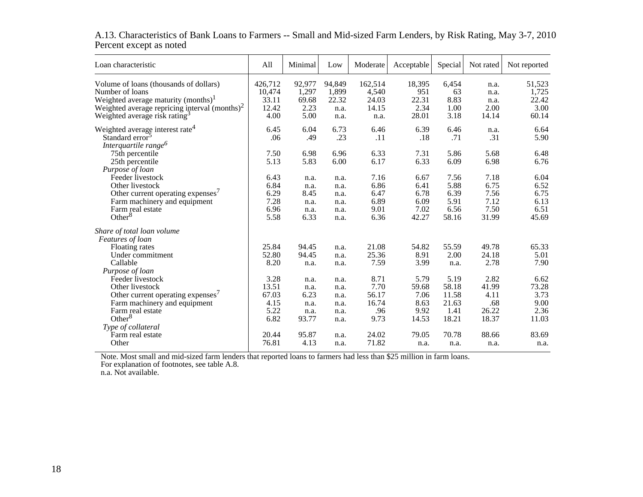| Loan characteristic                                       | All     | Minimal | Low    | Moderate | Acceptable | Special | Not rated | Not reported |
|-----------------------------------------------------------|---------|---------|--------|----------|------------|---------|-----------|--------------|
| Volume of loans (thousands of dollars)                    | 426,712 | 92,977  | 94,849 | 162,514  | 18,395     | 6,454   | n.a.      | 51,523       |
| Number of loans                                           | 10,474  | 1,297   | 1,899  | 4,540    | 951        | 63      | n.a.      | 1,725        |
| Weighted average maturity (months) <sup>1</sup>           | 33.11   | 69.68   | 22.32  | 24.03    | 22.31      | 8.83    | n.a.      | 22.42        |
| Weighted average repricing interval (months) <sup>2</sup> | 12.42   | 2.23    | n.a.   | 14.15    | 2.34       | 1.00    | 2.00      | 3.00         |
| Weighted average risk rating <sup>3</sup>                 | 4.00    | 5.00    | n.a.   | n.a.     | 28.01      | 3.18    | 14.14     | 60.14        |
| Weighted average interest rate <sup>4</sup>               | 6.45    | 6.04    | 6.73   | 6.46     | 6.39       | 6.46    | n.a.      | 6.64         |
| Standard error <sup>3</sup>                               | .06     | .49     | .23    | .11      | .18        | .71     | .31       | 5.90         |
| Interquartile range <sup>6</sup>                          |         |         |        |          |            |         |           |              |
| 75th percentile                                           | 7.50    | 6.98    | 6.96   | 6.33     | 7.31       | 5.86    | 5.68      | 6.48         |
| 25th percentile                                           | 5.13    | 5.83    | 6.00   | 6.17     | 6.33       | 6.09    | 6.98      | 6.76         |
| Purpose of loan                                           |         |         |        |          |            |         |           |              |
| Feeder livestock                                          | 6.43    | n.a.    | n.a.   | 7.16     | 6.67       | 7.56    | 7.18      | 6.04         |
| Other livestock                                           | 6.84    | n.a.    | n.a.   | 6.86     | 6.41       | 5.88    | 6.75      | 6.52         |
| Other current operating expenses <sup>7</sup>             | 6.29    | 8.45    | n.a.   | 6.47     | 6.78       | 6.39    | 7.56      | 6.75         |
| Farm machinery and equipment                              | 7.28    | n.a.    | n.a.   | 6.89     | 6.09       | 5.91    | 7.12      | 6.13         |
| Farm real estate                                          | 6.96    | n.a.    | n.a.   | 9.01     | 7.02       | 6.56    | 7.50      | 6.51         |
| Other $8$                                                 | 5.58    | 6.33    | n.a.   | 6.36     | 42.27      | 58.16   | 31.99     | 45.69        |
| Share of total loan volume                                |         |         |        |          |            |         |           |              |
| Features of loan                                          |         |         |        |          |            |         |           |              |
| Floating rates                                            | 25.84   | 94.45   | n.a.   | 21.08    | 54.82      | 55.59   | 49.78     | 65.33        |
| Under commitment                                          | 52.80   | 94.45   | n.a.   | 25.36    | 8.91       | 2.00    | 24.18     | 5.01         |
| Callable                                                  | 8.20    | n.a.    | n.a.   | 7.59     | 3.99       | n.a.    | 2.78      | 7.90         |
| Purpose of loan                                           |         |         |        |          |            |         |           |              |
| Feeder livestock                                          | 3.28    | n.a.    | n.a.   | 8.71     | 5.79       | 5.19    | 2.82      | 6.62         |
| Other livestock                                           | 13.51   | n.a.    | n.a.   | 7.70     | 59.68      | 58.18   | 41.99     | 73.28        |
| Other current operating expenses <sup>7</sup>             | 67.03   | 6.23    | n.a.   | 56.17    | 7.06       | 11.58   | 4.11      | 3.73         |
| Farm machinery and equipment                              | 4.15    | n.a.    | n.a.   | 16.74    | 8.63       | 21.63   | .68       | 9.00         |
| Farm real estate                                          | 5.22    | n.a.    | n.a.   | .96      | 9.92       | 1.41    | 26.22     | 2.36         |
| Other $8$                                                 | 6.82    | 93.77   | n.a.   | 9.73     | 14.53      | 18.21   | 18.37     | 11.03        |
| Type of collateral                                        |         |         |        |          |            |         |           |              |
| Farm real estate                                          | 20.44   | 95.87   | n.a.   | 24.02    | 79.05      | 70.78   | 88.66     | 83.69        |
| Other                                                     | 76.81   | 4.13    | n.a.   | 71.82    | n.a.       | n.a.    | n.a.      | n.a.         |
|                                                           |         |         |        |          |            |         |           |              |

## A.13. Characteristics of Bank Loans to Farmers -- Small and Mid-sized Farm Lenders, by Risk Rating, May 3-7, 2010Percent except as noted

Note. Most small and mid-sized farm lenders that reported loans to farmers had less than \$25 million in farm loans. For explanation of footnotes, see table A.8. n.a. Not available.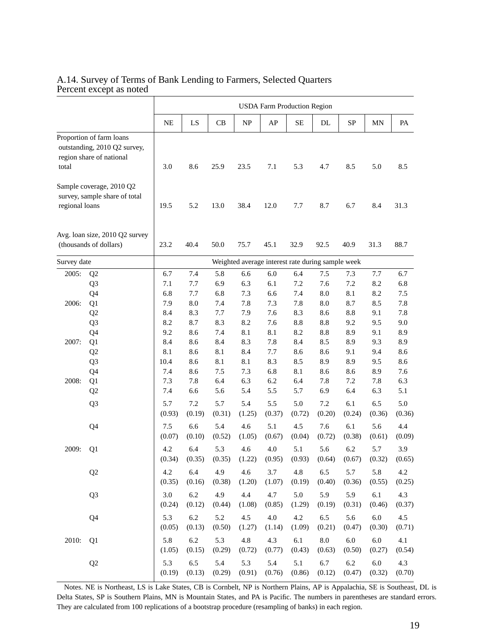### A.14. Survey of Terms of Bank Lending to Farmers, Selected Quarters Percent except as noted

Τ

|                |                                                                                      |                    |                   |                   |                   | <b>USDA Farm Production Region</b>                |                   |                       |                   |                   |                   |
|----------------|--------------------------------------------------------------------------------------|--------------------|-------------------|-------------------|-------------------|---------------------------------------------------|-------------------|-----------------------|-------------------|-------------------|-------------------|
|                |                                                                                      | NE                 | LS                | CB                | NP                | AP                                                | SE                | DL                    | <b>SP</b>         | MN                | PA                |
| total          | Proportion of farm loans<br>outstanding, 2010 Q2 survey,<br>region share of national | 3.0                | 8.6               | 25.9              | 23.5              | 7.1                                               | 5.3               | 4.7                   | 8.5               | 5.0               | 8.5               |
| regional loans | Sample coverage, 2010 Q2<br>survey, sample share of total                            | 19.5               | 5.2               | 13.0              | 38.4              | 12.0                                              | 7.7               | 8.7                   | 6.7               | 8.4               | 31.3              |
|                | Avg. loan size, 2010 Q2 survey<br>(thousands of dollars)                             | 23.2               | 40.4              | 50.0              | 75.7              | 45.1                                              | 32.9              | 92.5                  | 40.9              | 31.3              | 88.7              |
| Survey date    |                                                                                      |                    |                   |                   |                   | Weighted average interest rate during sample week |                   |                       |                   |                   |                   |
| 2005:          | Q <sub>2</sub><br>Q <sub>3</sub>                                                     | 6.7<br>7.1         | 7.4<br>7.7        | 5.8<br>6.9        | 6.6<br>6.3        | 6.0<br>6.1                                        | 6.4<br>7.2        | 7.5<br>7.6            | 7.3<br>7.2        | 7.7<br>8.2        | 6.7<br>6.8        |
| 2006:          | Q4<br>Q1<br>Q <sub>2</sub>                                                           | 6.8<br>7.9<br>8.4  | 7.7<br>8.0<br>8.3 | 6.8<br>7.4<br>7.7 | 7.3<br>7.8<br>7.9 | 6.6<br>7.3<br>7.6                                 | 7.4<br>7.8<br>8.3 | 8.0<br>$8.0\,$<br>8.6 | 8.1<br>8.7<br>8.8 | 8.2<br>8.5<br>9.1 | 7.5<br>7.8<br>7.8 |
|                | Q <sub>3</sub><br>Q4                                                                 | 8.2<br>9.2         | 8.7<br>8.6        | 8.3<br>7.4        | 8.2<br>8.1        | 7.6<br>8.1                                        | 8.8<br>8.2        | 8.8<br>8.8            | 9.2<br>8.9        | 9.5<br>9.1<br>9.3 | 9.0<br>8.9        |
| 2007:          | Q1<br>Q <sub>2</sub><br>Q <sub>3</sub>                                               | 8.4<br>8.1<br>10.4 | 8.6<br>8.6<br>8.6 | 8.4<br>8.1<br>8.1 | 8.3<br>8.4<br>8.1 | 7.8<br>7.7<br>8.3                                 | 8.4<br>8.6<br>8.5 | 8.5<br>8.6<br>8.9     | 8.9<br>9.1<br>8.9 | 9.4<br>9.5        | 8.9<br>8.6<br>8.6 |
| 2008:          | Q4<br>Q1<br>Q <sub>2</sub>                                                           | 7.4<br>7.3<br>7.4  | 8.6<br>7.8<br>6.6 | 7.5<br>6.4<br>5.6 | 7.3<br>6.3<br>5.4 | 6.8<br>6.2<br>5.5                                 | 8.1<br>6.4<br>5.7 | 8.6<br>7.8<br>6.9     | 8.6<br>7.2<br>6.4 | 8.9<br>7.8<br>6.3 | 7.6<br>6.3<br>5.1 |
|                | Q <sub>3</sub>                                                                       | 5.7<br>(0.93)      | 7.2<br>(0.19)     | 5.7<br>(0.31)     | 5.4<br>(1.25)     | 5.5<br>(0.37)                                     | 5.0<br>(0.72)     | 7.2<br>(0.20)         | 6.1<br>(0.24)     | 6.5<br>(0.36)     | 5.0<br>(0.36)     |
|                | Q4                                                                                   | $7.5$<br>(0.07)    | 6.6<br>(0.10)     | 5.4<br>(0.52)     | 4.6<br>(1.05)     | 5.1<br>(0.67)                                     | 4.5<br>(0.04)     | 7.6<br>(0.72)         | 6.1<br>(0.38)     | 5.6<br>(0.61)     | 4.4<br>(0.09)     |
| 2009:          | Q1                                                                                   | 4.2<br>(0.34)      | 6.4<br>(0.35)     | 5.3<br>(0.35)     | 4.6<br>(1.22)     | 4.0<br>(0.95)                                     | 5.1<br>(0.93)     | 5.6<br>(0.64)         | 6.2<br>(0.67)     | 5.7<br>(0.32)     | 3.9<br>(0.65)     |
|                | Q2                                                                                   | 4.2<br>(0.35)      | 6.4<br>(0.16)     | 4.9<br>(0.38)     | 4.6<br>(1.20)     | 3.7<br>(1.07)                                     | 4.8<br>(0.19)     | 6.5<br>(0.40)         | 5.7<br>(0.36)     | 5.8<br>(0.55)     | 4.2<br>(0.25)     |
|                | Q <sub>3</sub>                                                                       | 3.0<br>(0.24)      | 6.2<br>(0.12)     | 4.9<br>(0.44)     | 4.4<br>(1.08)     | 4.7<br>(0.85)                                     | 5.0<br>(1.29)     | 5.9<br>(0.19)         | 5.9<br>(0.31)     | 6.1<br>(0.46)     | 4.3<br>(0.37)     |
|                | Q4                                                                                   | 5.3<br>(0.05)      | 6.2<br>(0.13)     | 5.2<br>(0.50)     | 4.5<br>(1.27)     | 4.0<br>(1.14)                                     | 4.2<br>(1.09)     | 6.5<br>(0.21)         | 5.6<br>(0.47)     | 6.0<br>(0.30)     | 4.5<br>(0.71)     |
| 2010:          | Q1                                                                                   | 5.8<br>(1.05)      | 6.2<br>(0.15)     | 5.3<br>(0.29)     | $4.8\,$<br>(0.72) | 4.3<br>(0.77)                                     | 6.1<br>(0.43)     | $8.0\,$<br>(0.63)     | $6.0\,$<br>(0.50) | 6.0<br>(0.27)     | 4.1<br>(0.54)     |
|                | Q2                                                                                   | 5.3<br>(0.19)      | $6.5\,$<br>(0.13) | 5.4<br>(0.29)     | 5.3<br>(0.91)     | 5.4<br>(0.76)                                     | 5.1<br>(0.86)     | 6.7<br>(0.12)         | $6.2\,$<br>(0.47) | $6.0\,$<br>(0.32) | 4.3<br>(0.70)     |

Notes. NE is Northeast, LS is Lake States, CB is Cornbelt, NP is Northern Plains, AP is Appalachia, SE is Southeast, DL is Delta States, SP is Southern Plains, MN is Mountain States, and PA is Pacific. The numbers in parentheses are standard errors. They are calculated from 100 replications of a bootstrap procedure (resampling of banks) in each region.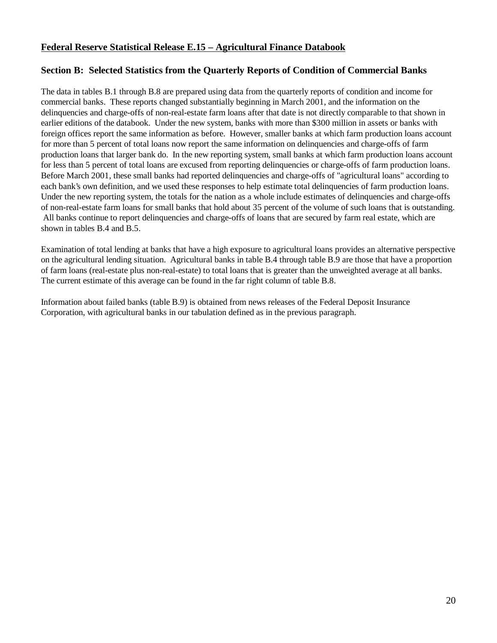## **Federal Reserve Statistical Release E.15 – Agricultural Finance Databook**

## **Section B: Selected Statistics from the Quarterly Reports of Condition of Commercial Banks**

The data in tables B.1 through B.8 are prepared using data from the quarterly reports of condition and income for commercial banks. These reports changed substantially beginning in March 2001, and the information on the delinquencies and charge-offs of non-real-estate farm loans after that date is not directly comparable to that shown in earlier editions of the databook. Under the new system, banks with more than \$300 million in assets or banks with foreign offices report the same information as before. However, smaller banks at which farm production loans account for more than 5 percent of total loans now report the same information on delinquencies and charge-offs of farm production loans that larger bank do. In the new reporting system, small banks at which farm production loans account for less than 5 percent of total loans are excused from reporting delinquencies or charge-offs of farm production loans. Before March 2001, these small banks had reported delinquencies and charge-offs of "agricultural loans" according to each bank's own definition, and we used these responses to help estimate total delinquencies of farm production loans. Under the new reporting system, the totals for the nation as a whole include estimates of delinquencies and charge-offs of non-real-estate farm loans for small banks that hold about 35 percent of the volume of such loans that is outstanding. All banks continue to report delinquencies and charge-offs of loans that are secured by farm real estate, which are shown in tables B.4 and B.5.

Examination of total lending at banks that have a high exposure to agricultural loans provides an alternative perspective on the agricultural lending situation. Agricultural banks in table B.4 through table B.9 are those that have a proportion of farm loans (real-estate plus non-real-estate) to total loans that is greater than the unweighted average at all banks. The current estimate of this average can be found in the far right column of table B.8.

Information about failed banks (table B.9) is obtained from news releases of the Federal Deposit Insurance Corporation, with agricultural banks in our tabulation defined as in the previous paragraph.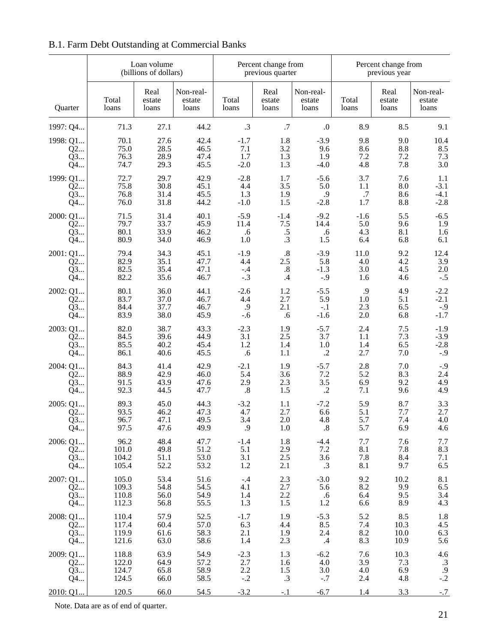#### Loan volume Percent change from Percent change from Percent change from Percent change from Percent change from Percent change from Percent change from Percent change from Percent change from Percent change from Percent ch (billions of dollars) Real Non-real- Real Non-real- Real Non-real-Total estate estate Total estate estate Total estate estate estate Quarter | Ioans | Ioans | Ioans | Ioans | Ioans | Ioans | Ioans | Ioans | Ioans 1997: Q4... 7 71.3 27.1 44.2 .3 .7 .0 8.9 8.5 9.1 1998: Q1... 70.1 27.6 42.4 -1.7 1.8 -3.9 9.8 9.0 10.4  $Q2...$  75.0 28.5 46.5 7.1 3.2 9.6 8.6 8.8 8.5 Q3... 76.3 28.9 47.4 1.7 1.3 1.9 7.2 7.2 7.3 Q4... 74.7 29.3 45.5 -2.0 1.3 -4.0 4.8 7.8 3.0 1999: Q1... 72.7 29.7 42.9 -2.8 1.7 -5.6 3.7 7.6 1.1  $Q2...$  75.8 30.8 45.1 4.4 3.5 5.0 1.1 8.0 -3.1  $Q3...$  76.8 31.4 45.5 1.3 1.9 .9 .7 8.6 -4.1 Q4... 76.0 31.8 44.2 -1.0 1.5 -2.8 1.7 8.8 -2.8 2000: Q1... 71.5 31.4 40.1 -5.9 -1.4 -9.2 -1.6 5.5 -6.5 Q2... 79.7 33.7 45.9 11.4 7.5 14.4 5.0 9.6 1.9  $Q3...$  80.1 33.9 46.2 .6 .5 .6 4.3 8.1 1.6  $Q4...$  80.9 34.0 46.9 1.0 .3 1.5 6.4 6.8 6.1 2001: Q1... 79.4 34.3 45.1 -1.9 .8 -3.9 11.0 9.2 12.4  $Q2...$  82.9 35.1 47.7 4.4 2.5 5.8 4.0 4.2 3.9 Q3... 82.5 35.4 47.1 -.4 .8 -1.3 3.0 4.5 2.0  $Q4...$  82.2 35.6 46.7 -.3 .4 -.9 1.6 4.6 -.5 2002: Q1... 80.1 36.0 44.1 -2.6 1.2 -5.5 .9 4.9 -2.2  $Q2...$  83.7 37.0 46.7 4.4 2.7 5.9 1.0 5.1 -2.1  $Q3...$  84.4 37.7 46.7 9 2.1 -1 2.3 6.5 -.9  $Q4...$  83.9 38.0 45.9 -.6 .6 -1.6 2.0 6.8 -1.7 2003: Q1... 82.0 38.7 43.3 -2.3 1.9 -5.7 2.4 7.5 -1.9  $Q2...$  84.5 39.6 44.9 3.1 2.5 3.7 1.1 7.3 -3.9  $Q3...$  85.5 40.2 45.4 1.2 1.4 1.0 1.4 6.5 -2.8  $Q4...$  86.1 40.6 45.5 .6 1.1 .2 2.7 7.0 -.9 2004: Q1... 84.3 41.4 42.9 -2.1 1.9 -5.7 2.8 7.0 -.9  $Q2...$  88.9 42.9 46.0 5.4 3.6 7.2 5.2 8.3 2.4  $Q3...$  91.5 43.9 47.6 2.9 2.3 3.5 6.9 9.2 4.9  $Q4...$  92.3 44.5 47.7 .8 1.5 .2 7.1 9.6 4.9 2005: Q1... 89.3 45.0 44.3 -3.2 1.1 -7.2 5.9 8.7 3.3  $Q2...$  93.5 46.2 47.3 4.7 2.7 6.6 5.1 7.7 2.7  $Q3...$  96.7 47.1 49.5 3.4 2.0 4.8 5.7 7.4 4.0  $Q4...$  97.5 47.6 49.9 .9 1.0 .8 5.7 6.9 4.6 2006: Q1... 96.2 48.4 47.7 -1.4 1.8 -4.4 7.7 7.6 7.7  $Q2...$  101.0 49.8 51.2 5.1 2.9 7.2 8.1 7.8 8.3  $Q3...$  104.2 51.1 53.0 3.1 2.5 3.6 7.8 8.4 7.1  $Q4...$  105.4 52.2 53.2 1.2 2.1 .3 8.1 9.7 6.5 2007: Q1... 105.0 53.4 51.6 -.4 2.3 -3.0 9.2 10.2 8.1  $Q2...$  109.3 54.8 54.5 4.1 2.7 5.6 8.2 9.9 6.5 Q3... 110.8 56.0 54.9 1.4 2.2 .6 6.4 9.5 3.4  $Q4...$  112.3 56.8 55.5 1.3 1.5 1.2 6.6 8.9 4.3 2008: Q1... 110.4 57.9 52.5 -1.7 1.9 -5.3 5.2 8.5 1.8 Q2... 117.4 60.4 57.0 6.3 4.4 8.5 7.4 10.3 4.5  $Q3...$  119.9 61.6 58.3 2.1 1.9 2.4 8.2 10.0 6.3 Q4... 121.6 63.0 58.6 1.4 2.3 .4 8.3 10.9 5.6 2009: Q1... 118.8 63.9 54.9 -2.3 1.3 -6.2 7.6 10.3 4.6  $Q2...$  122.0 64.9 57.2 2.7 1.6 4.0 3.9 7.3 .3  $Q3...$  124.7 65.8 58.9 2.2 1.5 3.0 4.0 6.9 .9  $Q4...$  124.5 66.0 58.5 -.2 .3 -.7 2.4 4.8 -.2 2010: Q1... 120.5 66.0 54.5 -3.2 -.1 -6.7 1.4 3.3 -.7

### B.1. Farm Debt Outstanding at Commercial Banks

Note. Data are as of end of quarter.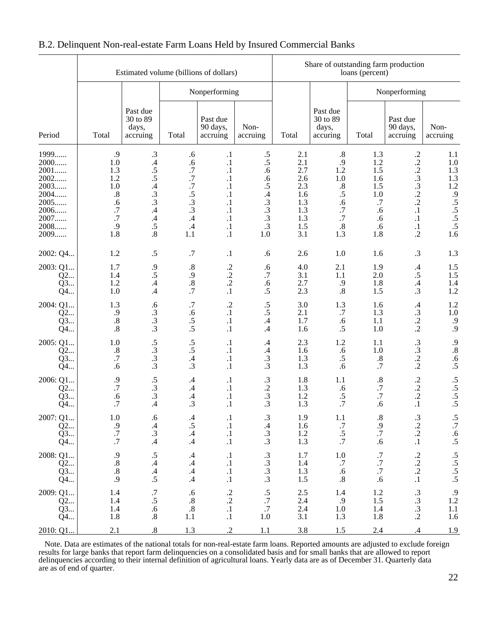|                                                                                      |                                                                                | Estimated volume (billions of dollars)                                                                                     |                                                                                   |                                                                                                                                 |                                                                                                       |                                                                           |                                                                                      | loans (percent)                                                       | Share of outstanding farm production                                                                                   |                                                                                    |  |  |  |  |
|--------------------------------------------------------------------------------------|--------------------------------------------------------------------------------|----------------------------------------------------------------------------------------------------------------------------|-----------------------------------------------------------------------------------|---------------------------------------------------------------------------------------------------------------------------------|-------------------------------------------------------------------------------------------------------|---------------------------------------------------------------------------|--------------------------------------------------------------------------------------|-----------------------------------------------------------------------|------------------------------------------------------------------------------------------------------------------------|------------------------------------------------------------------------------------|--|--|--|--|
|                                                                                      |                                                                                |                                                                                                                            |                                                                                   | Nonperforming                                                                                                                   |                                                                                                       |                                                                           |                                                                                      |                                                                       | Nonperforming                                                                                                          |                                                                                    |  |  |  |  |
| Period                                                                               | Total                                                                          | Past due<br>30 to 89<br>days,<br>accruing                                                                                  | Total                                                                             | Past due<br>90 days,<br>accruing                                                                                                | Non-<br>accruing                                                                                      | Total                                                                     | Past due<br>30 to 89<br>days,<br>accuring                                            | Total                                                                 | Past due<br>90 days,<br>accruing                                                                                       | Non-<br>accruing                                                                   |  |  |  |  |
| 1999<br>2000<br>2001<br>2002<br>2003<br>2004<br>2005<br>2006<br>2007<br>2008<br>2009 | .9<br>1.0<br>1.3<br>1.2<br>1.0<br>$.8\,$<br>.6<br>.7<br>$\cdot$ 7<br>.9<br>1.8 | $\cdot$ 3<br>$\mathcal{A}$<br>.5<br>.5<br>$\frac{.4}{.3}$<br>$\cdot$ 3<br>$\cdot$<br>$\mathcal{A}$<br>.5<br>$\overline{8}$ | .6<br>.6<br>.7<br>$.7\,$<br>$\cdot 7$<br>.5<br>$\cdot$ 3<br>.3<br>.4<br>.4<br>1.1 | $\cdot$<br>$\cdot$<br>$\cdot$<br>$\cdot$<br>$\cdot^1$<br>$\cdot$<br>$\cdot^1$<br>$\cdot$<br>$\cdot$ 1<br>$\cdot^1$<br>$\cdot$ 1 | $.5\,$<br>$.5\,$<br>.6<br>.6<br>$\cdot$ 5<br>$\mathcal{A}$<br>$\cdot$ 3<br>$\frac{3}{3}$<br>.3<br>1.0 | 2.1<br>2.1<br>2.7<br>2.6<br>2.3<br>1.6<br>1.3<br>1.3<br>1.3<br>1.5<br>3.1 | .8<br>.9<br>1.2<br>$1.0\,$<br>$\frac{.8}{.5}$<br>.6<br>$.7\,$<br>.7<br>$.8\,$<br>1.3 | 1.3<br>1.2<br>1.5<br>1.6<br>1.5<br>1.0<br>.7<br>.6<br>.6<br>.6<br>1.8 | $\cdot$<br>$\cdot$<br>$\frac{.2}{.3}$<br>$\cdot$ 3<br>$\cdot$<br>$\cdot$<br>$\cdot$<br>$\cdot$ 1<br>$\cdot$<br>$\cdot$ | 1.1<br>1.0<br>1.3<br>1.3<br>1.2<br>.9<br>$\overline{.5}$<br>$\frac{.5}{.5}$<br>1.6 |  |  |  |  |
| 2002: Q4                                                                             | 1.2                                                                            | $\cdot$ 5                                                                                                                  | .7                                                                                | $\cdot$                                                                                                                         | .6                                                                                                    | 2.6                                                                       | 1.0                                                                                  | 1.6                                                                   | $\cdot$ 3                                                                                                              | 1.3                                                                                |  |  |  |  |
| 2003: Q1<br>Q2<br>Q3<br>Q4                                                           | 1.7<br>1.4<br>1.2<br>1.0                                                       | .9<br>.5<br>$\mathcal{A}$<br>$\cdot$                                                                                       | .8<br>$\cdot$ .9<br>$.8\,$<br>.7                                                  | $\cdot$<br>$\frac{.2}{.2}$<br>$\cdot$ 1                                                                                         | .6<br>.7<br>.6<br>.5                                                                                  | 4.0<br>3.1<br>2.7<br>2.3                                                  | 2.1<br>1.1<br>.9<br>.8                                                               | 1.9<br>2.0<br>1.8<br>1.5                                              | $\mathcal{A}$<br>$\cdot$ 5<br>$\mathcal{A}$<br>.3                                                                      | $1.5\,$<br>1.5<br>1.4<br>1.2                                                       |  |  |  |  |
| 2004: Q1<br>Q2<br>Q3<br>Q4                                                           | 1.3<br>.9<br>$.8\,$<br>.8                                                      | .6<br>$\frac{3}{3}$<br>$\cdot$ 3                                                                                           | $.7\,$<br>.6<br>$.5\,$<br>$\overline{.5}$                                         | $\cdot$<br>$\cdot^1$<br>$\cdot$<br>$\cdot$                                                                                      | $.5\,$<br>$\cdot$ 5<br>.4<br>.4                                                                       | 3.0<br>2.1<br>1.7<br>1.6                                                  | 1.3<br>$.7$<br>.6<br>.5                                                              | 1.6<br>1.3<br>1.1<br>1.0                                              | $\mathcal{A}$<br>$\cdot$ 3<br>$\cdot$<br>$\cdot$                                                                       | 1.2<br>$1.0\,$<br>.9<br>.9                                                         |  |  |  |  |
| 2005: Q1<br>Q2<br>Q3<br>Q4                                                           | 1.0<br>$.8\,$<br>$.7\,$<br>.6                                                  | .5<br>$\frac{3}{3}$                                                                                                        | $\cdot$ 5<br>.5<br>$\mathcal{A}$<br>$\cdot$ 3                                     | $\cdot$<br>$\cdot$<br>$\cdot$<br>$\cdot$                                                                                        | $.4\phantom{0}$<br>$\mathcal{A}$<br>$\cdot$ 3<br>.3                                                   | 2.3<br>1.6<br>1.3<br>1.3                                                  | 1.2<br>.6<br>$.5\,$<br>.6                                                            | 1.1<br>1.0<br>$.8\,$<br>.7                                            | $\cdot$ 3<br>$\frac{.3}{.2}$                                                                                           | .9<br>$\cdot$ 8<br>.6<br>$\cdot$ 5                                                 |  |  |  |  |
| 2006: Q1<br>Q2<br>Q3<br>Q4                                                           | $\frac{.9}{.7}$<br>.6<br>$\cdot$ 7                                             | $\frac{0.5}{0.3}$<br>$\cdot$ 3<br>.4                                                                                       | .4<br>.4<br>$\mathcal{A}$<br>.3                                                   | $\cdot$<br>$\cdot$ 1<br>$\cdot^1$<br>$\cdot$ 1                                                                                  | $\frac{.3}{.2}$<br>$\cdot$ 3<br>.3                                                                    | 1.8<br>1.3<br>1.2<br>1.3                                                  | 1.1<br>.6<br>$\cdot$ 5<br>.7                                                         | $.8\,$<br>$.7\,$<br>$.7\,$<br>.6                                      | $\frac{.2}{.2}$<br>$\cdot$<br>$\cdot$ 1                                                                                | $\frac{.5}{.5}$<br>$\frac{.5}{.5}$                                                 |  |  |  |  |
| 2007: Q1<br>$Q^2$<br>Q3<br>Q4                                                        | 1.0<br>$\frac{.9}{.7}$                                                         | .6<br>$\frac{.4}{.3}$                                                                                                      | .4<br>$\cdot$ 5<br>.4.4                                                           | $\cdot$<br>$\begin{array}{c} .1 \\ .1 \\ .1 \end{array}$                                                                        | .3<br>.4.3.3.3                                                                                        | 1.9<br>1.6<br>$\frac{1.2}{1.3}$                                           | 1.1<br>$\frac{.7}{.5}$                                                               | .8<br>$\frac{.9}{.7}$<br>.6                                           | .3<br>$\frac{.2}{.2}$                                                                                                  | .5<br>$\frac{7}{6}$<br>.5                                                          |  |  |  |  |
| 2008: Q1<br>Q2<br>Q3<br>Q4                                                           | .88889                                                                         | $.5$<br>$.4$<br>$.5$                                                                                                       | $\mathcal{A}$<br>$\mathcal{A}$<br>$\mathcal{A}$<br>$\mathcal{A}$                  | $\cdot$<br>$\cdot$<br>$\cdot$<br>$\cdot^1$                                                                                      | $3/3$<br>$3/3$                                                                                        | 1.7<br>$1.4\,$<br>1.3<br>$1.5$                                            | $1.0$<br>.7<br>.6<br>$\overline{.8}$                                                 | $\frac{.7}{.7}$<br>$.7\,$<br>.6                                       | $\begin{array}{c} .2 \\ .2 \\ .1 \end{array}$                                                                          | $\frac{.5}{.5}$<br>$\frac{.5}{.5}$                                                 |  |  |  |  |
| 2009: Q1<br>Q2<br>Q3<br>Q4                                                           | 1.4<br>1.4<br>$\frac{1.4}{1.8}$                                                | $\frac{.7}{.5}$<br>$\cdot 6$<br>$\boldsymbol{.8}$                                                                          | $\begin{array}{c} .6 \\ .8 \\ .8 \end{array}$<br>1.1                              | $\frac{.2}{.2}$<br>$\cdot^1$                                                                                                    | $\frac{.5}{.7}$<br>1.0                                                                                | $^{2.5}_{2.4}$<br>2.4<br>3.1                                              | $1.4$<br>$.9$<br>$1.0$<br>1.3                                                        | 1.2<br>1.5<br>1.4<br>1.8                                              | $\begin{array}{c} .3 \\ .3 \\ .2 \end{array}$                                                                          | $\begin{array}{c} .9 \\ 1.2 \\ 1.1 \\ 1.6 \end{array}$                             |  |  |  |  |
| 2010: Q1.                                                                            | 2.1                                                                            | $\overline{8}$                                                                                                             | 1.3                                                                               | $\overline{2}$                                                                                                                  | 1.1                                                                                                   | 3.8                                                                       | 1.5                                                                                  | 2.4                                                                   | .4                                                                                                                     | 1.9                                                                                |  |  |  |  |

## B.2. Delinquent Non-real-estate Farm Loans Held by Insured Commercial Banks

 Note. Data are estimates of the national totals for non-real-estate farm loans. Reported amounts are adjusted to exclude foreign results for large banks that report farm delinquencies on a consolidated basis and for small banks that are allowed to report delinquencies according to their internal definition of agricultural loans. Yearly data are as of December 31. Quarterly data are as of end of quarter.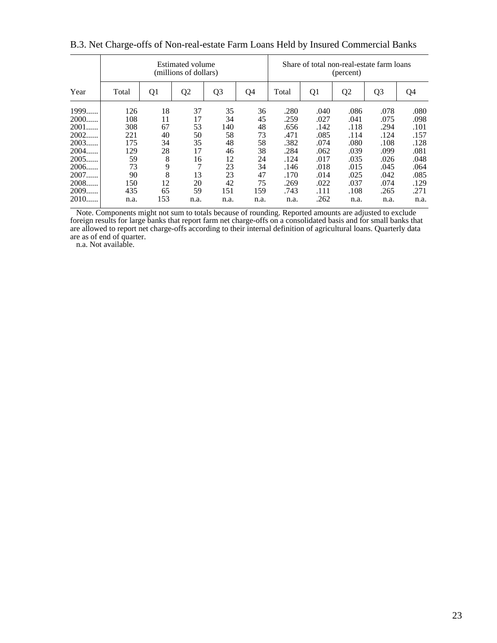|        |       |     | Estimated volume<br>(millions of dollars) |                |      |       |                | (percent)      | Share of total non-real-estate farm loans |      |
|--------|-------|-----|-------------------------------------------|----------------|------|-------|----------------|----------------|-------------------------------------------|------|
| Year   | Total | Q1  | Q <sub>2</sub>                            | Q <sub>3</sub> | Q4   | Total | Q <sub>1</sub> | Q <sub>2</sub> | Q <sub>3</sub>                            | Q4   |
| 1999   | 126   | 18  | 37                                        | 35             | 36   | .280  | .040           | .086           | .078                                      | .080 |
| 2000   | 108   | 11  | 17                                        | 34             | 45   | .259  | .027           | .041           | .075                                      | .098 |
| 2001   | 308   | 67  | 53                                        | 140            | 48   | .656  | .142           | .118           | .294                                      | .101 |
| 2002   | 221   | 40  | 50                                        | 58             | 73   | .471  | .085           | .114           | .124                                      | .157 |
| 2003   | 175   | 34  | 35                                        | 48             | 58   | .382  | .074           | .080           | .108                                      | .128 |
| 2004   | 129   | 28  | 17                                        | 46             | 38   | .284  | .062           | .039           | .099                                      | .081 |
| 2005   | 59    | 8   | 16                                        | 12             | 24   | .124  | .017           | .035           | .026                                      | .048 |
| 2006   | 73    | 9   | $\mathcal{I}$                             | 23             | 34   | .146  | .018           | .015           | .045                                      | .064 |
| 2007   | 90    | 8   | 13                                        | 23             | 47   | .170  | .014           | .025           | .042                                      | .085 |
| 2008   | 150   | 12  | 20                                        | 42             | 75   | .269  | .022           | .037           | .074                                      | .129 |
| 2009   | 435   | 65  | 59                                        | 151            | 159  | .743  | .111           | .108           | .265                                      | .271 |
| $2010$ | n.a.  | 153 | n.a.                                      | n.a.           | n.a. | n.a.  | .262           | n.a.           | n.a.                                      | n.a. |

B.3. Net Charge-offs of Non-real-estate Farm Loans Held by Insured Commercial Banks

 Note. Components might not sum to totals because of rounding. Reported amounts are adjusted to exclude foreign results for large banks that report farm net charge-offs on a consolidated basis and for small banks that are allowed to report net charge-offs according to their internal definition of agricultural loans. Quarterly data are as of end of quarter.

n.a. Not available.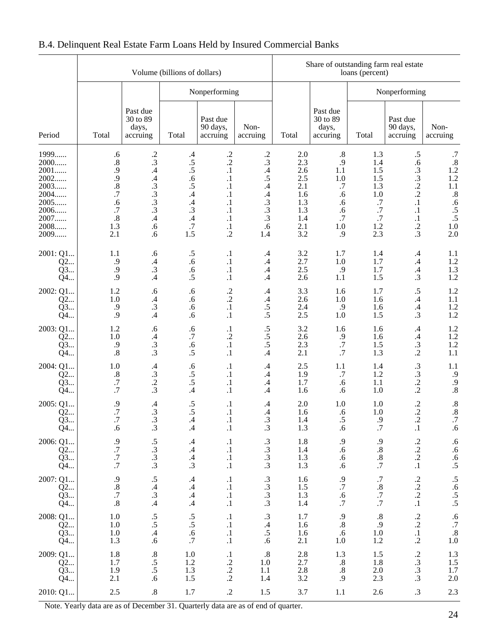|                                                                                      |                                                                                                    |                                                                                     | Volume (billions of dollars)                                                                                  |                                                                                                                               |                                                                                                     |                                                                               | Share of outstanding farm real estate                                         | loans (percent)                                                                |                                                                                                            |                                                                                                               |
|--------------------------------------------------------------------------------------|----------------------------------------------------------------------------------------------------|-------------------------------------------------------------------------------------|---------------------------------------------------------------------------------------------------------------|-------------------------------------------------------------------------------------------------------------------------------|-----------------------------------------------------------------------------------------------------|-------------------------------------------------------------------------------|-------------------------------------------------------------------------------|--------------------------------------------------------------------------------|------------------------------------------------------------------------------------------------------------|---------------------------------------------------------------------------------------------------------------|
|                                                                                      |                                                                                                    |                                                                                     |                                                                                                               | Nonperforming                                                                                                                 |                                                                                                     |                                                                               |                                                                               |                                                                                | Nonperforming                                                                                              |                                                                                                               |
| Period                                                                               | Total                                                                                              | Past due<br>30 to 89<br>days,<br>accruing                                           | Total                                                                                                         | Past due<br>90 days,<br>accruing                                                                                              | Non-<br>accruing                                                                                    | Total                                                                         | Past due<br>30 to 89<br>days,<br>accuring                                     | Total                                                                          | Past due<br>90 days,<br>accruing                                                                           | Non-<br>accruing                                                                                              |
| 1999<br>2000<br>2001<br>2002<br>2003<br>2004<br>2005<br>2006<br>2007<br>2008<br>2009 | .6<br>$\cdot$ <sup>8</sup> .<br>.9<br>.9<br>$\frac{.8}{.7}$<br>.6<br>.7<br>$\cdot$ 8<br>1.3<br>2.1 | $\frac{.2}{.3}$<br>$\mathcal{A}$<br>$.43.3$<br>$.33.3$<br>$\mathcal{A}$<br>.6<br>.6 | .4<br>.5<br>$\overline{.5}$<br>.6<br>.5<br>$\mathcal{A}$<br>$\mathcal{A}$<br>.3<br>$\mathcal{A}$<br>.7<br>1.5 | $\frac{.2}{.2}$<br>$\cdot^1$<br>$\cdot$<br>$\cdot^1$<br>$\cdot$<br>$\cdot^1$<br>$\cdot$<br>$\cdot$<br>$\cdot^1$<br>$\cdot$ .2 | $\frac{.2}{.3}$<br>$\cdot$<br>.5<br>$\cdot$<br>$\cdot$<br>$\cdot$ 3<br>$\frac{.3}{.3}$<br>.6<br>1.4 | $2.0\,$<br>2.3<br>2.6<br>2.5<br>2.1<br>1.6<br>1.3<br>1.3<br>1.4<br>2.1<br>3.2 | $.8\,$<br>.9<br>1.1<br>1.0<br>$.7\,$<br>.6<br>.6<br>.6<br>.7<br>$1.0\,$<br>.9 | 1.3<br>1.4<br>1.5<br>1.5<br>1.3<br>1.0<br>$.7\,$<br>$.7\,$<br>.7<br>1.2<br>2.3 | $\cdot$ 5<br>.6<br>$\frac{3}{3}$<br>$\cdot$<br>$\cdot$<br>$\cdot$<br>$\cdot$<br>$\cdot$<br>$\frac{.2}{.3}$ | $.7\,$<br>$.8\,$<br>1.2<br>1.2<br>$1.1\,$<br>$\boldsymbol{.8}$<br>.6<br>$\frac{.5}{.5}$<br>$1.0\,$<br>$2.0\,$ |
| 2001: Q1<br>Q2<br>Q3<br>Q4                                                           | 1.1<br>.9<br>.9<br>.9                                                                              | .6<br>$\mathcal{A}$<br>.3<br>.4                                                     | .5<br>.6<br>.6<br>.5                                                                                          | $\cdot$<br>$\cdot$<br>$\cdot^1$<br>$\cdot$ 1                                                                                  | $\cdot$ 4<br>$.4\,$<br>$.4\,$<br>$\cdot$ 4                                                          | 3.2<br>2.7<br>2.5<br>2.6                                                      | 1.7<br>1.0<br>.9<br>1.1                                                       | 1.4<br>1.7<br>1.7<br>1.5                                                       | $\cdot$ 4<br>$.4\phantom{0}$<br>$\mathcal{A}$<br>.3                                                        | 1.1<br>1.2<br>1.3<br>1.2                                                                                      |
| 2002: Q1<br>Q2<br>Q3<br>Q4                                                           | 1.2<br>1.0<br>.9<br>.9                                                                             | .6<br>$\mathcal{A}$<br>$\cdot$ 3<br>$\mathcal{A}$                                   | .6<br>.6<br>.6<br>.6                                                                                          | $\frac{.2}{.2}$<br>$\cdot^1$<br>$\cdot$ 1                                                                                     | .4<br>$\cdot$<br>$\cdot$ 5<br>$\overline{.5}$                                                       | 3.3<br>2.6<br>2.4<br>2.5                                                      | 1.6<br>1.0<br>.9<br>1.0                                                       | 1.7<br>1.6<br>1.6<br>1.5                                                       | $\cdot$ 5<br>$\mathcal{A}$<br>$\mathcal{A}$<br>.3                                                          | 1.2<br>1.1<br>1.2<br>1.2                                                                                      |
| 2003: Q1<br>Q2<br>Q3<br>Q4                                                           | 1.2<br>1.0<br>.9<br>.8                                                                             | .6<br>$\mathcal{A}$<br>.3<br>$\cdot$ 3                                              | .6<br>.7<br>.6<br>.5                                                                                          | $\cdot$<br>$\cdot$ .2<br>$\cdot$ 1<br>$\cdot$                                                                                 | $\cdot$ 5<br>$.5\,$<br>.5<br>$\mathcal{A}$                                                          | 3.2<br>2.6<br>2.3<br>2.1                                                      | 1.6<br>.9<br>$.7\,$<br>.7                                                     | 1.6<br>1.6<br>1.5<br>1.3                                                       | $\cdot$ 4<br>$\mathcal{A}$<br>$\cdot$ 3<br>$\cdot$                                                         | 1.2<br>1.2<br>1.2<br>1.1                                                                                      |
| 2004: Q1<br>Q2<br>Q3<br>Q4                                                           | 1.0<br>$.8\,$<br>$\cdot^7$<br>.7                                                                   | $\mathcal{A}$<br>$\frac{3}{2}$                                                      | .6<br>$\cdot$ 5<br>.5<br>$\mathcal{A}$                                                                        | $\cdot$<br>$\cdot$<br>$\cdot$<br>$\cdot$ 1                                                                                    | .4<br>$.4\phantom{0}$<br>$\cdot$<br>$\cdot$                                                         | 2.5<br>1.9<br>1.7<br>1.6                                                      | 1.1<br>$.7$<br>.6<br>.6                                                       | 1.4<br>1.2<br>1.1<br>1.0                                                       | $\cdot$ 3<br>$\cdot$ 3<br>$\frac{.2}{.2}$                                                                  | 1.1<br>.9<br>.9<br>$.8\,$                                                                                     |
| 2005: Q1<br>Q2<br>Q3<br>Q4                                                           | $\frac{.9}{.7}$<br>$.7\,$<br>.6                                                                    | $\mathcal{A}$<br>.3<br>$\cdot$ 3<br>$\cdot$ 3                                       | $\cdot$ 5<br>.5<br>$\mathcal{A}$<br>$\mathcal{A}$                                                             | $\cdot$<br>$\cdot$<br>$\cdot$                                                                                                 | .4<br>.4<br>$\cdot$ 3<br>$\cdot$ 3                                                                  | 2.0<br>1.6<br>1.4<br>1.3                                                      | 1.0<br>.6<br>.5<br>.6                                                         | 1.0<br>1.0<br>9.<br>$\cdot$ 7                                                  | $\frac{.2}{.2}$<br>$\cdot$<br>$\cdot$                                                                      | $\overset{8}{\text{.8}}$<br>$.7\,$<br>.6                                                                      |
| 2006: Q1<br>Q2<br>Q3<br>Q4                                                           | $.9.77$<br>$.7.7$                                                                                  | $\frac{0.5}{0.3}$                                                                   | $\mathcal{A}$<br>.4<br>$\mathcal{A}$<br>$\cdot$ 3                                                             | $\cdot$<br>$\cdot$<br>$\cdot$<br>$\cdot$                                                                                      | $\frac{3}{3}$<br>$\frac{3}{3}$                                                                      | 1.8<br>1.4<br>1.3<br>1.3                                                      | $.6.6$<br>$.6.6$                                                              | .9<br>$\boldsymbol{.8}$<br>$\frac{.8}{.7}$                                     | $\frac{.2}{.2}$<br>$\frac{.2}{.1}$                                                                         | .6<br>6.6<br>5.5                                                                                              |
| 2007: Q1<br>Q2<br>Q3<br>Q4                                                           | $.8 \n  .8 \n  .7 \n  .8$                                                                          | $\frac{0.5}{0.4}$<br>$\mathcal{A}$                                                  | $\mathcal{A}$<br>$\mathcal{A}$<br>$\mathcal{A}$<br>$\mathcal{A}$                                              | $\cdot$<br>$\frac{.1}{.1}$<br>$\cdot^1$                                                                                       | $3/3$<br>$3/3$                                                                                      | 1.6<br>1.5<br>1.3<br>1.4                                                      | $.9.7$<br>$.6.7$                                                              | $\frac{0.7}{0.8}$<br>.7                                                        | $\frac{.2}{.2}$<br>$\cdot$                                                                                 | $.5.6$<br>$.5.5$                                                                                              |
| 2008: Q1<br>$Q^2$<br>$Q^3$<br>Q4                                                     | $1.0\,$<br>$1.0\,$<br>$\begin{array}{c} 1.0 \\ 1.3 \end{array}$                                    | $\frac{.5}{.5}$<br>.4.6                                                             | $\frac{.5}{.5}$<br>.6,7                                                                                       | $\cdot$<br>$\cdot$<br>$\frac{.1}{.1}$                                                                                         | $\frac{.3}{.4}$<br>$\cdot$ 5<br>.6                                                                  | 1.7<br>1.6<br>1.6<br>2.1                                                      | $\frac{9}{8}$<br>$\cdot$<br>$1.0\,$                                           | $.8\,$<br>.9<br>$1.0\,$<br>1.2                                                 | $\frac{.2}{.2}$<br>$\frac{.1}{.2}$                                                                         | $\begin{array}{c} .6 \\ .7 \\ .8 \\ 1.0 \end{array}$                                                          |
| 2009: Q1<br>$Q^2$<br>Q3<br>Q4                                                        | $\frac{1.8}{1.7}$<br>$\frac{1.9}{2.1}$                                                             | $.8\phantom{0}5.5$<br>$.5\phantom{0}5.6$                                            | $1.0\,$<br>1.2<br>$1.3\,$<br>1.5                                                                              | $\frac{1}{2}$<br>$\frac{2}{2}$                                                                                                | $\cdot$ 8<br>1.0<br>1.1<br>1.4                                                                      | 2.8<br>2.7<br>2.8<br>3.2                                                      | $1.3\,$<br>$\frac{8}{3}$<br>$.8\,$<br>.9                                      | 1.5<br>1.8<br>$2.0\,$<br>2.3                                                   | $\begin{array}{c} .2 \\ .3 \\ .3 \end{array}$                                                              | $\begin{array}{c} 1.3 \\ 1.5 \\ 1.7 \\ 2.0 \end{array}$                                                       |
| 2010: Q1                                                                             | $2.5\,$                                                                                            | $.8\,$                                                                              | 1.7                                                                                                           | $\cdot$                                                                                                                       | 1.5                                                                                                 | 3.7                                                                           | 1.1                                                                           | 2.6                                                                            | $\cdot$ 3                                                                                                  | 2.3                                                                                                           |

## B.4. Delinquent Real Estate Farm Loans Held by Insured Commercial Banks

Note. Yearly data are as of December 31. Quarterly data are as of end of quarter.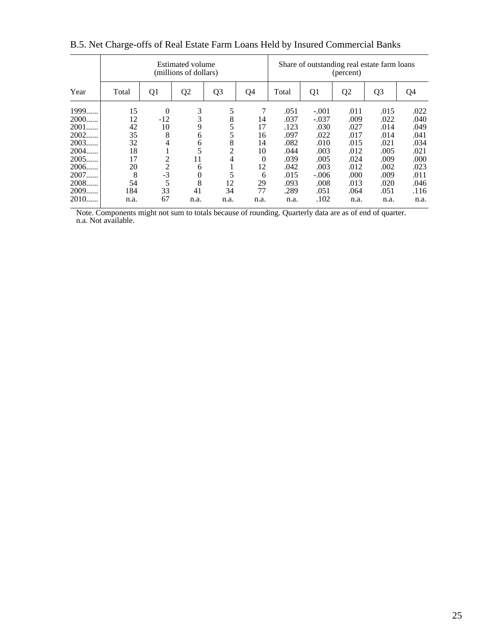|        |       |                | <b>Estimated volume</b><br>(millions of dollars) |                |          |       |                | (percent)      | Share of outstanding real estate farm loans |      |
|--------|-------|----------------|--------------------------------------------------|----------------|----------|-------|----------------|----------------|---------------------------------------------|------|
| Year   | Total | Q1             | Q <sub>2</sub>                                   | Q <sub>3</sub> | Q4       | Total | Q <sub>1</sub> | Q <sub>2</sub> | Q <sub>3</sub>                              | Q4   |
| 1999   | 15    | $\theta$       | 3                                                | 5              | 7        | .051  | $-.001$        | .011           | .015                                        | .022 |
| 2000   | 12    | $-12$          | 3                                                | 8              | 14       | .037  | $-.037$        | .009           | .022                                        | .040 |
| 2001   | 42    | 10             | 9                                                |                | 17       | .123  | .030           | .027           | .014                                        | .049 |
| 2002   | 35    | 8              | 6                                                | 5              | 16       | .097  | .022           | .017           | .014                                        | .041 |
| 2003   | 32    | 4              | 6                                                | 8              | 14       | .082  | .010           | .015           | .021                                        | .034 |
| 2004   | 18    | ı              | 5                                                | $\overline{c}$ | 10       | .044  | .003           | .012           | .005                                        | .021 |
| 2005   | 17    | $\overline{c}$ | 11                                               | 4              | $\theta$ | .039  | .005           | .024           | .009                                        | .000 |
| 2006   | 20    | $\overline{2}$ | 6                                                |                | 12       | .042  | .003           | .012           | .002                                        | .023 |
| 2007   | 8     | $-3$           | $\theta$                                         | 5              | 6        | .015  | $-.006$        | .000           | .009                                        | .011 |
| 2008   | 54    | 5              | 8                                                | 12             | 29       | .093  | .008           | .013           | .020                                        | .046 |
| 2009   | 184   | 33             | 41                                               | 34             | 77       | .289  | .051           | .064           | .051                                        | .116 |
| $2010$ | n.a.  | 67             | n.a.                                             | n.a.           | n.a.     | n.a.  | .102           | n.a.           | n.a.                                        | n.a. |

## B.5. Net Charge-offs of Real Estate Farm Loans Held by Insured Commercial Banks

 Note. Components might not sum to totals because of rounding. Quarterly data are as of end of quarter. n.a. Not available.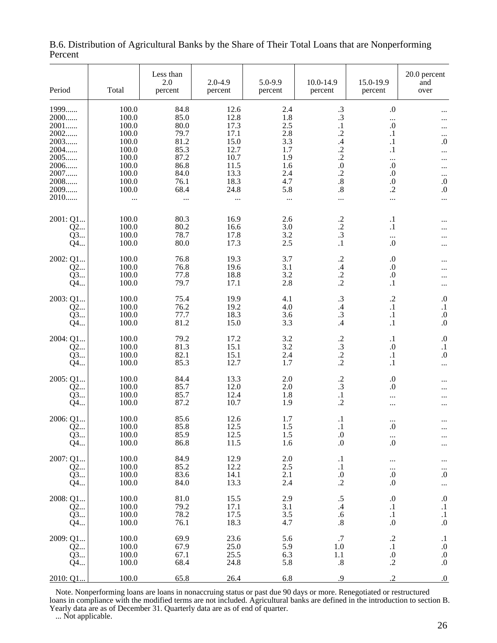| Period                                  | Total                                | Less than<br>2.0<br>percent  | $2.0 - 4.9$<br>percent       | 5.0-9.9<br>percent       | 10.0-14.9<br>percent                                  | 15.0-19.9<br>percent                                         | 20.0 percent<br>and<br>over                                    |
|-----------------------------------------|--------------------------------------|------------------------------|------------------------------|--------------------------|-------------------------------------------------------|--------------------------------------------------------------|----------------------------------------------------------------|
| 1999<br>2000<br>2001                    | 100.0<br>100.0<br>100.0              | 84.8<br>85.0<br>80.0         | 12.6<br>12.8<br>17.3         | 2.4<br>1.8<br>2.5        | $\frac{.3}{.3}$<br>$\cdot$                            | $\cdot$<br><br>$.0\,$                                        |                                                                |
| 2002<br>2003<br>2004                    | 100.0<br>100.0<br>100.0              | 79.7<br>81.2<br>85.3         | 17.1<br>15.0<br>12.7         | 2.8<br>3.3<br>1.7        | $\cdot$<br>.4<br>$\frac{.2}{.2}$                      | $\cdot$<br>$\cdot$<br>$\cdot$                                | $\cdots$<br>$\boldsymbol{0}$<br>                               |
| 2005<br>2006<br>2007<br>2008            | 100.0<br>100.0<br>100.0<br>100.0     | 87.2<br>86.8<br>84.0<br>76.1 | 10.7<br>11.5<br>13.3<br>18.3 | 1.9<br>1.6<br>2.4<br>4.7 | $\boldsymbol{0}$<br>$\frac{.2}{.8}$                   | <br>$\boldsymbol{0}$<br>$\boldsymbol{0}$<br>$\boldsymbol{0}$ | <br>$\cdots$<br><br>$\boldsymbol{0}$                           |
| 2009<br>2010                            | 100.0<br>$\cdots$                    | 68.4<br>                     | 24.8<br>                     | 5.8<br>$\ldots$          | $.8\,$<br>                                            | $\cdot$ .2<br>$\cdots$                                       | $\boldsymbol{0}$<br>                                           |
| 2001: Q1<br>Q2<br>Q3<br>Q4              | 100.0<br>100.0<br>100.0<br>100.0     | 80.3<br>80.2<br>78.7<br>80.0 | 16.9<br>16.6<br>17.8<br>17.3 | 2.6<br>3.0<br>3.2<br>2.5 | $\cdot$<br>$\frac{.2}{.3}$<br>$\cdot$                 | $\cdot$<br>$\cdot$<br>$\ldots$<br>0.                         |                                                                |
| 2002: Q1<br>Q2<br>Q3<br>Q4              | 100.0<br>100.0<br>100.0<br>100.0     | 76.8<br>76.8<br>77.8<br>79.7 | 19.3<br>19.6<br>18.8<br>17.1 | 3.7<br>3.1<br>3.2<br>2.8 | $\frac{.2}{.4}$<br>$\frac{.2}{.2}$                    | $\boldsymbol{0}$<br>$\boldsymbol{0}$<br>$.0\,$<br>$\cdot$    | <br>                                                           |
| 2003: Q1<br>Q2<br>Q3<br>Q4              | 100.0<br>100.0<br>100.0<br>100.0     | 75.4<br>76.2<br>77.7<br>81.2 | 19.9<br>19.2<br>18.3<br>15.0 | 4.1<br>4.0<br>3.6<br>3.3 | .3<br>$\mathcal{A}$<br>$\cdot$ 3<br>$\mathcal{A}$     | $\cdot$ .2<br>$\cdot$<br>$\cdot$<br>$\cdot$                  | $\cdot$<br>$\cdot$<br>$.0\,$<br>$.0\,$                         |
| 2004: Q1<br>Q2<br>Q3<br>Q4              | 100.0<br>100.0<br>100.0<br>100.0     | 79.2<br>81.3<br>82.1<br>85.3 | 17.2<br>15.1<br>15.1<br>12.7 | 3.2<br>3.2<br>2.4<br>1.7 | $\frac{.2}{.3}$<br>$\frac{.2}{.2}$                    | $\cdot$<br>$\boldsymbol{0}$<br>$\cdot$<br>$\cdot$ 1          | $\boldsymbol{0}$<br>$\cdot$<br>$.0\,$<br>$\cdots$              |
| 2005: Q1<br>Q2<br>Q3<br>Q4              | 100.0<br>100.0<br>100.0<br>100.0     | 84.4<br>85.7<br>85.7<br>87.2 | 13.3<br>12.0<br>12.4<br>10.7 | 2.0<br>2.0<br>1.8<br>1.9 | $\frac{.2}{.3}$<br>$\cdot$<br>$\cdot$                 | $\cdot$<br>$\boldsymbol{0}$<br><br>                          |                                                                |
| 2006: Q1<br>Q2<br>Q3<br>Q4              | 100.0<br>100.0<br>$100.0\,$<br>100.0 | 85.6<br>85.8<br>85.9<br>86.8 | 12.6<br>12.5<br>12.5<br>11.5 | 1.7<br>1.5<br>1.5<br>1.6 | $\cdot$<br>$\cdot$ 1<br>$.0\,$<br>$.0\,$              | $\cdots$<br>$_{0}$<br>$\cdots$<br>0.                         | $\cdots$<br>                                                   |
| 2007: Q1<br>Q2<br>Q3<br>Q4              | 100.0<br>100.0<br>100.0<br>100.0     | 84.9<br>85.2<br>83.6<br>84.0 | 12.9<br>12.2<br>14.1<br>13.3 | 2.0<br>2.5<br>2.1<br>2.4 | $\cdot$<br>$\cdot^1$<br>$\boldsymbol{0}$<br>$\cdot$   | <br>$\ldots$<br>$.0\,$<br>$.0\,$                             | $\stackrel{}{.0}$<br>$\cdots$                                  |
| 2008: Q1<br>Q <sub>2.</sub><br>Q3<br>Q4 | 100.0<br>100.0<br>100.0<br>100.0     | 81.0<br>79.2<br>78.2<br>76.1 | 15.5<br>17.1<br>17.5<br>18.3 | 2.9<br>3.1<br>3.5<br>4.7 | $\cdot$ 5<br>$\mathcal{A}$<br>.6<br>$\boldsymbol{.8}$ | $.0\,$<br>$\cdot^1$<br>$\stackrel{.}{.}0$                    | $\boldsymbol{0}$<br>$\cdot^1$<br>$\stackrel{.}{.}0$            |
| 2009: Q1<br>Q2<br>Q3<br>Q4              | 100.0<br>100.0<br>100.0<br>100.0     | 69.9<br>67.9<br>67.1<br>68.4 | 23.6<br>25.0<br>25.5<br>24.8 | 5.6<br>5.9<br>6.3<br>5.8 | $.7\,$<br>1.0<br>1.1<br>.8                            | $\cdot$<br>$\begin{array}{c} .1 \\ .0 \\ .2 \end{array}$     | $\cdot$<br>$\boldsymbol{0}$<br>$\stackrel{0}{\scriptstyle .}0$ |
| 2010: Q1                                | 100.0                                | 65.8                         | 26.4                         | 6.8                      | .9                                                    | $\cdot$                                                      | $0.$                                                           |

B.6. Distribution of Agricultural Banks by the Share of Their Total Loans that are Nonperforming Percent

 Note. Nonperforming loans are loans in nonaccruing status or past due 90 days or more. Renegotiated or restructured loans in compliance with the modified terms are not included. Agricultural banks are defined in the introduction to section B. Yearly data are as of December 31. Quarterly data are as of end of quarter.

... Not applicable.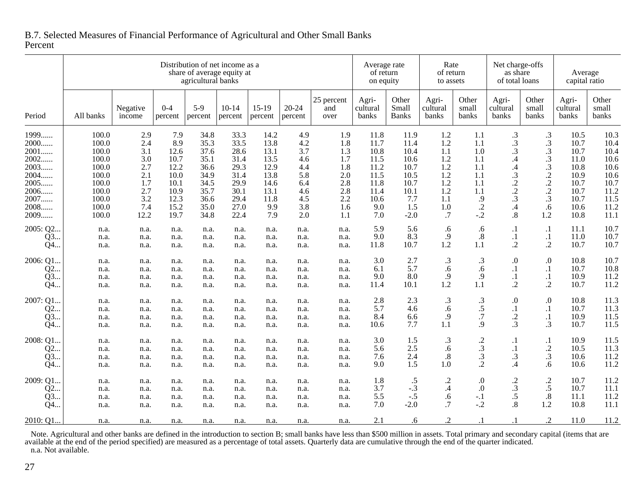|                                                                                  |                                                                               |                                                             |                                                                    | agricultural banks                                                   | Distribution of net income as a<br>share of average equity at        |                                                                      |                                                             |                                                             | Average rate<br>of return<br>on equity                               |                                                                     | Rate<br>of return<br>to assets                              |                                                            | Net charge-offs<br>as share<br>of total loans                                                              |                                                                                               | Average<br>capital ratio                                             |                                                                      |
|----------------------------------------------------------------------------------|-------------------------------------------------------------------------------|-------------------------------------------------------------|--------------------------------------------------------------------|----------------------------------------------------------------------|----------------------------------------------------------------------|----------------------------------------------------------------------|-------------------------------------------------------------|-------------------------------------------------------------|----------------------------------------------------------------------|---------------------------------------------------------------------|-------------------------------------------------------------|------------------------------------------------------------|------------------------------------------------------------------------------------------------------------|-----------------------------------------------------------------------------------------------|----------------------------------------------------------------------|----------------------------------------------------------------------|
| Period                                                                           | All banks                                                                     | Negative<br>income                                          | $0 - 4$<br>percent                                                 | $5-9$<br>percent                                                     | $10 - 14$<br>percent                                                 | $15-19$<br>percent                                                   | $20 - 24$<br>percent                                        | 25 percent<br>and<br>over                                   | Agri-<br>cultural<br>banks                                           | Other<br>Small<br><b>Banks</b>                                      | Agri-<br>cultural<br>banks                                  | Other<br>small<br>banks                                    | Agri-<br>cultural<br>banks                                                                                 | Other<br>small<br>banks                                                                       | Agri-<br>cultural<br>banks                                           | Other<br>small<br>banks                                              |
| 1999<br>2000<br>$2001$<br>2002.<br>2003.<br>.<br>$2004$<br>2005<br>2006<br>2007. | 100.0<br>100.0<br>100.0<br>100.0<br>100.0<br>100.0<br>100.0<br>100.0<br>100.0 | 2.9<br>2.4<br>3.1<br>3.0<br>2.7<br>2.1<br>1.7<br>2.7<br>3.2 | 7.9<br>8.9<br>12.6<br>10.7<br>12.2<br>10.0<br>10.1<br>10.9<br>12.3 | 34.8<br>35.3<br>37.6<br>35.1<br>36.6<br>34.9<br>34.5<br>35.7<br>36.6 | 33.3<br>33.5<br>28.6<br>31.4<br>29.3<br>31.4<br>29.9<br>30.1<br>29.4 | 14.2<br>13.8<br>13.1<br>13.5<br>12.9<br>13.8<br>14.6<br>13.1<br>11.8 | 4.9<br>4.2<br>3.7<br>4.6<br>4.4<br>5.8<br>6.4<br>4.6<br>4.5 | 1.9<br>1.8<br>1.3<br>1.7<br>1.8<br>2.0<br>2.8<br>2.8<br>2.2 | 11.8<br>11.7<br>10.8<br>11.5<br>11.2<br>11.5<br>11.8<br>11.4<br>10.6 | 11.9<br>11.4<br>10.4<br>10.6<br>10.7<br>10.5<br>10.7<br>10.1<br>7.7 | 1.2<br>1.2<br>1.1<br>1.2<br>1.2<br>1.2<br>1.2<br>1.2<br>1.1 | 1.1<br>1.1<br>1.0<br>1.1<br>1.1<br>1.1<br>1.1<br>1.1<br>.9 | $\cdot$ 3<br>.3<br>$\cdot$ 3<br>$\mathcal{A}$<br>.4<br>$\cdot$ 3<br>$\cdot$<br>$\overline{c}$<br>$\cdot$ 3 | $\cdot$ 3<br>.3<br>$\cdot$ 3<br>$\frac{.3}{.3}$<br>$\cdot$<br>$\cdot$<br>$\overline{c}$<br>.3 | 10.5<br>10.7<br>10.7<br>11.0<br>10.8<br>10.9<br>10.7<br>10.7<br>10.7 | 10.3<br>10.4<br>10.4<br>10.6<br>10.6<br>10.6<br>10.7<br>11.2<br>11.5 |
| 2008<br>2009<br>2005: Q2                                                         | 100.0<br>100.0<br>n.a.                                                        | 7.4<br>12.2<br>n.a.                                         | 15.2<br>19.7<br>n.a.                                               | 35.0<br>34.8<br>n.a.                                                 | 27.0<br>22.4<br>n.a.                                                 | 9.9<br>7.9<br>n.a.                                                   | 3.8<br>2.0<br>n.a.                                          | 1.6<br>1.1<br>n.a.                                          | 9.0<br>7.0<br>5.9                                                    | 1.5<br>$-2.0$<br>5.6                                                | 1.0<br>.7<br>.6                                             | $\cdot$<br>$-.2$<br>.6                                     | .4<br>$\boldsymbol{.8}$<br>$\cdot$                                                                         | .6<br>1.2<br>$\cdot$                                                                          | 10.6<br>10.8<br>11.1                                                 | 11.2<br>11.1<br>10.7                                                 |
| Q3<br>Q4<br>2006: Q1                                                             | n.a.<br>n.a.<br>n.a.                                                          | n.a.<br>n.a.<br>n.a.                                        | n.a.<br>n.a.<br>n.a.                                               | n.a.<br>n.a.<br>n.a.                                                 | n.a.<br>n.a.<br>n.a.                                                 | n.a.<br>n.a.<br>n.a.                                                 | n.a.<br>n.a.<br>n.a.                                        | n.a.<br>n.a.<br>n.a.                                        | 9.0<br>11.8<br>3.0                                                   | 8.3<br>10.7<br>2.7                                                  | .9<br>1.2<br>$\cdot$ 3                                      | $.8\,$<br>1.1<br>$\cdot$ 3                                 | $\cdot$<br>$\cdot$<br>.0                                                                                   | $\cdot$<br>$\cdot$ .2<br>0.                                                                   | 11.0<br>10.7<br>10.8                                                 | 10.7<br>10.7<br>10.7                                                 |
| Q2<br>Q3<br>Q4                                                                   | n.a.<br>n.a.<br>n.a.                                                          | n.a.<br>n.a.<br>n.a.                                        | n.a.<br>n.a.<br>n.a.                                               | n.a.<br>n.a.<br>n.a.                                                 | n.a.<br>n.a.<br>n.a.                                                 | n.a.<br>n.a.<br>n.a.                                                 | n.a.<br>n.a.<br>n.a.                                        | n.a.<br>n.a.<br>n.a.                                        | 6.1<br>9.0<br>11.4                                                   | 5.7<br>8.0<br>10.1                                                  | .6<br>.9<br>1.2                                             | .6<br>.9<br>1.1                                            | $\cdot$<br>$\cdot$<br>$\cdot$                                                                              | $\cdot$<br>$\cdot$<br>$\cdot$                                                                 | 10.7<br>10.9<br>10.7                                                 | 10.8<br>11.2<br>11.2                                                 |
| 2007: Q1<br>Q2<br>O3<br>Q4                                                       | n.a.<br>n.a.<br>n.a.<br>n.a.                                                  | n.a.<br>n.a.<br>n.a.<br>n.a.                                | n.a.<br>n.a.<br>n.a.<br>n.a.                                       | n.a.<br>n.a.<br>n.a.<br>n.a.                                         | n.a.<br>n.a.<br>n.a.<br>n.a.                                         | n.a.<br>n.a.<br>n.a.<br>n.a.                                         | n.a.<br>n.a.<br>n.a.<br>n.a.                                | n.a.<br>n.a.<br>n.a.<br>n.a.                                | 2.8<br>5.7<br>8.4<br>10.6                                            | 2.3<br>4.6<br>6.6<br>7.7                                            | $\cdot$ 3<br>.6<br>.9<br>1.1                                | $\cdot$ 3<br>.5<br>.7<br>.9                                | .0<br>$\cdot$<br>$\cdot$<br>.3                                                                             | 0.<br>$\cdot$<br>$\cdot$<br>$\cdot$ 3                                                         | 10.8<br>10.7<br>10.9<br>10.7                                         | 11.3<br>11.3<br>11.5<br>11.5                                         |
| 2008: Q1.<br>Q2<br>Q3<br>Q4                                                      | n.a.<br>n.a.<br>n.a.<br>n.a.                                                  | n.a.<br>n.a.<br>n.a.<br>n.a.                                | n.a.<br>n.a.<br>n.a.<br>n.a.                                       | n.a.<br>n.a.<br>n.a.<br>n.a.                                         | n.a.<br>n.a.<br>n.a.<br>n.a.                                         | n.a.<br>n.a.<br>n.a.<br>n.a.                                         | n.a.<br>n.a.<br>n.a.<br>n.a.                                | n.a.<br>n.a.<br>n.a.<br>n.a.                                | 3.0<br>5.6<br>7.6<br>9.0                                             | 1.5<br>2.5<br>2.4<br>1.5                                            | $\cdot$ 3<br>.6<br>$.8\,$<br>1.0                            | $\cdot$<br>$\cdot$ 3<br>.3<br>$\overline{c}$               | $\cdot$<br>$\cdot$<br>$\cdot$ 3<br>$\mathcal{A}$                                                           | $\cdot$<br>$\frac{.2}{.3}$<br>.6                                                              | 10.9<br>10.5<br>10.6<br>10.6                                         | 11.5<br>11.3<br>11.2<br>11.2                                         |
| 2009: Q1.<br>Q2<br>Q3<br>Q4                                                      | n.a.<br>n.a.<br>n.a.<br>n.a.                                                  | n.a.<br>n.a.<br>n.a.<br>n.a.                                | n.a.<br>n.a.<br>n.a.<br>n.a.                                       | n.a.<br>n.a.<br>n.a.<br>n.a.                                         | n.a.<br>n.a.<br>n.a.<br>n.a.                                         | n.a.<br>n.a.<br>n.a.<br>n.a.                                         | n.a.<br>n.a.<br>n.a.<br>n.a.                                | n.a.<br>n.a.<br>n.a.<br>n.a.                                | 1.8<br>3.7<br>5.5<br>7.0                                             | .5<br>$-.3$<br>$-.5$<br>$-2.0$                                      | $\cdot$<br>$\cdot$ 4<br>.6<br>.7                            | $\boldsymbol{0}$<br>$\Omega$<br>$-.1$<br>$-.2$             | $\cdot$<br>$\cdot$ 3<br>.5<br>.8                                                                           | $\frac{.2}{.5}$<br>$.8\,$<br>1.2                                                              | 10.7<br>10.7<br>11.1<br>10.8                                         | 11.2<br>11.1<br>11.2<br>11.1                                         |
| 2010: Q1.                                                                        | n.a.                                                                          | n.a.                                                        | n.a.                                                               | n.a.                                                                 | n.a.                                                                 | n.a.                                                                 | n.a.                                                        | n.a.                                                        | 2.1                                                                  | .6                                                                  | $\cdot$                                                     | $\cdot$                                                    |                                                                                                            | $\cdot$ .2                                                                                    | 11.0                                                                 | 11.2                                                                 |

## B.7. Selected Measures of Financial Performance of Agricultural and Other Small BanksPercent

Note. Agricultural and other banks are defined in the introduction to section B; small banks have less than \$500 million in assets. Total primary and secondary capital (items that are available at the end of the period spe n.a. Not available.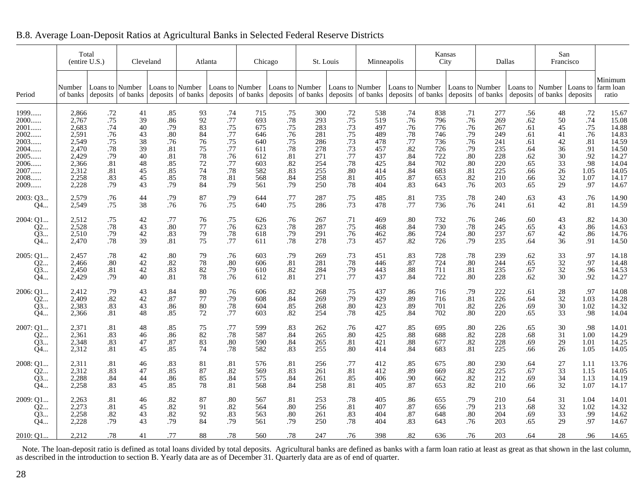|                            | Total<br>(entire U.S.)           |                              | Cleveland            |                                       | Atlanta              |                                      | Chicago                  |                                  | St. Louis                                  |                              | Minneapolis              |                                  | Kansas<br>City             |                          | Dallas                    |                          | San<br>Francisco     |                               |                                  |
|----------------------------|----------------------------------|------------------------------|----------------------|---------------------------------------|----------------------|--------------------------------------|--------------------------|----------------------------------|--------------------------------------------|------------------------------|--------------------------|----------------------------------|----------------------------|--------------------------|---------------------------|--------------------------|----------------------|-------------------------------|----------------------------------|
| Period                     | Number<br>of banks               | Loans to Number<br>deposits  | of banks             | Loans to Number<br>deposits           | of banks             | Loans to Number<br>deposits of banks |                          | Loans to Number                  | deposits $\vert$ of banks $\vert$ deposits | Loans to Number              |                          | Loans to Number                  | of banks deposits of banks | Loans to Number          | deposits $\vert$ of banks | Loans to<br>deposits     | of banks             | Number   Loans to<br>deposits | Minimum<br>farm loan<br>ratio    |
| 1999                       | 2,866                            | .72                          | 41                   | .85                                   | 93                   | .74                                  | 715                      | .75                              | 300                                        | .72                          | 538                      | .74                              | 838                        | .71                      | 277                       | .56                      | 48                   | .72                           | 15.67                            |
| $2000$                     | 2,767                            | .75                          | 39                   | .86                                   | 92                   | .77                                  | 693                      | $.78\,$                          | 293                                        | .75                          | 519                      | .76                              | 796                        | .76                      | 269                       | .62                      | 50                   | .74                           | 15.08                            |
| 2001                       | 2,683                            | .74                          | 40                   | .79                                   | 83                   | .75                                  | 675                      | .75                              | 283                                        | .73                          | 497                      | .76                              | 776                        | .76                      | 267                       | .61                      | 45                   | .75                           | 14.88                            |
| 2002                       | 2,591                            | .76                          | 43                   | .80                                   | 84                   | .77                                  | 646                      | .76                              | 281                                        | .75                          | 489                      | .78                              | 746                        | .79                      | 249                       | .61                      | 41                   | .76                           | 14.83                            |
| 2003                       | 2,549                            | .75                          | 38                   | .76                                   | 76                   | .75                                  | 640                      | .75                              | 286                                        | .73                          | 478                      | .77                              | 736                        | .76                      | 241                       | .61                      | $42\,$               | .81                           | 14.59                            |
| 2004                       | 2,470                            | .78                          | 39                   | .81                                   | 75                   | .77                                  | 611                      | $.78\,$                          | 278                                        | .73                          | 457                      | $.82\,$                          | 726                        | .79                      | 235                       | .64                      | 36                   | .91                           | 14.50                            |
| 2005                       | 2,429                            | .79                          | 40                   | .81                                   | 78                   | .76                                  | 612                      | .81                              | 271                                        | $.77$                        | 437                      | .84                              | 722                        | .80                      | 228                       | .62                      | 30                   | .92                           | 14.27                            |
| 2006                       | 2,366                            | .81                          | 48                   | .85                                   | 72                   | .77                                  | 603                      | .82                              | 254                                        | .78                          | 425                      | .84                              | 702                        | .80                      | 220                       | .65                      | 33                   | .98                           | 14.04                            |
| 2007                       | 2,312                            | .81                          | 45                   | .85                                   | 74                   | .78                                  | 582                      | .83                              | 255                                        | .80                          | 414                      | .84                              | 683                        | .81                      | 225                       | .66                      | 26                   | 1.05                          | 14.05                            |
| 2008                       | 2,258                            | .83                          | 45                   | .85                                   | 78                   | .81                                  | 568                      | .84                              | 258                                        | .81                          | 405                      | .87                              | 653                        | .82                      | 210                       | .66                      | 32                   | 1.07                          | 14.17                            |
| 2009                       | 2,228                            | .79                          | 43                   | .79                                   | 84                   | .79                                  | 561                      | .79                              | 250                                        | .78                          | 404                      | .83                              | 643                        | .76                      | 203                       | .65                      | 29                   | .97                           | 14.67                            |
| 2003: Q3                   | 2,579                            | .76                          | 44                   | .79                                   | 87                   | .79                                  | 644                      | $.77$                            | 287                                        | .75                          | 485                      | .81                              | 735                        | $.78\,$                  | 240                       | .63                      | 43                   | .76                           | 14.90                            |
| $Q_4$                      | 2,549                            | .75                          | 38                   | .76                                   | 76                   | .75                                  | 640                      | .75                              | 286                                        | .73                          | 478                      | .77                              | 736                        | .76                      | 241                       | .61                      | 42                   | .81                           | 14.59                            |
| 2004: Q1                   | 2,512                            | .75                          | 42                   | .77                                   | 76                   | .75                                  | 626                      | .76                              | 267                                        | .71                          | 469                      | .80                              | 732                        | .76                      | 246                       | .60                      | 43                   | .82                           | 14.30                            |
| Q2                         | 2,528                            | .78                          | 43                   | .80                                   | 77                   | .76                                  | 623                      | .78                              | 287                                        | .75                          | 468                      | .84                              | 730                        | .78                      | 245                       | .65                      | 43                   | .86                           | 14.63                            |
| Q3                         | 2,510                            | .79                          | 42                   | .83                                   | 79                   | $.78$                                | 618                      | .79                              | 291                                        | .76                          | 462                      | .86                              | 724                        | .80                      | 237                       | .67                      | $42\,$               | .86                           | 14.76                            |
| Q4                         | 2,470                            | .78                          | 39                   | .81                                   | 75                   | .77                                  | 611                      | .78                              | 278                                        | .73                          | 457                      | .82                              | 726                        | .79                      | 235                       | .64                      | 36                   | .91                           | 14.50                            |
| 2005: Q1                   | 2,457                            | $.78$                        | 42                   | .80                                   | 79                   | .76                                  | 603                      | .79                              | 269                                        | .73                          | 451                      | .83                              | 728                        | .78                      | 239                       | .62                      | 33                   | .97                           | 14.18                            |
| Q2                         | 2,466                            | $.80\,$                      | 42                   | .82                                   | 78                   | $.80\,$                              | 606                      | .81                              | 281                                        | .78                          | 446                      | $.87\,$                          | 724                        | .80                      | 244                       | .65                      | $32\,$               | .97                           | 14.48                            |
| O3                         | 2,450                            | .81                          | 42                   | .83                                   | 82                   | .79                                  | 610                      | .82                              | 284                                        | .79                          | 443                      | .88                              | 711                        | .81                      | 235                       | .67                      | 32                   | .96                           | 14.53                            |
| Q4                         | 2,429                            | .79                          | 40                   | .81                                   | 78                   | .76                                  | 612                      | .81                              | 271                                        | .77                          | 437                      | .84                              | 722                        | .80                      | 228                       | .62                      | 30                   | .92                           | 14.27                            |
| 2006: Q1                   | 2,412                            | .79                          | 43                   | .84                                   | 80                   | .76                                  | 606                      | .82                              | 268                                        | .75                          | 437                      | .86                              | 716                        | .79                      | 222                       | .61                      | 28                   | .97                           | 14.08                            |
| Q2                         | 2,409                            | $.82\,$                      | 42                   | .87                                   | 77                   | .79                                  | 608                      | .84                              | 269                                        | .79                          | 429                      | .89                              | 716                        | .81                      | 226                       | .64                      | $32\,$               | 1.03                          | 14.28                            |
| 03                         | 2,383                            | .83                          | 43                   | .86                                   | 80                   | .78                                  | 604                      | .85                              | 268                                        | .80                          | 423                      | .89                              | 701                        | .82                      | 226                       | .69                      | 30                   | 1.02                          | 14.32                            |
| Q4                         | 2,366                            | .81                          | 48                   | .85                                   | 72                   | .77                                  | 603                      | .82                              | 254                                        | .78                          | 425                      | .84                              | 702                        | .80                      | 220                       | .65                      | 33                   | .98                           | 14.04                            |
| 2007: Q1                   | 2,371                            | .81                          | 48                   | .85                                   | 75                   | .77                                  | 599                      | .83                              | 262                                        | .76                          | 427                      | .85                              | 695                        | .80                      | 226                       | .65                      | 30                   | .98                           | 14.01                            |
| Q2                         | 2,361                            | .83                          | 46                   | .86                                   | 82                   | $.78$                                | 587                      | .84                              | 265                                        | $.80\,$                      | 425                      | $.88\,$                          | 688                        | .82                      | 228                       | .68                      | 31                   | 1.00                          | 14.29                            |
| Q3                         | 2,348                            | .83                          | 47                   | .87                                   | 83                   | .80                                  | 590                      | .84                              | 265                                        | .81                          | 421                      | $.88\,$                          | 677                        | .82                      | 228                       | .69                      | 29                   | 1.01                          | 14.25                            |
| Q4                         | 2,312                            | .81                          | 45                   | .85                                   | 74                   | .78                                  | 582                      | .83                              | 255                                        | .80                          | 414                      | .84                              | 683                        | .81                      | 225                       | .66                      | 26                   | 1.05                          | 14.05                            |
| 2008: Q1                   | 2,311                            | .81                          | 46                   | .83                                   | 81                   | .81                                  | 576                      | .81                              | 256                                        | .77                          | 412                      | .85                              | 675                        | .80                      | 230                       | .64                      | 27                   | 1.11                          | 13.76                            |
| Q2                         | 2,312                            | .83                          | 47                   | .85                                   | 87                   | .82                                  | 569                      | .83                              | 261                                        | .81                          | 412                      | .89                              | 669                        | .82                      | 225                       | .67                      | 33                   | 1.15                          | 14.05                            |
| Q3                         | 2,288                            | .84                          | 44                   | .86                                   | 85                   | .84                                  | 575                      | .84                              | 261                                        | .85                          | 406                      | .90                              | 662                        | .82                      | 212                       | .69                      | 34                   | 1.13                          | 14.19                            |
| Q4                         | 2,258                            | .83                          | 45                   | .85                                   | 78                   | .81                                  | 568                      | .84                              | 258                                        | .81                          | 405                      | .87                              | 653                        | .82                      | 210                       | .66                      | 32                   | 1.07                          | 14.17                            |
| 2009: Q1<br>Q2<br>Q3<br>Q4 | 2,263<br>2,273<br>2,258<br>2,228 | .81<br>.81<br>$.82\,$<br>.79 | 46<br>45<br>43<br>43 | $\overset{.82}{_{.82}}$<br>.82<br>.79 | 87<br>91<br>92<br>84 | .80<br>.82<br>.83<br>.79             | 567<br>564<br>563<br>561 | .81<br>$.80\,$<br>$.80\,$<br>.79 | 253<br>256<br>261<br>250                   | .78<br>.81<br>.83<br>$.78\,$ | 405<br>407<br>404<br>404 | .86<br>$.87\,$<br>$.87\,$<br>.83 | 655<br>656<br>648<br>643   | .79<br>.79<br>.80<br>.76 | 210<br>213<br>204<br>203  | .64<br>.68<br>.69<br>.65 | 31<br>32<br>33<br>29 | 1.04<br>1.02<br>.99<br>.97    | 14.01<br>14.32<br>14.62<br>14.67 |
| 2010: O1                   | 2.212                            | .78                          | 41                   | .77                                   | 88                   | .78                                  | 560                      | .78                              | 247                                        | .76                          | 398                      | .82                              | 636                        | .76                      | 203                       | .64                      | 28                   | .96                           | 14.65                            |

B.8. Average Loan-Deposit Ratios at Agricultural Banks in Selected Federal Reserve Districts

Note. The loan-deposit ratio is defined as total loans divided by total deposits. Agricultural banks are defined as banks with a farm loan ratio at least as great as that shown in the last column, as described in the intro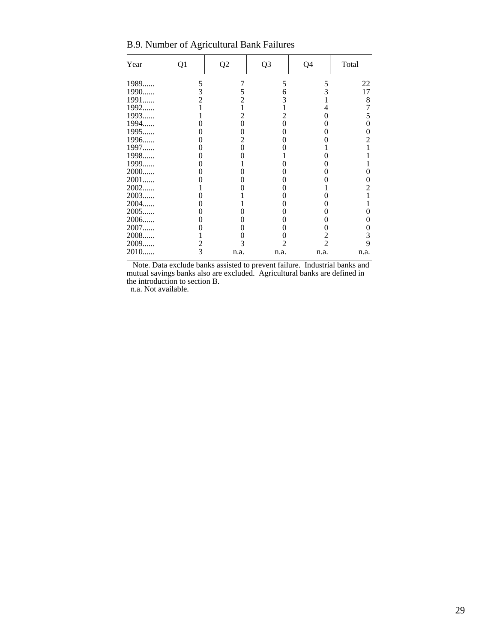B.9. Number of Agricultural Bank Failures

| Year  | Q1             | Q <sub>2</sub> | Q <sub>3</sub> | Q4             | Total |
|-------|----------------|----------------|----------------|----------------|-------|
| 1989. | 5              | 7              | 5              | 5              | 22    |
| 1990  | 3              | 5              | 6              | 3              | 17    |
| 1991  | $\overline{2}$ | 2              | 3              |                | 8     |
| 1992. |                |                |                | 4              | 7     |
| 1993  |                | 2              | 2              | 0              | 5     |
| 1994  | 0              | 0              | 0              | 0              | 0     |
| 1995  | 0              | 0              | 0              | 0              | 0     |
| 1996. | 0              | 2              | 0              |                | 2     |
| 1997. |                | 0              |                |                |       |
| 1998. | 0              |                |                | 0              |       |
| 1999. |                |                |                |                |       |
| 2000  | 0              |                | 0              |                | 0     |
| 2001. |                |                |                |                | 0     |
| 2002. |                |                |                |                | 2     |
| 2003. |                |                |                |                |       |
| 2004. |                |                |                |                |       |
| 2005. |                |                |                |                |       |
| 2006. | 0              |                | 0              | 0              | 0     |
| 2007  |                |                | 0              | 0              | 0     |
| 2008. |                |                | 0              | 2              | 3     |
| 2009. | $\frac{2}{3}$  |                | 2              | $\overline{2}$ | 9     |
| 2010. |                | n.a.           | n.a.           | n.a.           | n.a.  |

 Note. Data exclude banks assisted to prevent failure. Industrial banks and mutual savings banks also are excluded. Agricultural banks are defined in the introduction to section B.

n.a. Not available.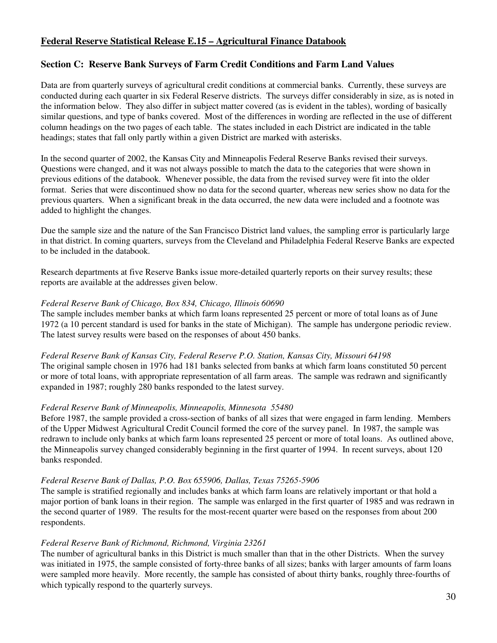## **Federal Reserve Statistical Release E.15 – Agricultural Finance Databook**

## **Section C: Reserve Bank Surveys of Farm Credit Conditions and Farm Land Values**

Data are from quarterly surveys of agricultural credit conditions at commercial banks. Currently, these surveys are conducted during each quarter in six Federal Reserve districts. The surveys differ considerably in size, as is noted in the information below. They also differ in subject matter covered (as is evident in the tables), wording of basically similar questions, and type of banks covered. Most of the differences in wording are reflected in the use of different column headings on the two pages of each table. The states included in each District are indicated in the table headings; states that fall only partly within a given District are marked with asterisks.

In the second quarter of 2002, the Kansas City and Minneapolis Federal Reserve Banks revised their surveys. Questions were changed, and it was not always possible to match the data to the categories that were shown in previous editions of the databook. Whenever possible, the data from the revised survey were fit into the older format. Series that were discontinued show no data for the second quarter, whereas new series show no data for the previous quarters. When a significant break in the data occurred, the new data were included and a footnote was added to highlight the changes.

Due the sample size and the nature of the San Francisco District land values, the sampling error is particularly large in that district. In coming quarters, surveys from the Cleveland and Philadelphia Federal Reserve Banks are expected to be included in the databook.

Research departments at five Reserve Banks issue more-detailed quarterly reports on their survey results; these reports are available at the addresses given below.

#### *Federal Reserve Bank of Chicago, Box 834, Chicago, Illinois 60690*

The sample includes member banks at which farm loans represented 25 percent or more of total loans as of June 1972 (a 10 percent standard is used for banks in the state of Michigan). The sample has undergone periodic review. The latest survey results were based on the responses of about 450 banks.

*Federal Reserve Bank of Kansas City, Federal Reserve P.O. Station, Kansas City, Missouri 64198* 

The original sample chosen in 1976 had 181 banks selected from banks at which farm loans constituted 50 percent or more of total loans, with appropriate representation of all farm areas. The sample was redrawn and significantly expanded in 1987; roughly 280 banks responded to the latest survey.

#### *Federal Reserve Bank of Minneapolis, Minneapolis, Minnesota 55480*

Before 1987, the sample provided a cross-section of banks of all sizes that were engaged in farm lending. Members of the Upper Midwest Agricultural Credit Council formed the core of the survey panel. In 1987, the sample was redrawn to include only banks at which farm loans represented 25 percent or more of total loans. As outlined above, the Minneapolis survey changed considerably beginning in the first quarter of 1994. In recent surveys, about 120 banks responded.

#### *Federal Reserve Bank of Dallas, P.O. Box 655906, Dallas, Texas 75265-5906*

The sample is stratified regionally and includes banks at which farm loans are relatively important or that hold a major portion of bank loans in their region. The sample was enlarged in the first quarter of 1985 and was redrawn in the second quarter of 1989. The results for the most-recent quarter were based on the responses from about 200 respondents.

#### *Federal Reserve Bank of Richmond, Richmond, Virginia 23261*

The number of agricultural banks in this District is much smaller than that in the other Districts. When the survey was initiated in 1975, the sample consisted of forty-three banks of all sizes; banks with larger amounts of farm loans were sampled more heavily. More recently, the sample has consisted of about thirty banks, roughly three-fourths of which typically respond to the quarterly surveys.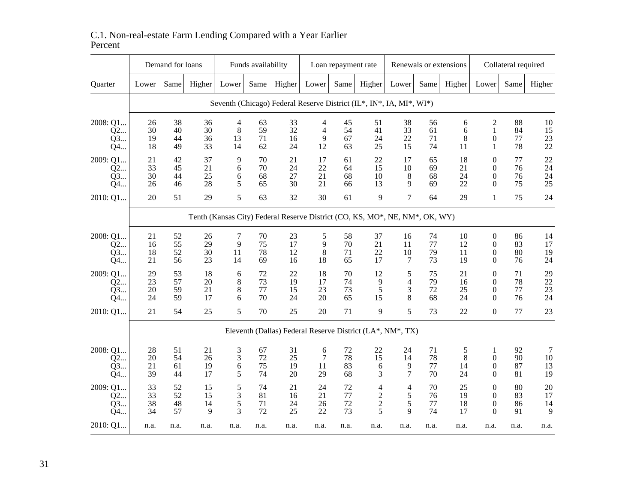|                            |                      | Demand for loans     |                      |                                 | Funds availability   |                                                                             |                                  | Loan repayment rate  |                                            |                         |                      | Renewals or extensions |                                                            | Collateral required  |                      |
|----------------------------|----------------------|----------------------|----------------------|---------------------------------|----------------------|-----------------------------------------------------------------------------|----------------------------------|----------------------|--------------------------------------------|-------------------------|----------------------|------------------------|------------------------------------------------------------|----------------------|----------------------|
| Quarter                    | Lower                | Same                 | Higher               | Lower                           | Same                 | Higher                                                                      | Lower                            | Same                 | Higher                                     | Lower                   | Same                 | Higher                 | Lower                                                      | Same                 | Higher               |
|                            |                      |                      |                      |                                 |                      | Seventh (Chicago) Federal Reserve District (IL*, IN*, IA, MI*, WI*)         |                                  |                      |                                            |                         |                      |                        |                                                            |                      |                      |
| 2008: Q1<br>Q2<br>Q3<br>Q4 | 26<br>30<br>19<br>18 | 38<br>40<br>44<br>49 | 36<br>30<br>36<br>33 | $\overline{4}$<br>8<br>13<br>14 | 63<br>59<br>71<br>62 | 33<br>32<br>16<br>24                                                        | 4<br>$\overline{4}$<br>9<br>12   | 45<br>54<br>67<br>63 | 51<br>41<br>24<br>25                       | 38<br>33<br>22<br>15    | 56<br>61<br>71<br>74 | 6<br>6<br>8<br>11      | $\overline{c}$<br>$\mathbf{1}$<br>$\theta$<br>$\mathbf{1}$ | 88<br>84<br>77<br>78 | 10<br>15<br>23<br>22 |
| 2009: Q1<br>Q2<br>Q3<br>Q4 | 21<br>33<br>30<br>26 | 42<br>45<br>44<br>46 | 37<br>21<br>25<br>28 | 9<br>6<br>6<br>5                | 70<br>70<br>68<br>65 | 21<br>24<br>27<br>30                                                        | 17<br>22<br>21<br>21             | 61<br>64<br>68<br>66 | 22<br>15<br>10<br>13                       | 17<br>10<br>8<br>9      | 65<br>69<br>68<br>69 | 18<br>21<br>24<br>22   | $\overline{0}$<br>$\theta$<br>$\Omega$<br>$\Omega$         | 77<br>76<br>76<br>75 | 22<br>24<br>24<br>25 |
| 2010: Q1                   | 20                   | 51                   | 29                   | 5                               | 63                   | 32                                                                          | 30                               | 61                   | 9                                          | 7                       | 64                   | 29                     | $\mathbf{1}$                                               | 75                   | 24                   |
|                            |                      |                      |                      |                                 |                      | Tenth (Kansas City) Federal Reserve District (CO, KS, MO*, NE, NM*, OK, WY) |                                  |                      |                                            |                         |                      |                        |                                                            |                      |                      |
| 2008: Q1<br>Q2<br>Q3<br>Q4 | 21<br>16<br>18<br>21 | 52<br>55<br>52<br>56 | 26<br>29<br>30<br>23 | 7<br>9<br>11<br>14              | 70<br>75<br>78<br>69 | 23<br>17<br>12<br>16                                                        | 5<br>9<br>8<br>18                | 58<br>70<br>71<br>65 | 37<br>21<br>22<br>17                       | 16<br>11<br>10<br>7     | 74<br>77<br>79<br>73 | 10<br>12<br>11<br>19   | $\boldsymbol{0}$<br>$\theta$<br>$\mathbf{0}$<br>$\Omega$   | 86<br>83<br>80<br>76 | 14<br>17<br>19<br>24 |
| 2009: Q1<br>Q2<br>Q3<br>Q4 | 29<br>23<br>20<br>24 | 53<br>57<br>59<br>59 | 18<br>20<br>21<br>17 | 6<br>8<br>8<br>6                | 72<br>73<br>77<br>70 | 22<br>19<br>15<br>24                                                        | 18<br>17<br>23<br>20             | 70<br>74<br>73<br>65 | 12<br>9<br>5<br>15                         | 5<br>4<br>3<br>8        | 75<br>79<br>72<br>68 | 21<br>16<br>25<br>24   | $\overline{0}$<br>$\theta$<br>$\theta$<br>$\Omega$         | 71<br>78<br>77<br>76 | 29<br>22<br>23<br>24 |
| 2010: Q1                   | 21                   | 54                   | 25                   | 5                               | 70                   | 25                                                                          | 20                               | 71                   | 9                                          | 5                       | 73                   | 22                     | $\overline{0}$                                             | 77                   | 23                   |
|                            |                      |                      |                      |                                 |                      | Eleventh (Dallas) Federal Reserve District (LA*, NM*, TX)                   |                                  |                      |                                            |                         |                      |                        |                                                            |                      |                      |
| 2008: Q1<br>Q2<br>Q3<br>Q4 | 28<br>20<br>21<br>39 | 51<br>54<br>61<br>44 | 21<br>26<br>19<br>17 | 3<br>3<br>6<br>5                | 67<br>72<br>75<br>74 | 31<br>25<br>19<br>20                                                        | 6<br>$7\phantom{.0}$<br>11<br>29 | 72<br>78<br>83<br>68 | 22<br>15<br>6<br>3                         | 24<br>14<br>9<br>$\tau$ | 71<br>78<br>77<br>70 | 5<br>8<br>14<br>24     | 1<br>$\mathbf{0}$<br>$\theta$<br>$\Omega$                  | 92<br>90<br>87<br>81 | 7<br>10<br>13<br>19  |
| 2009: Q1<br>Q2<br>Q3<br>Q4 | 33<br>33<br>38<br>34 | 52<br>52<br>48<br>57 | 15<br>15<br>14<br>9  | 5<br>3<br>5<br>3                | 74<br>81<br>71<br>72 | 21<br>16<br>24<br>25                                                        | 24<br>21<br>26<br>22             | 72<br>77<br>72<br>73 | 4<br>$\overline{c}$<br>$\overline{c}$<br>5 | 4<br>5<br>5<br>9        | 70<br>76<br>77<br>74 | 25<br>19<br>18<br>17   | $\theta$<br>$\mathbf{0}$<br>$\mathbf{0}$<br>$\Omega$       | 80<br>83<br>86<br>91 | 20<br>17<br>14<br>9  |
| 2010: Q1                   | n.a.                 | n.a.                 | n.a.                 | n.a.                            | n.a.                 | n.a.                                                                        | n.a.                             | n.a.                 | n.a.                                       | n.a.                    | n.a.                 | n.a.                   | n.a.                                                       | n.a.                 | n.a.                 |

## C.1. Non-real-estate Farm Lending Compared with a Year Earlier Percent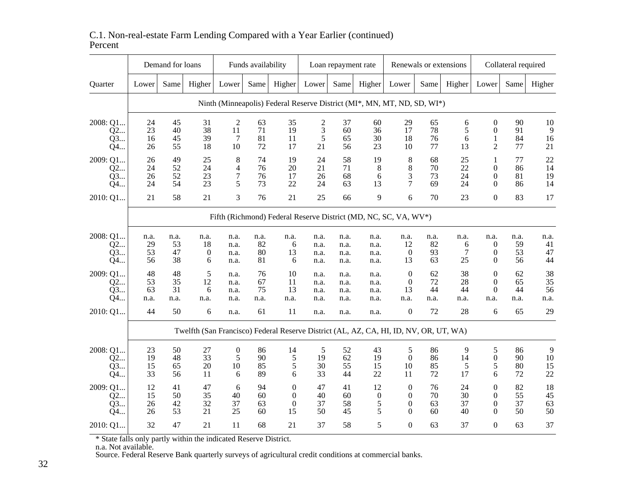|                            |                        | Demand for loans       |                      |                                  | Funds availability     |                                                                                       |                              | Loan repayment rate          |                                  |                                                          | Renewals or extensions |                        |                                                        | Collateral required    |                         |
|----------------------------|------------------------|------------------------|----------------------|----------------------------------|------------------------|---------------------------------------------------------------------------------------|------------------------------|------------------------------|----------------------------------|----------------------------------------------------------|------------------------|------------------------|--------------------------------------------------------|------------------------|-------------------------|
| Quarter                    | Lower                  | Same                   | Higher               | Lower                            | Same                   | Higher                                                                                | Lower                        | Same                         | Higher                           | Lower                                                    | Same                   | Higher                 | Lower                                                  | Same                   | Higher                  |
|                            |                        |                        |                      |                                  |                        | Ninth (Minneapolis) Federal Reserve District (MI*, MN, MT, ND, SD, WI*)               |                              |                              |                                  |                                                          |                        |                        |                                                        |                        |                         |
| 2008: Q1<br>Q2<br>Q3<br>Q4 | 24<br>23<br>16<br>26   | 45<br>40<br>45<br>55   | 31<br>38<br>39<br>18 | $\overline{c}$<br>11<br>7<br>10  | 63<br>71<br>81<br>72   | 35<br>19<br>11<br>17                                                                  | 2<br>3<br>5<br>21            | 37<br>60<br>65<br>56         | 60<br>36<br>30<br>23             | 29<br>17<br>18<br>10                                     | 65<br>78<br>76<br>77   | 6<br>5<br>6<br>13      | $\overline{0}$<br>$\overline{0}$<br>1<br>2             | 90<br>91<br>84<br>77   | 10<br>9<br>16<br>21     |
| 2009: Q1<br>Q2<br>Q3<br>Q4 | 26<br>24<br>26<br>24   | 49<br>52<br>52<br>54   | 25<br>24<br>23<br>23 | 8<br>4<br>$\tau$<br>5            | 74<br>76<br>76<br>73   | 19<br>20<br>17<br>22                                                                  | 24<br>21<br>26<br>24         | 58<br>71<br>68<br>63         | 19<br>8<br>6<br>13               | $\,8\,$<br>8<br>3<br>7                                   | 68<br>70<br>73<br>69   | 25<br>22<br>24<br>24   | $\mathbf{1}$<br>$\overline{0}$<br>$\theta$<br>$\Omega$ | 77<br>86<br>81<br>86   | 22<br>14<br>19<br>14    |
| 2010: Q1                   | 21                     | 58                     | 21                   | 3                                | 76                     | 21                                                                                    | 25                           | 66                           | 9                                | 6                                                        | 70                     | 23                     | $\boldsymbol{0}$                                       | 83                     | 17                      |
|                            |                        |                        |                      |                                  |                        | Fifth (Richmond) Federal Reserve District (MD, NC, SC, VA, WV*)                       |                              |                              |                                  |                                                          |                        |                        |                                                        |                        |                         |
| 2008: Q1<br>Q2<br>Q3<br>Q4 | n.a.<br>29<br>53<br>56 | n.a.<br>53<br>47<br>38 | n.a.<br>18<br>0<br>6 | n.a.<br>n.a.<br>n.a.<br>n.a.     | n.a.<br>82<br>80<br>81 | n.a.<br>6<br>13<br>6                                                                  | n.a.<br>n.a.<br>n.a.<br>n.a. | n.a.<br>n.a.<br>n.a.<br>n.a. | n.a.<br>n.a.<br>n.a.<br>n.a.     | n.a.<br>12<br>$\theta$<br>13                             | n.a.<br>82<br>93<br>63 | n.a.<br>6<br>7<br>25   | n.a.<br>$\overline{0}$<br>$\boldsymbol{0}$<br>$\theta$ | n.a.<br>59<br>53<br>56 | n.a.<br>41<br>47<br>44  |
| 2009: Q1<br>Q2<br>Q3<br>Q4 | 48<br>53<br>63<br>n.a. | 48<br>35<br>31<br>n.a. | 5<br>12<br>6<br>n.a. | n.a.<br>n.a.<br>n.a.<br>n.a.     | 76<br>67<br>75<br>n.a. | 10<br>11<br>13<br>n.a.                                                                | n.a.<br>n.a.<br>n.a.<br>n.a. | n.a.<br>n.a.<br>n.a.<br>n.a. | n.a.<br>n.a.<br>n.a.<br>n.a.     | $\mathbf{0}$<br>$\mathbf{0}$<br>13<br>n.a.               | 62<br>72<br>44<br>n.a. | 38<br>28<br>44<br>n.a. | $\overline{0}$<br>$\overline{0}$<br>$\Omega$<br>n.a.   | 62<br>65<br>44<br>n.a. | 38<br>35<br>56<br>n.a.  |
| 2010: Q1                   | 44                     | 50                     | 6                    | n.a.                             | 61                     | 11                                                                                    | n.a.                         | n.a.                         | n.a.                             | $\boldsymbol{0}$                                         | 72                     | $28\,$                 | 6                                                      | 65                     | 29                      |
|                            |                        |                        |                      |                                  |                        | Twelfth (San Francisco) Federal Reserve District (AL, AZ, CA, HI, ID, NV, OR, UT, WA) |                              |                              |                                  |                                                          |                        |                        |                                                        |                        |                         |
| 2008: Q1<br>Q2<br>Q3<br>Q4 | 23<br>19<br>15<br>33   | 50<br>48<br>65<br>56   | 27<br>33<br>20<br>11 | $\boldsymbol{0}$<br>5<br>10<br>6 | 86<br>90<br>85<br>89   | 14<br>5<br>$\mathfrak s$<br>6                                                         | 5<br>19<br>30<br>33          | 52<br>62<br>55<br>44         | 43<br>19<br>15<br>22             | 5<br>$\overline{0}$<br>10<br>11                          | 86<br>86<br>85<br>72   | 9<br>14<br>5<br>17     | 5<br>$\boldsymbol{0}$<br>5<br>6                        | 86<br>90<br>80<br>72   | 9<br>$10\,$<br>15<br>22 |
| 2009: Q1<br>Q2<br>Q3<br>Q4 | 12<br>15<br>26<br>26   | 41<br>50<br>42<br>53   | 47<br>35<br>32<br>21 | 6<br>40<br>37<br>25              | 94<br>60<br>63<br>60   | $\theta$<br>$\overline{0}$<br>$\overline{0}$<br>15                                    | 47<br>40<br>37<br>50         | 41<br>60<br>58<br>45         | 12<br>$\boldsymbol{0}$<br>5<br>5 | $\theta$<br>$\overline{0}$<br>$\overline{0}$<br>$\Omega$ | 76<br>70<br>63<br>60   | 24<br>30<br>37<br>40   | $\theta$<br>$\overline{0}$<br>$\theta$<br>$\Omega$     | 82<br>55<br>37<br>50   | 18<br>45<br>63<br>50    |
| 2010: Q1                   | 32                     | 47                     | 21                   | 11                               | 68                     | 21                                                                                    | 37                           | 58                           | 5                                | $\Omega$                                                 | 63                     | 37                     | $\boldsymbol{0}$                                       | 63                     | 37                      |

## C.1. Non-real-estate Farm Lending Compared with a Year Earlier (continued)Percent

\* State falls only partly within the indicated Reserve District. n.a. Not available. Source. Federal Reserve Bank quarterly surveys of agricultural credit conditions at commercial banks.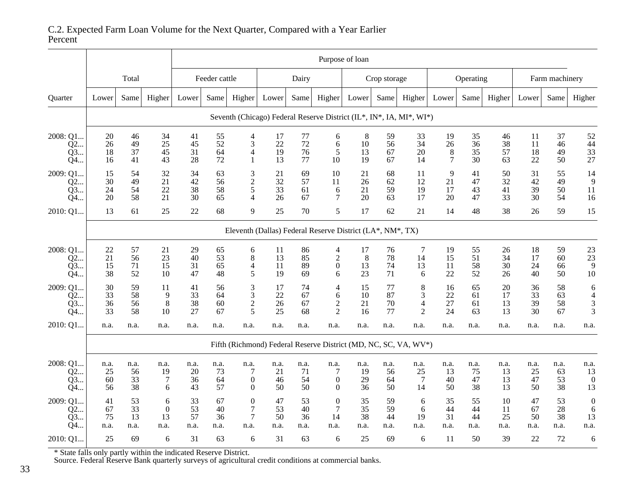|                            |                        | Purpose of loan                                           |                                   |                        |                        |                                                              |                        |                        |                                                 |                        |                        |                                                                     |                                       |                        |                          |                        |                        |                                                    |
|----------------------------|------------------------|-----------------------------------------------------------|-----------------------------------|------------------------|------------------------|--------------------------------------------------------------|------------------------|------------------------|-------------------------------------------------|------------------------|------------------------|---------------------------------------------------------------------|---------------------------------------|------------------------|--------------------------|------------------------|------------------------|----------------------------------------------------|
|                            | Total                  |                                                           |                                   | Feeder cattle          |                        | Dairy                                                        |                        |                        | Crop storage                                    |                        |                        | Operating                                                           |                                       |                        | Farm machinery           |                        |                        |                                                    |
| Quarter                    | Lower                  | Same                                                      | Higher                            | Lower                  | Same                   | Higher                                                       | Lower                  | Same                   | Higher                                          | Lower                  | Same                   | Higher                                                              | Lower                                 | Same                   | Higher                   | Lower                  | Same                   | Higher                                             |
|                            |                        |                                                           |                                   |                        |                        |                                                              |                        |                        |                                                 |                        |                        | Seventh (Chicago) Federal Reserve District (IL*, IN*, IA, MI*, WI*) |                                       |                        |                          |                        |                        |                                                    |
| 2008: Q1<br>Q2<br>O3<br>Q4 | 20<br>26<br>18<br>16   | 46<br>49<br>37<br>41                                      | 34<br>25<br>45<br>43              | 41<br>45<br>31<br>28   | 55<br>52<br>64<br>72   | $\overline{4}$<br>3<br>$\overline{4}$<br>$\mathbf{1}$        | 17<br>22<br>19<br>13   | 77<br>72<br>76<br>77   | 6<br>6<br>5<br>10                               | 8<br>10<br>13<br>19    | 59<br>56<br>67<br>67   | 33<br>34<br>20<br>14                                                | 19<br>26<br>$\,8\,$<br>$\overline{7}$ | 35<br>36<br>35<br>30   | 46<br>38<br>57<br>63     | 11<br>11<br>18<br>22   | 37<br>46<br>49<br>50   | 52<br>44<br>33<br>27                               |
| 2009: Q1<br>Q2<br>Q3<br>Q4 | 15<br>30<br>24<br>20   | 54<br>49<br>54<br>58                                      | 32<br>21<br>22<br>21              | 34<br>42<br>38<br>30   | 63<br>56<br>58<br>65   | $\mathfrak{Z}$<br>$\frac{2}{5}$<br>$\overline{4}$            | 21<br>32<br>33<br>26   | 69<br>57<br>61<br>67   | 10<br>11<br>6<br>7                              | 21<br>26<br>21<br>20   | 68<br>62<br>59<br>63   | 11<br>12<br>19<br>17                                                | 9<br>21<br>17<br>20                   | 41<br>47<br>43<br>47   | 50<br>32<br>41<br>33     | 31<br>42<br>39<br>30   | 55<br>49<br>50<br>54   | 14<br>9<br>11<br>16                                |
| 2010: Q1                   | 13                     | 61                                                        | 25                                | 22                     | 68                     | 9                                                            | 25                     | 70                     | 5                                               | 17                     | 62                     | 21                                                                  | 14                                    | 48                     | 38                       | 26                     | 59                     | 15                                                 |
|                            |                        | Eleventh (Dallas) Federal Reserve District (LA*, NM*, TX) |                                   |                        |                        |                                                              |                        |                        |                                                 |                        |                        |                                                                     |                                       |                        |                          |                        |                        |                                                    |
| 2008: Q1<br>Q2<br>Q3<br>Q4 | 22<br>21<br>15<br>38   | 57<br>56<br>71<br>52                                      | 21<br>23<br>15<br>10              | 29<br>40<br>31<br>47   | 65<br>53<br>65<br>48   | $6\over 8$<br>$\overline{4}$<br>5                            | 11<br>13<br>11<br>19   | 86<br>85<br>89<br>69   | $\frac{4}{2}$<br>$\boldsymbol{0}$<br>6          | 17<br>8<br>13<br>23    | 76<br>78<br>74<br>71   | 7<br>14<br>13<br>6                                                  | 19<br>15<br>11<br>22                  | 55<br>51<br>58<br>52   | $26\,$<br>34<br>30<br>26 | 18<br>17<br>24<br>40   | 59<br>60<br>66<br>50   | $\begin{array}{c} 23 \\ 23 \end{array}$<br>9<br>10 |
| 2009: Q1<br>Q2<br>Q3<br>Q4 | 30<br>33<br>36<br>33   | 59<br>58<br>56<br>58                                      | 11<br>9<br>8<br>10                | 41<br>33<br>38<br>27   | 56<br>64<br>60<br>67   | 3<br>$\mathfrak{Z}$<br>$\sqrt{2}$<br>5                       | 17<br>22<br>26<br>25   | 74<br>67<br>67<br>68   | 4<br>6<br>$\sqrt{2}$<br>$\overline{2}$          | 15<br>10<br>21<br>16   | 77<br>87<br>70<br>77   | 8<br>3<br>$\overline{4}$<br>$\overline{2}$                          | 16<br>22<br>27<br>24                  | 65<br>61<br>61<br>63   | 20<br>17<br>13<br>13     | 36<br>33<br>39<br>30   | 58<br>63<br>58<br>67   | 6<br>$\overline{4}$<br>3<br>3                      |
| 2010: Q1                   | n.a.                   | n.a.                                                      | n.a.                              | n.a.                   | n.a.                   | n.a.                                                         | n.a.                   | n.a.                   | n.a.                                            | n.a.                   | n.a.                   | n.a.                                                                | n.a.                                  | n.a.                   | n.a.                     | n.a.                   | n.a.                   | n.a.                                               |
|                            |                        |                                                           |                                   |                        |                        |                                                              |                        |                        |                                                 |                        |                        | Fifth (Richmond) Federal Reserve District (MD, NC, SC, VA, WV*)     |                                       |                        |                          |                        |                        |                                                    |
| 2008: Q1<br>Q2<br>Q3<br>Q4 | n.a.<br>25<br>60<br>56 | n.a.<br>56<br>33<br>38                                    | n.a.<br>19<br>$\overline{7}$<br>6 | n.a.<br>20<br>36<br>43 | n.a.<br>73<br>64<br>57 | n.a.<br>$\overline{7}$<br>$\boldsymbol{0}$<br>$\overline{0}$ | n.a.<br>21<br>46<br>50 | n.a.<br>71<br>54<br>50 | n.a.<br>7<br>$\boldsymbol{0}$<br>$\overline{0}$ | n.a.<br>19<br>29<br>36 | n.a.<br>56<br>64<br>50 | n.a.<br>25<br>$\overline{7}$<br>14                                  | n.a.<br>13<br>40<br>50                | n.a.<br>75<br>47<br>38 | n.a.<br>13<br>13<br>13   | n.a.<br>25<br>47<br>50 | n.a.<br>63<br>53<br>38 | n.a.<br>13<br>$\boldsymbol{0}$<br>13               |
| 2009: Q1<br>Q2<br>Q3<br>O4 | 41<br>67<br>75<br>n.a. | 53<br>33<br>13<br>n.a.                                    | 6<br>$\theta$<br>13<br>n.a.       | 33<br>53<br>57<br>n.a. | 67<br>40<br>36<br>n.a. | $\boldsymbol{0}$<br>7<br>$\tau$<br>n.a.                      | 47<br>53<br>50<br>n.a. | 53<br>40<br>36<br>n.a. | $\boldsymbol{0}$<br>$\tau$<br>14<br>n.a.        | 35<br>35<br>38<br>n.a. | 59<br>59<br>44<br>n.a. | 6<br>6<br>19<br>n.a.                                                | 35<br>44<br>31<br>n.a.                | 55<br>44<br>44<br>n.a. | 10<br>11<br>25<br>n.a.   | 47<br>67<br>50<br>n.a. | 53<br>28<br>38<br>n.a. | $\boldsymbol{0}$<br>6<br>13<br>n.a.                |
| 2010: Q1                   | 25                     | 69                                                        | 6                                 | 31                     | 63                     | 6                                                            | 31                     | 63                     | 6                                               | 25                     | 69                     | 6                                                                   | 11                                    | 50                     | 39                       | 22                     | 72                     | 6                                                  |

# C.2. Expected Farm Loan Volume for the Next Quarter, Compared with a Year Earlier Percent

\* State falls only partly within the indicated Reserve District. Source. Federal Reserve Bank quarterly surveys of agricultural credit conditions at commercial banks.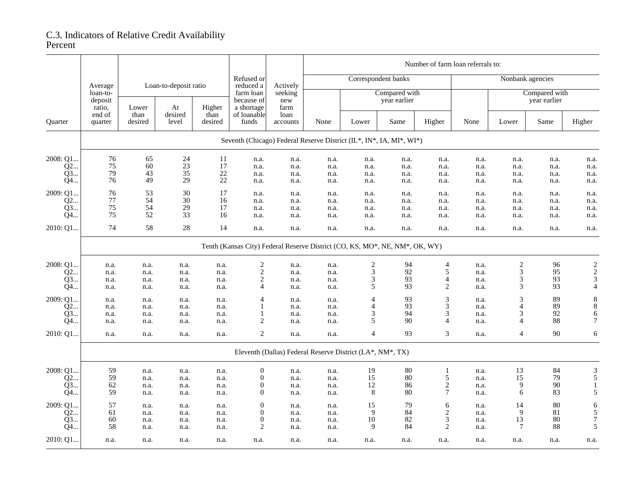## C.3. Indicators of Relative Credit Availability Percent

|                |                                                    |                 |                       |                 | Number of farm loan referrals to:     |                        |      |                                                                             |      |                  |              |                               |              |                         |  |
|----------------|----------------------------------------------------|-----------------|-----------------------|-----------------|---------------------------------------|------------------------|------|-----------------------------------------------------------------------------|------|------------------|--------------|-------------------------------|--------------|-------------------------|--|
|                | Average                                            |                 | Loan-to-deposit ratio |                 | Refused or<br>reduced a               | Actively               |      | Correspondent banks                                                         |      |                  |              | Nonbank agencies              |              |                         |  |
|                | loan-to-<br>deposit<br>ratio,<br>end of<br>quarter | Lower           | At                    | Higher          | farm loan<br>because of<br>a shortage | seeking<br>new<br>farm |      | Compared with<br>year earlier                                               |      |                  |              | Compared with<br>year earlier |              |                         |  |
| Quarter        |                                                    | than<br>desired | desired<br>level      | than<br>desired | of loanable<br>funds                  | loan<br>accounts       | None | Lower                                                                       | Same | Higher           | None         | Lower                         | Same         | Higher                  |  |
|                |                                                    |                 |                       |                 |                                       |                        |      | Seventh (Chicago) Federal Reserve District (IL*, IN*, IA, MI*, WI*)         |      |                  |              |                               |              |                         |  |
| 2008: Q1       | 76                                                 | 65              | 24                    | 11              | n.a.                                  | n.a.                   | n.a. | n.a.                                                                        | n.a. | n.a.             | n.a.         | n.a.                          | n.a.         | n.a.                    |  |
| Q2             | $75\,$                                             | 60              | 23                    | 17              | n.a.                                  | n.a.                   | n.a. | n.a.                                                                        | n.a. | n.a.             | n.a.         | n.a.                          | n.a.         | n.a.                    |  |
| Q3             | 79                                                 | 43              | 35                    | $22\,$          | n.a.                                  | n.a.                   | n.a. | n.a.                                                                        | n.a. | n.a.             | n.a.         | n.a.                          | n.a.         | n.a.                    |  |
| Q4             | 76                                                 | 49              | 29                    | 22              | n.a.                                  | n.a.                   | n.a. | n.a.                                                                        | n.a. | n.a.             | n.a.         | n.a.                          | n.a.         | n.a.                    |  |
| 2009: Q1       |                                                    | 53              | 30                    | 17              |                                       |                        |      |                                                                             |      |                  |              |                               |              |                         |  |
|                | 76<br>77                                           | 54              | 30                    | 16              | n.a.                                  | n.a.                   | n.a. | n.a.                                                                        | n.a. | n.a.             | n.a.         | n.a.                          | n.a.         | n.a.                    |  |
| Q2<br>Q3       | $75\,$                                             | 54              | 29                    | 17              | n.a.                                  | n.a.                   | n.a. | n.a.                                                                        | n.a. | n.a.             | n.a.         | n.a.                          | n.a.         | n.a.                    |  |
| Q4             | 75                                                 | 52              | 33                    | 16              | n.a.<br>n.a.                          | n.a.                   | n.a. | n.a.                                                                        | n.a. | n.a.             | n.a.<br>n.a. | n.a.<br>n.a.                  | n.a.<br>n.a. | n.a.<br>n.a.            |  |
|                |                                                    |                 |                       |                 |                                       | n.a.                   | n.a. | n.a.                                                                        | n.a. | n.a.             |              |                               |              |                         |  |
| 2010: Q1       | 74                                                 | 58              | $28\,$                | 14              | n.a.                                  | n.a.                   | n.a. | n.a.                                                                        | n.a. | n.a.             | n.a.         | n.a.                          | n.a.         | n.a.                    |  |
|                |                                                    |                 |                       |                 |                                       |                        |      | Tenth (Kansas City) Federal Reserve District (CO, KS, MO*, NE, NM*, OK, WY) |      |                  |              |                               |              |                         |  |
| 2008: Q1       | n.a.                                               | n.a.            | n.a.                  | n.a.            | $\sqrt{2}$                            | n.a.                   | n.a. | $\boldsymbol{2}$                                                            | 94   | $\overline{4}$   | n.a.         | $\overline{\mathbf{c}}$       | 96           | $\overline{\mathbf{c}}$ |  |
| Q2             | n.a.                                               | n.a.            | n.a.                  | n.a.            | $\sqrt{2}$                            | n.a.                   | n.a. | $\mathfrak{Z}$                                                              | 92   | 5                | n.a.         | 3                             | 95           |                         |  |
| Q3             | n.a.                                               | n.a.            | n.a.                  | n.a.            | $\mathbf{2}$                          | n.a.                   | n.a. | 3                                                                           | 93   | $\overline{4}$   | n.a.         | 3                             | 93           | $\frac{2}{3}$           |  |
| Q4…            | n.a.                                               | n.a.            | n.a.                  | n.a.            | 4                                     | n.a.                   | n.a. | 5                                                                           | 93   | $\overline{2}$   | n.a.         | 3                             | 93           | $\overline{4}$          |  |
| 2009: O1       | n.a.                                               | n.a.            | n.a.                  | n.a.            | 4                                     | n.a.                   | n.a. | $\overline{4}$                                                              | 93   | 3                | n.a.         | 3                             | 89           | $\,$ 8 $\,$             |  |
| Q2             | n.a.                                               | n.a.            | n.a.                  | n.a.            | 1                                     | n.a.                   | n.a. | $\overline{4}$                                                              | 93   | 3                | n.a.         | $\overline{4}$                | 89           | $\,$ 8 $\,$             |  |
| Q3             | n.a.                                               | n.a.            | n.a.                  | n.a.            | $\mathbf{1}$                          | n.a.                   | n.a. | 3                                                                           | 94   | 3                | n.a.         | 3                             | 92           | $\epsilon$              |  |
| Q4             | n.a.                                               | n.a.            | n.a.                  | n.a.            | 2                                     | n.a.                   | n.a. | 5                                                                           | 90   | $\overline{4}$   | n.a.         | 4                             | 88           | $\tau$                  |  |
| 2010: Q1       | n.a.                                               | n.a.            | n.a.                  | n.a.            | $\overline{2}$                        | n.a.                   | n.a. | $\overline{4}$                                                              | 93   | 3                | n.a.         | 4                             | 90           | 6                       |  |
|                |                                                    |                 |                       |                 |                                       |                        |      | Eleventh (Dallas) Federal Reserve District (LA*, NM*, TX)                   |      |                  |              |                               |              |                         |  |
| 2008: Q1       | 59                                                 | n.a.            | n.a.                  | n.a.            | $\boldsymbol{0}$                      | n.a.                   | n.a. | 19                                                                          | 80   | 1                | n.a.         | 13                            | 84           | 3                       |  |
| O <sub>2</sub> | 59                                                 | n.a.            | n.a.                  | n.a.            | $\mathbf{0}$                          | n.a.                   | n.a. | 15                                                                          | 80   | 5                | n.a.         | 15                            | 79           | 5                       |  |
| Q3             | 62                                                 | n.a.            | n.a.                  | n.a.            | $\mathbf{0}$                          | n.a.                   | n.a. | 12                                                                          | 86   | $\sqrt{2}$       | n.a.         | 9                             | 90           | $\mathbf{1}$            |  |
| Q4             | 59                                                 | n.a.            | n.a.                  | n.a.            | $\Omega$                              | n.a.                   | n.a. | 8                                                                           | 80   | $\boldsymbol{7}$ | n.a.         | 6                             | 83           | 5                       |  |
|                |                                                    |                 |                       |                 |                                       |                        |      |                                                                             |      |                  |              |                               |              |                         |  |
| 2009: Q1       | 57                                                 | n.a.            | n.a.                  | n.a.            | $\overline{0}$                        | n.a.                   | n.a. | 15                                                                          | 79   | 6                | n.a.         | 14                            | 80           | 6                       |  |
| Q2             | 61                                                 | n.a.            | n.a.                  | n.a.            | $\Omega$                              | n.a.                   | n.a. | 9                                                                           | 84   | $\overline{2}$   | n.a.         | 9                             | 81           | $\sqrt{5}$              |  |
| Q3             | 60                                                 | n.a.            | n.a.                  | n.a.            | $\mathbf{0}$                          | n.a.                   | n.a. | 10                                                                          | 82   | 3                | n.a.         | 13                            | 80           | $\boldsymbol{7}$        |  |
| Q4             | 58                                                 | n.a.            | n.a.                  | n.a.            | 2                                     | n.a.                   | n.a. | 9                                                                           | 84   | $\overline{2}$   | n.a.         | 7                             | 88           | 5                       |  |
| 2010: Q1       | n.a.                                               | n.a.            | n.a.                  | n.a.            | n.a.                                  | n.a.                   | n.a. | n.a.                                                                        | n.a. | n.a.             | n.a.         | n.a.                          | n.a.         | n.a.                    |  |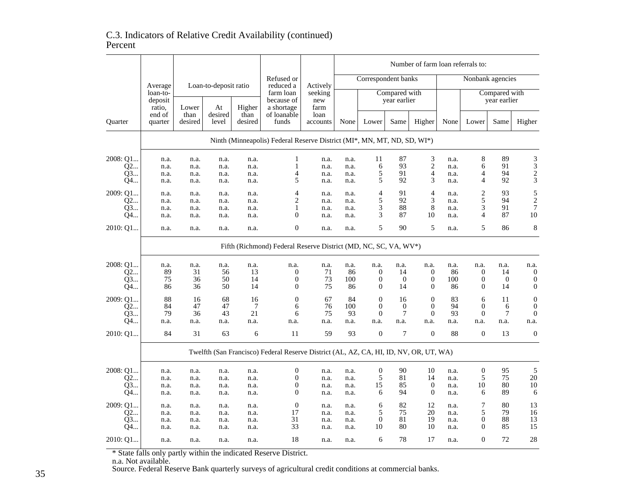## C.3. Indicators of Relative Credit Availability (continued)Percent

|                |                               |                                                                         |                  |                 |                                                                                       |                        |              |                     |                               |                  | Number of farm loan referrals to: |                               |                  |                  |  |
|----------------|-------------------------------|-------------------------------------------------------------------------|------------------|-----------------|---------------------------------------------------------------------------------------|------------------------|--------------|---------------------|-------------------------------|------------------|-----------------------------------|-------------------------------|------------------|------------------|--|
|                |                               | Loan-to-deposit ratio<br>Average                                        |                  |                 | Refused or<br>reduced a                                                               | Actively               |              | Correspondent banks |                               |                  |                                   | Nonbank agencies              |                  |                  |  |
|                | loan-to-<br>deposit<br>ratio, | Lower                                                                   | At               | Higher          | farm loan<br>because of<br>a shortage                                                 | seeking<br>new<br>farm |              |                     | Compared with<br>year earlier |                  |                                   | Compared with<br>year earlier |                  |                  |  |
| <b>Ouarter</b> | end of<br>quarter             | than<br>desired                                                         | desired<br>level | than<br>desired | of loanable<br>funds                                                                  | loan<br>accounts       | None         | Lower               | Same                          | Higher           | None                              | Lower                         | Same             | Higher           |  |
|                |                               | Ninth (Minneapolis) Federal Reserve District (MI*, MN, MT, ND, SD, WI*) |                  |                 |                                                                                       |                        |              |                     |                               |                  |                                   |                               |                  |                  |  |
| 2008: Q1       | n.a.                          | n.a.                                                                    | n.a.             | n.a.            | 1                                                                                     | n.a.                   | n.a.         | 11                  | 87                            | 3                | n.a.                              | $\,8$                         | 89               | 3                |  |
| Q2             | n.a.                          | n.a.                                                                    | n.a.             | n.a.            | 1                                                                                     | n.a.                   | n.a.         | 6                   | 93                            | $\overline{c}$   | n.a.                              | 6                             | 91               |                  |  |
| Q3…            | n.a.                          | n.a.                                                                    | n.a.             | n.a.            | 4                                                                                     | n.a.                   | n.a.         | 5                   | 91                            | $\overline{4}$   | n.a.                              | 4                             | 94               | $\frac{3}{2}$    |  |
| Q4…            | n.a.                          | n.a.                                                                    | n.a.             | n.a.            | 5                                                                                     | n.a.                   | n.a.         | 5                   | 92                            | 3                | n.a.                              | $\overline{4}$                | 92               |                  |  |
| 2009: Q1       | n.a.                          |                                                                         |                  |                 | 4                                                                                     | n.a.                   | n.a.         | 4                   | 91                            | $\overline{4}$   | n.a.                              | $\overline{2}$                | 93               | 5                |  |
| Q2             | n.a.                          | n.a.<br>n.a.                                                            | n.a.<br>n.a.     | n.a.<br>n.a.    | 2                                                                                     | n.a.                   | n.a.         | 5                   | 92                            | 3                | n.a.                              | 5                             | 94               | $\overline{c}$   |  |
| Q3             |                               |                                                                         |                  |                 | 1                                                                                     |                        |              | 3                   | 88                            | $\,$ 8 $\,$      |                                   | 3                             | 91               | $\overline{7}$   |  |
| Q4…            | n.a.<br>n.a.                  | n.a.<br>n.a.                                                            | n.a.<br>n.a.     | n.a.<br>n.a.    | $\overline{0}$                                                                        | n.a.<br>n.a.           | n.a.<br>n.a. | 3                   | 87                            | 10               | n.a.<br>n.a.                      | $\overline{4}$                | 87               | 10               |  |
|                |                               |                                                                         |                  |                 |                                                                                       |                        |              |                     |                               |                  |                                   |                               |                  |                  |  |
| 2010: Q1       | n.a.                          | n.a.                                                                    | n.a.             | n.a.            | $\boldsymbol{0}$                                                                      | n.a.                   | n.a.         | 5                   | 90                            | 5                | n.a.                              | 5                             | 86               | 8                |  |
|                |                               | Fifth (Richmond) Federal Reserve District (MD, NC, SC, VA, WV*)         |                  |                 |                                                                                       |                        |              |                     |                               |                  |                                   |                               |                  |                  |  |
| 2008: Q1       | n.a.                          | n.a.                                                                    | n.a.             | n.a.            | n.a.                                                                                  | n.a.                   | n.a.         | n.a.                | n.a.                          | n.a.             | n.a.                              | n.a.                          | n.a.             | n.a.             |  |
| 02             | 89                            | 31                                                                      | 56               | 13              | 0                                                                                     | 71                     | 86           | 0                   | 14                            | $\mathbf{0}$     | 86                                | $\mathbf{0}$                  | 14               | $\boldsymbol{0}$ |  |
| Q3…            | 75                            | 36                                                                      | 50               | 14              | 0                                                                                     | 73                     | 100          | 0                   | $\boldsymbol{0}$              | 0                | 100                               | $\boldsymbol{0}$              | $\boldsymbol{0}$ | $\boldsymbol{0}$ |  |
| Q4…            | 86                            | 36                                                                      | 50               | 14              | $\mathbf{0}$                                                                          | 75                     | 86           | 0                   | 14                            | $\overline{0}$   | 86                                | $\mathbf{0}$                  | 14               | $\boldsymbol{0}$ |  |
|                | 88                            |                                                                         |                  |                 | $\overline{0}$                                                                        |                        | 84           | $\overline{0}$      |                               | $\mathbf{0}$     |                                   |                               |                  |                  |  |
| 2009: O1       |                               | 16                                                                      | 68               | 16              |                                                                                       | 67                     |              |                     | 16                            |                  | 83                                | 6                             | 11               | $\boldsymbol{0}$ |  |
| Q2             | 84                            | 47                                                                      | 47               | 7               | 6                                                                                     | 76                     | 100          | $\mathbf{0}$        | $\overline{0}$                | $\overline{0}$   | 94                                | $\mathbf{0}$                  | 6                | $\boldsymbol{0}$ |  |
| Q3             | 79                            | 36                                                                      | 43               | 21              | 6                                                                                     | 75                     | 93           | $\boldsymbol{0}$    | $\tau$                        | $\boldsymbol{0}$ | 93                                | $\boldsymbol{0}$              | 7                | $\mathbf{0}$     |  |
| Q4…            | n.a.                          | n.a.                                                                    | n.a.             | n.a.            | n.a.                                                                                  | n.a.                   | n.a.         | n.a.                | n.a.                          | n.a.             | n.a.                              | n.a.                          | n.a.             | n.a.             |  |
| 2010: Q1       | 84                            | 31                                                                      | 63               | 6               | 11                                                                                    | 59                     | 93           | $\overline{0}$      | $\overline{7}$                | $\overline{0}$   | 88                                | $\overline{0}$                | 13               | $\mathbf{0}$     |  |
|                |                               |                                                                         |                  |                 | Twelfth (San Francisco) Federal Reserve District (AL, AZ, CA, HI, ID, NV, OR, UT, WA) |                        |              |                     |                               |                  |                                   |                               |                  |                  |  |
| 2008: Q1       | n.a.                          | n.a.                                                                    | n.a.             | n.a.            | $\boldsymbol{0}$                                                                      | n.a.                   | n.a.         | 0                   | 90                            | 10               | n.a.                              | $\boldsymbol{0}$              | 95               | 5                |  |
| 02             | n.a.                          | n.a.                                                                    | n.a.             | n.a.            | $\mathbf{0}$                                                                          | n.a.                   | n.a.         | 5                   | 81                            | 14               | n.a.                              | 5                             | 75               | 20               |  |
| Q3             | n.a.                          | n.a.                                                                    | n.a.             | n.a.            | $\boldsymbol{0}$                                                                      | n.a.                   | n.a.         | 15                  | 85                            | $\boldsymbol{0}$ | n.a.                              | 10                            | 80               | 10               |  |
| Q4             | n.a.                          | n.a.                                                                    | n.a.             | n.a.            | $\theta$                                                                              | n.a.                   | n.a.         | 6                   | 94                            | $\mathbf{0}$     | n.a.                              | 6                             | 89               | 6                |  |
| 2009: O1       | n.a.                          | n.a.                                                                    | n.a.             | n.a.            | $\theta$                                                                              | n.a.                   | n.a.         | 6                   | 82                            | 12               | n.a.                              | 7                             | 80               | 13               |  |
| Q2             | n.a.                          | n.a.                                                                    | n.a.             | n.a.            | 17                                                                                    | n.a.                   | n.a.         | 5                   | 75                            | 20               | n.a.                              | 5                             | 79               | 16               |  |
| Q3             | n.a.                          | n.a.                                                                    | n.a.             | n.a.            | 31                                                                                    | n.a.                   | n.a.         | $\boldsymbol{0}$    | 81                            | 19               | n.a.                              | $\boldsymbol{0}$              | 88               | 13               |  |
| Q4…            | n.a.                          | n.a.                                                                    | n.a.             | n.a.            | 33                                                                                    | n.a.                   | n.a.         | 10                  | 80                            | 10               | n.a.                              | $\Omega$                      | 85               | 15               |  |
| 2010: Q1       | n.a.                          | n.a.                                                                    | n.a.             | n.a.            | 18                                                                                    | n.a.                   | n.a.         | 6                   | 78                            | 17               | n.a.                              | $\mathbf{0}$                  | 72               | 28               |  |
|                |                               |                                                                         |                  |                 |                                                                                       |                        |              |                     |                               |                  |                                   |                               |                  |                  |  |

\* State falls only partly within the indicated Reserve District. n.a. Not available. Source. Federal Reserve Bank quarterly surveys of agricultural credit conditions at commercial banks.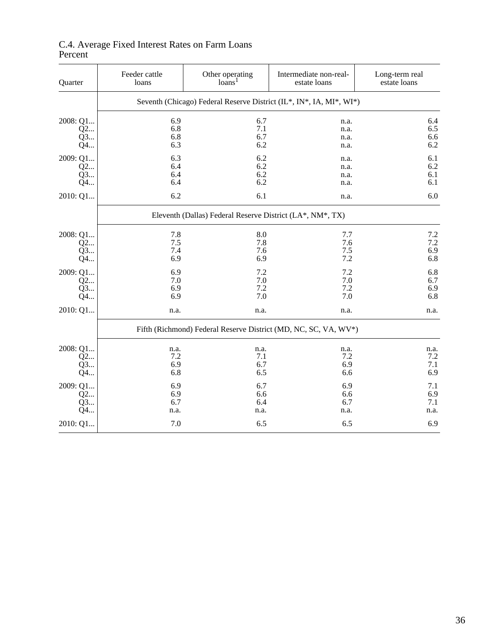| Quarter   | Feeder cattle<br>loans | Other operating<br>loans <sup>1</sup>                     | Intermediate non-real-<br>estate loans                              | Long-term real<br>estate loans |  |  |
|-----------|------------------------|-----------------------------------------------------------|---------------------------------------------------------------------|--------------------------------|--|--|
|           |                        |                                                           | Seventh (Chicago) Federal Reserve District (IL*, IN*, IA, MI*, WI*) |                                |  |  |
| 2008: Q1  | 6.9                    | 6.7                                                       | n.a.                                                                | 6.4                            |  |  |
| Q2<br>Q3… | 6.8<br>6.8             | 7.1<br>6.7                                                | n.a.<br>n.a.                                                        | 6.5<br>6.6                     |  |  |
| Q4        | 6.3                    | 6.2                                                       | n.a.                                                                | 6.2                            |  |  |
| 2009: Q1  | 6.3                    | 6.2                                                       | n.a.                                                                | 6.1                            |  |  |
| Q2        | 6.4                    | 6.2                                                       | n.a.                                                                | 6.2                            |  |  |
| Q3<br>Q4  | 6.4<br>6.4             | 6.2<br>6.2                                                | n.a.                                                                | 6.1<br>6.1                     |  |  |
|           |                        |                                                           | n.a.                                                                |                                |  |  |
| 2010: Q1  | 6.2                    | 6.1                                                       | n.a.                                                                | 6.0                            |  |  |
|           |                        | Eleventh (Dallas) Federal Reserve District (LA*, NM*, TX) |                                                                     |                                |  |  |
| 2008: Q1  | 7.8                    | 8.0                                                       | 7.7                                                                 | 7.2                            |  |  |
| Q2        | 7.5                    | 7.8                                                       | 7.6                                                                 | 7.2                            |  |  |
| Q3        | 7.4                    | 7.6                                                       | 7.5                                                                 | 6.9                            |  |  |
| Q4…       | 6.9                    | 6.9                                                       | 7.2                                                                 | 6.8                            |  |  |
| 2009: Q1  | 6.9                    | 7.2                                                       | 7.2                                                                 | 6.8                            |  |  |
| Q2        | 7.0                    | 7.0                                                       | 7.0                                                                 | 6.7                            |  |  |
| Q3        | 6.9                    | 7.2                                                       | 7.2                                                                 | 6.9                            |  |  |
| Q4        | 6.9                    | 7.0                                                       | 7.0                                                                 | 6.8                            |  |  |
| 2010: Q1  | n.a.                   | n.a.                                                      | n.a.                                                                | n.a.                           |  |  |
|           |                        |                                                           | Fifth (Richmond) Federal Reserve District (MD, NC, SC, VA, WV*)     |                                |  |  |
| 2008: Q1  | n.a.                   | n.a.                                                      | n.a.                                                                | n.a.                           |  |  |
| Q2        | 7.2                    | 7.1                                                       | 7.2                                                                 | $7.2\,$                        |  |  |
| Q3        | 6.9                    | 6.7                                                       | 6.9                                                                 | 7.1                            |  |  |
| Q4        | 6.8                    | 6.5                                                       | 6.6                                                                 | 6.9                            |  |  |
| 2009: Q1  | 6.9                    | 6.7                                                       | 6.9                                                                 | 7.1                            |  |  |
| Q2        | 6.9                    | 6.6                                                       | 6.6                                                                 | 6.9                            |  |  |
| Q3        | 6.7                    | 6.4                                                       | 6.7                                                                 | 7.1                            |  |  |
| Q4        | n.a.                   | n.a.                                                      | n.a.                                                                | n.a.                           |  |  |
| 2010: Q1  | 7.0                    | 6.5                                                       | 6.5                                                                 | 6.9                            |  |  |

## C.4. Average Fixed Interest Rates on Farm Loans Percent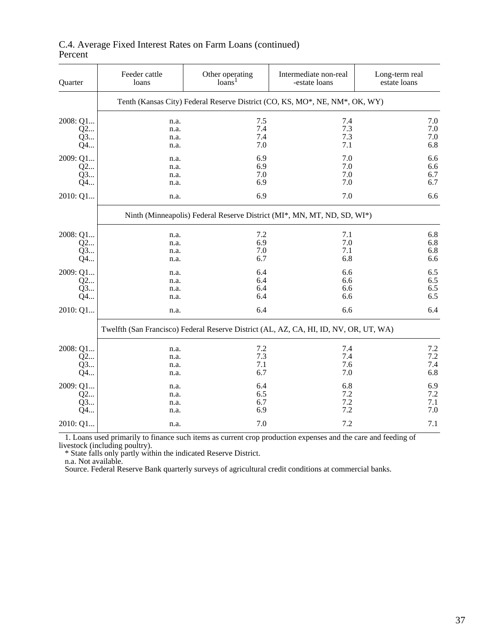| Quarter                    | Feeder cattle<br>loans                                                  | Other operating<br>loans <sup>1</sup>                                                 | Intermediate non-real<br>-estate loans | Long-term real<br>estate loans                          |  |  |  |  |  |  |  |  |
|----------------------------|-------------------------------------------------------------------------|---------------------------------------------------------------------------------------|----------------------------------------|---------------------------------------------------------|--|--|--|--|--|--|--|--|
|                            |                                                                         | Tenth (Kansas City) Federal Reserve District (CO, KS, MO*, NE, NM*, OK, WY)           |                                        |                                                         |  |  |  |  |  |  |  |  |
| 2008: Q1<br>Q2<br>Q3<br>Q4 | n.a.<br>n.a.<br>n.a.<br>n.a.                                            | 7.5<br>7.4<br>7.4<br>7.0                                                              | 7.4<br>7.3<br>7.3<br>7.1               | 7.0<br>$7.0\,$<br>$7.0\,$<br>6.8                        |  |  |  |  |  |  |  |  |
| 2009: Q1<br>Q2<br>Q3<br>Q4 | n.a.<br>n.a.<br>n.a.<br>n.a.                                            | 6.9<br>6.9<br>7.0<br>6.9                                                              | 7.0<br>7.0<br>7.0<br>7.0               |                                                         |  |  |  |  |  |  |  |  |
| 2010: Q1                   | 6.9<br>7.0<br>n.a.                                                      |                                                                                       |                                        |                                                         |  |  |  |  |  |  |  |  |
|                            | Ninth (Minneapolis) Federal Reserve District (MI*, MN, MT, ND, SD, WI*) |                                                                                       |                                        |                                                         |  |  |  |  |  |  |  |  |
| 2008: Q1<br>Q2<br>Q3<br>Q4 | n.a.<br>n.a.<br>n.a.<br>n.a.                                            | 7.2<br>6.9<br>7.0<br>6.7                                                              | 7.1<br>7.0<br>7.1<br>6.8               | 6.8<br>6.8<br>6.8<br>6.6                                |  |  |  |  |  |  |  |  |
| 2009: Q1<br>Q2<br>Q3<br>Q4 | n.a.<br>n.a.<br>n.a.<br>n.a.                                            | 6.4<br>6.4<br>6.4<br>6.4                                                              | 6.6<br>6.6<br>6.6<br>6.6               | 6.5<br>6.5<br>6.5<br>6.5                                |  |  |  |  |  |  |  |  |
| 2010: Q1                   | n.a.                                                                    | 6.4                                                                                   | 6.6                                    | 6.4                                                     |  |  |  |  |  |  |  |  |
|                            |                                                                         | Twelfth (San Francisco) Federal Reserve District (AL, AZ, CA, HI, ID, NV, OR, UT, WA) |                                        |                                                         |  |  |  |  |  |  |  |  |
| 2008: Q1<br>Q2<br>Q3<br>Q4 | n.a.<br>n.a.<br>n.a.<br>n.a.                                            | $7.2\,$<br>7.3<br>7.1<br>6.7                                                          | 7.4<br>7.4<br>7.6<br>7.0               | $\begin{array}{c} 7.2 \\ 7.2 \end{array}$<br>7.4<br>6.8 |  |  |  |  |  |  |  |  |
| 2009: Q1<br>Q2<br>Q3<br>Q4 | n.a.<br>n.a.<br>n.a.<br>n.a.                                            | 6.4<br>6.5<br>6.7<br>6.9                                                              | 6.8<br>7.2<br>7.2<br>7.2               | 6.9<br>7.2<br>$7.1\,$<br>7.0                            |  |  |  |  |  |  |  |  |
| 2010: Q1                   | n.a.                                                                    | 7.0                                                                                   | 7.2                                    | 7.1                                                     |  |  |  |  |  |  |  |  |

#### C.4. Average Fixed Interest Rates on Farm Loans (continued) Percent

 1. Loans used primarily to finance such items as current crop production expenses and the care and feeding of livestock (including poultry).

\* State falls only partly within the indicated Reserve District.

n.a. Not available.

Source. Federal Reserve Bank quarterly surveys of agricultural credit conditions at commercial banks.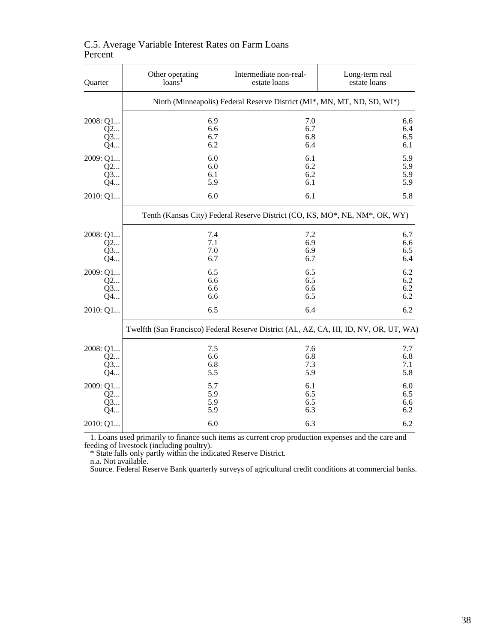| Quarter  | Other operating                                                             | Intermediate non-real-                                                  | Long-term real                                                                        |  |  |  |  |  |  |  |  |
|----------|-----------------------------------------------------------------------------|-------------------------------------------------------------------------|---------------------------------------------------------------------------------------|--|--|--|--|--|--|--|--|
|          | loans <sup>1</sup>                                                          | estate loans                                                            | estate loans                                                                          |  |  |  |  |  |  |  |  |
|          |                                                                             | Ninth (Minneapolis) Federal Reserve District (MI*, MN, MT, ND, SD, WI*) |                                                                                       |  |  |  |  |  |  |  |  |
| 2008: Q1 | 6.9                                                                         | 7.0                                                                     | 6.6                                                                                   |  |  |  |  |  |  |  |  |
| Q2       | 6.6                                                                         | 6.7                                                                     | 6.4                                                                                   |  |  |  |  |  |  |  |  |
| Q3       | 6.7                                                                         | 6.8                                                                     | 6.5                                                                                   |  |  |  |  |  |  |  |  |
| Q4       | 6.2                                                                         | 6.4                                                                     | 6.1                                                                                   |  |  |  |  |  |  |  |  |
| 2009: Q1 | 6.0                                                                         | 6.1                                                                     | 5.9                                                                                   |  |  |  |  |  |  |  |  |
| Q2       | 6.0                                                                         | 6.2                                                                     | 5.9                                                                                   |  |  |  |  |  |  |  |  |
| Q3       | 6.1                                                                         | 6.2                                                                     | 5.9                                                                                   |  |  |  |  |  |  |  |  |
| Q4       | 5.9                                                                         | 6.1                                                                     | 5.9                                                                                   |  |  |  |  |  |  |  |  |
| 2010: Q1 | 6.0                                                                         | 6.1                                                                     | 5.8                                                                                   |  |  |  |  |  |  |  |  |
|          | Tenth (Kansas City) Federal Reserve District (CO, KS, MO*, NE, NM*, OK, WY) |                                                                         |                                                                                       |  |  |  |  |  |  |  |  |
| 2008: Q1 | 7.4                                                                         | 7.2                                                                     | 6.7                                                                                   |  |  |  |  |  |  |  |  |
| Q2       | 7.1                                                                         | 6.9                                                                     | 6.6                                                                                   |  |  |  |  |  |  |  |  |
| Q3       | 7.0                                                                         | 6.9                                                                     | 6.5                                                                                   |  |  |  |  |  |  |  |  |
| Q4       | 6.7                                                                         | 6.7                                                                     | 6.4                                                                                   |  |  |  |  |  |  |  |  |
| 2009: Q1 | 6.5                                                                         | 6.5                                                                     | 6.2                                                                                   |  |  |  |  |  |  |  |  |
| Q2       | 6.6                                                                         | 6.5                                                                     | 6.2                                                                                   |  |  |  |  |  |  |  |  |
| Q3       | 6.6                                                                         | 6.6                                                                     | 6.2                                                                                   |  |  |  |  |  |  |  |  |
| Q4       | 6.6                                                                         | 6.5                                                                     | 6.2                                                                                   |  |  |  |  |  |  |  |  |
| 2010: Q1 | 6.5                                                                         | 6.4                                                                     | 6.2                                                                                   |  |  |  |  |  |  |  |  |
|          |                                                                             |                                                                         | Twelfth (San Francisco) Federal Reserve District (AL, AZ, CA, HI, ID, NV, OR, UT, WA) |  |  |  |  |  |  |  |  |
| 2008: Q1 | 7.5                                                                         | 7.6                                                                     | 7.7                                                                                   |  |  |  |  |  |  |  |  |
| Q2       | 6.6                                                                         | 6.8                                                                     | 6.8                                                                                   |  |  |  |  |  |  |  |  |
| Q3       | 6.8                                                                         | 7.3                                                                     | 7.1                                                                                   |  |  |  |  |  |  |  |  |
| Q4       | 5.5                                                                         | 5.9                                                                     | 5.8                                                                                   |  |  |  |  |  |  |  |  |
| 2009: Q1 | 5.7                                                                         | 6.1                                                                     | 6.0                                                                                   |  |  |  |  |  |  |  |  |
| Q2       | 5.9                                                                         | 6.5                                                                     | 6.5                                                                                   |  |  |  |  |  |  |  |  |
| Q3       | 5.9                                                                         | 6.5                                                                     | 6.6                                                                                   |  |  |  |  |  |  |  |  |
| Q4       | 5.9                                                                         | 6.3                                                                     | 6.2                                                                                   |  |  |  |  |  |  |  |  |
| 2010: Q1 | 6.0                                                                         | 6.3                                                                     | 6.2                                                                                   |  |  |  |  |  |  |  |  |

#### C.5. Average Variable Interest Rates on Farm Loans Percent

 1. Loans used primarily to finance such items as current crop production expenses and the care and feeding of livestock (including poultry).

\* State falls only partly within the indicated Reserve District.

n.a. Not available.

Source. Federal Reserve Bank quarterly surveys of agricultural credit conditions at commercial banks.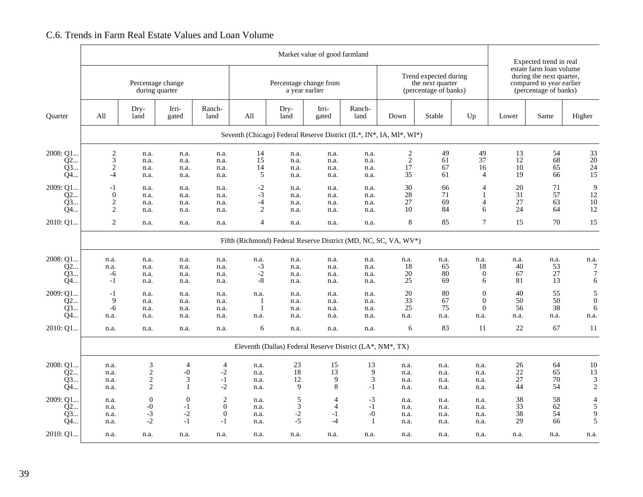#### Market value of good farmlandExpected trend in real estate farm loan volumeTrend expected during a during the next quarter, Percentage change Percentage change Percentage change from the next quarter compared to year earlier a year earlier (percentage of banks) (percentage of banks) Dry- Irri- Ranch- Dry- Irri- Ranch-Quarter | All | land | gated | land | All | land | gated | land | Down | Stable | Up | Lower | Same | Higher Seventh (Chicago) Federal Reserve District (IL\*, IN\*, IA, MI\*, WI\*) $2008: Q1...$ <br>Q2...<br>Q3... 2 n.a. n.a. n.a. 14 n.a. n.a. n.a. 2 49 49 13 54 33 Q2... 3 n.a. n.a. n.a. 15 n.a. n.a. n.a. 2 61 37 12 68 20 Q3... 2 n.a. n.a. n.a. 14 n.a. n.a. n.a. 17 67 16 10 65 2415 Q4... | 4 n.a. n.a. n.a. 5 n.a. n.a. n.a. 35 61 4 19 66 15 2009: Q1... | -1 n.a. n.a. n.a. -2 n.a. n.a. n.a. 30 66 4 20 71 9 12 Q2... 0 n.a. n.a. n.a. -3 n.a. n.a. n.a. 28 71 1 31 57 1210 Q3... 2 n.a. n.a. n.a. -4 n.a. n.a. n.a. 27 69 4 27 63 1012 Q4... 2 n.a. n.a. n.a. 2 n.a. n.a. n.a. 10 84 6 24 64 122010: Q1... 2 n.a. n.a. n.a. 4 n.a. n.a. n.a. 8 85 7 15 70 15Fifth (Richmond) Federal Reserve District (MD, NC, SC, VA, WV\*)  $2008: Q1...$ <br>Q2...<br>Q3... n.a. n.a. n.a. n.a. n.a. n.a. n.a. n.a. n.a. n.a. n.a. n.a. n.a. n.a. Q2... n.a. n.a. n.a. n.a. -3 n.a. n.a. n.a. 18 65 18 40 53 7 $\overline{7}$ Q3... | -6 n.a. n.a. n.a. -2 n.a. n.a. n.a. 20 80 0 67 27 7 6 Q4... -1 n.a. n.a. n.a. -8 n.a. n.a. n.a. 25 69 6 81 13 62009: Q1... -1 n.a. n.a. n.a. n.a. n.a. n.a. n.a. 20 80 0 40 55 5 $\boldsymbol{0}$  Q2... 9 n.a. n.a. n.a. 1 n.a. n.a. n.a. 33 67 0 50 50 06 Q3... | -6 n.a. n.a. n.a. 1 n.a. n.a. n.a. 25 75 0 56 38 6 n.a. Q4... n.a. n.a. n.a. n.a. n.a. n.a. n.a. n.a. n.a. n.a. n.a. n.a. n.a. n.a. 2010: Q1... n.a. n.a. n.a. n.a. 6 n.a. n.a. n.a. 6 83 11 22 67 11Eleventh (Dallas) Federal Reserve District (LA\*, NM\*, TX)2008: Q1... n.a. 3 4 4 n.a. 23 15 13 n.a. n.a. n.a. 26 64 1013 Q2... n.a. 2 -0 -2 n.a. 18 13 9 n.a. n.a. n.a. 22 65 133 Q3... n.a. 2 3 -1 n.a. 12 9 3 n.a. n.a. n.a. 27 70 3 $\overline{2}$  Q4... n.a. 2 1 -2 n.a. 9 8 -1 n.a. n.a. n.a. 44 54 22009: Q1... n.a. 0 0 2 n.a. 5 4 -3 n.a. n.a. n.a. 38 58 45 Q2... n.a. -0 -1 0 n.a. 3 4 -1 n.a. n.a. n.a. 33 62 59 Q3... n.a. -3 -2 0 n.a. -2 -1 -0 n.a. n.a. n.a. 38 54 95 Q4... n.a. -2 -1 -1 n.a. -5 -4 1 n.a. n.a. n.a. 29 66 52010: Q1... n.a. n.a. n.a. n.a. n.a. n.a. n.a. n.a. n.a. n.a. n.a. n.a. n.a. n.a.

## C.6. Trends in Farm Real Estate Values and Loan Volume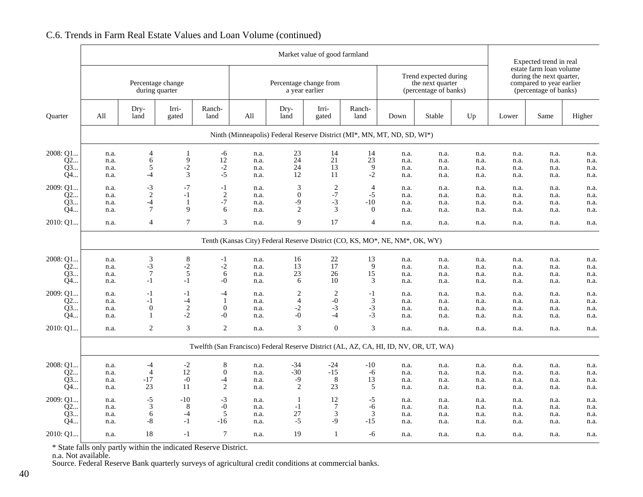|                            |                                                                             |                                                   |                                        |                                              |                              |                                                                                       | Market value of good farmland                       |                                                     |                                                                    |                              |                              | Expected trend in real                                                                                   |                              |                              |
|----------------------------|-----------------------------------------------------------------------------|---------------------------------------------------|----------------------------------------|----------------------------------------------|------------------------------|---------------------------------------------------------------------------------------|-----------------------------------------------------|-----------------------------------------------------|--------------------------------------------------------------------|------------------------------|------------------------------|----------------------------------------------------------------------------------------------------------|------------------------------|------------------------------|
|                            |                                                                             |                                                   | Percentage change<br>during quarter    |                                              |                              | Percentage change from<br>a year earlier                                              |                                                     |                                                     | Trend expected during<br>the next quarter<br>(percentage of banks) |                              |                              | estate farm loan volume<br>during the next quarter,<br>compared to year earlier<br>(percentage of banks) |                              |                              |
| Quarter                    | All                                                                         | Dry-<br>land                                      | Irri-<br>gated                         | Ranch-<br>land                               | All                          | Dry-<br>land                                                                          | Irri-<br>gated                                      | Ranch-<br>land                                      | Down                                                               | Stable                       | Up                           | Lower                                                                                                    | Same                         | Higher                       |
|                            |                                                                             |                                                   |                                        |                                              |                              | Ninth (Minneapolis) Federal Reserve District (MI*, MN, MT, ND, SD, WI*)               |                                                     |                                                     |                                                                    |                              |                              |                                                                                                          |                              |                              |
| 2008: Q1<br>Q2<br>Q3<br>Q4 | n.a.<br>n.a.<br>n.a.<br>n.a.                                                | 4<br>6<br>5<br>-4                                 | 1<br>9<br>$-2$<br>$\mathfrak{Z}$       | -6<br>12<br>$-2$<br>$-5$                     | n.a.<br>n.a.<br>n.a.<br>n.a. | 23<br>24<br>24<br>12                                                                  | 14<br>21<br>13<br>11                                | 14<br>23<br>$\overline{9}$<br>$-2$                  | n.a.<br>n.a.<br>n.a.<br>n.a.                                       | n.a.<br>n.a.<br>n.a.<br>n.a. | n.a.<br>n.a.<br>n.a.<br>n.a. | n.a.<br>n.a.<br>n.a.<br>n.a.                                                                             | n.a.<br>n.a.<br>n.a.<br>n.a. | n.a.<br>n.a.<br>n.a.<br>n.a. |
| 2009: Q1<br>Q2<br>Q3<br>Q4 | n.a.<br>n.a.<br>n.a.<br>n.a.                                                | $-3$<br>$\overline{2}$<br>$-4$<br>$7\phantom{.0}$ | $-7$<br>$-1$<br>1<br>9                 | $-1$<br>$\mathbf{2}$<br>$-7$<br>6            | n.a.<br>n.a.<br>n.a.<br>n.a. | $\sqrt{3}$<br>$\boldsymbol{0}$<br>-9<br>2                                             | $\frac{2}{-7}$<br>$-3$<br>3                         | $\overline{4}$<br>$-5$<br>$-10$<br>$\boldsymbol{0}$ | n.a.<br>n.a.<br>n.a.<br>n.a.                                       | n.a.<br>n.a.<br>n.a.<br>n.a. | n.a.<br>n.a.<br>n.a.<br>n.a. | n.a.<br>n.a.<br>n.a.<br>n.a.                                                                             | n.a.<br>n.a.<br>n.a.<br>n.a. | n.a.<br>n.a.<br>n.a.<br>n.a. |
| 2010: Q1                   | n.a.                                                                        | 4                                                 | $\overline{7}$                         | 3                                            | n.a.                         | 9                                                                                     | 17                                                  | $\overline{4}$                                      | n.a.                                                               | n.a.                         | n.a.                         | n.a.                                                                                                     | n.a.                         | n.a.                         |
|                            | Tenth (Kansas City) Federal Reserve District (CO, KS, MO*, NE, NM*, OK, WY) |                                                   |                                        |                                              |                              |                                                                                       |                                                     |                                                     |                                                                    |                              |                              |                                                                                                          |                              |                              |
| 2008: Q1<br>Q2<br>Q3<br>Q4 | n.a.<br>n.a.<br>n.a.<br>n.a.                                                | 3<br>$-3$<br>$\overline{7}$<br>$-1$               | 8<br>$-2$<br>$\sqrt{5}$<br>$-1$        | $-1$<br>$-2$<br>6<br>$-0$                    | n.a.<br>n.a.<br>n.a.<br>n.a. | 16<br>13<br>23<br>6                                                                   | $\begin{array}{c} 22 \\ 17 \end{array}$<br>26<br>10 | 13<br>9<br>15<br>3                                  | n.a.<br>n.a.<br>n.a.<br>n.a.                                       | n.a.<br>n.a.<br>n.a.<br>n.a. | n.a.<br>n.a.<br>n.a.<br>n.a. | n.a.<br>n.a.<br>n.a.<br>n.a.                                                                             | n.a.<br>n.a.<br>n.a.<br>n.a. | n.a.<br>n.a.<br>n.a.<br>n.a. |
| 2009: O1<br>Q2<br>Q3<br>Q4 | n.a.<br>n.a.<br>n.a.<br>n.a.                                                | $-1$<br>$-1$<br>$\mathbf{0}$<br>1                 | $-1$<br>$-4$<br>$\overline{2}$<br>$-2$ | $-4$<br>$\mathbf{1}$<br>$\mathbf{0}$<br>$-0$ | n.a.<br>n.a.<br>n.a.<br>n.a. | $\sqrt{2}$<br>$\overline{4}$<br>$-2$<br>$-0$                                          | $\overline{2}$<br>$-0$<br>$-3$<br>$-4$              | $-1$<br>3<br>$-3$<br>$-3$                           | n.a.<br>n.a.<br>n.a.<br>n.a.                                       | n.a.<br>n.a.<br>n.a.<br>n.a. | n.a.<br>n.a.<br>n.a.<br>n.a. | n.a.<br>n.a.<br>n.a.<br>n.a.                                                                             | n.a.<br>n.a.<br>n.a.<br>n.a. | n.a.<br>n.a.<br>n.a.<br>n.a. |
| 2010: Q1.                  | n.a.                                                                        | $\sqrt{2}$                                        | 3                                      | $\mathbf{2}$                                 | n.a.                         | $\mathfrak{Z}$                                                                        | $\mathbf{0}$                                        | 3                                                   | n.a.                                                               | n.a.                         | n.a.                         | n.a.                                                                                                     | n.a.                         | n.a.                         |
|                            |                                                                             |                                                   |                                        |                                              |                              | Twelfth (San Francisco) Federal Reserve District (AL, AZ, CA, HI, ID, NV, OR, UT, WA) |                                                     |                                                     |                                                                    |                              |                              |                                                                                                          |                              |                              |
| 2008: Q1<br>Q2<br>03<br>Q4 | n.a.<br>n.a.<br>n.a.<br>n.a.                                                | -4<br>$\overline{4}$<br>-17<br>23                 | $-2$<br>12<br>$-0$<br>11               | 8<br>$\mathbf{0}$<br>-4<br>2                 | n.a.<br>n.a.<br>n.a.<br>n.a. | $-34$<br>$-30$<br>-9<br>2                                                             | $-24$<br>$-15$<br>$\,8\,$<br>23                     | $-10$<br>$-6$<br>13<br>5                            | n.a.<br>n.a.<br>n.a.<br>n.a.                                       | n.a.<br>n.a.<br>n.a.<br>n.a. | n.a.<br>n.a.<br>n.a.<br>n.a. | n.a.<br>n.a.<br>n.a.<br>n.a.                                                                             | n.a.<br>n.a.<br>n.a.<br>n.a. | n.a.<br>n.a.<br>n.a.<br>n.a. |
| 2009: Q1<br>Q2<br>O3<br>Q4 | n.a.<br>n.a.<br>n.a.<br>n.a.                                                | $-5$<br>3<br>6<br>-8                              | -10<br>8<br>-4<br>$-1$                 | $-3$<br>$-0$<br>5<br>$-16$                   | n.a.<br>n.a.<br>n.a.<br>n.a. | -1<br>$-1$<br>27<br>$-5$                                                              | $12\,$<br>$\overline{7}$<br>$\mathfrak{Z}$<br>$-9$  | $-5$<br>$-6$<br>3<br>$-15$                          | n.a.<br>n.a.<br>n.a.<br>n.a.                                       | n.a.<br>n.a.<br>n.a.<br>n.a. | n.a.<br>n.a.<br>n.a.<br>n.a. | n.a.<br>n.a.<br>n.a.<br>n.a.                                                                             | n.a.<br>n.a.<br>n.a.<br>n.a. | n.a.<br>n.a.<br>n.a.<br>n.a. |
| 2010: Q1                   | n.a.                                                                        | 18                                                | $-1$                                   | $\tau$                                       | n.a.                         | 19                                                                                    | 1                                                   | -6                                                  | n.a.                                                               | n.a.                         | n.a.                         | n.a.                                                                                                     | n.a.                         | n.a.                         |

## C.6. Trends in Farm Real Estate Values and Loan Volume (continued)

\* State falls only partly within the indicated Reserve District. n.a. Not available.

Source. Federal Reserve Bank quarterly surveys of agricultural credit conditions at commercial banks.